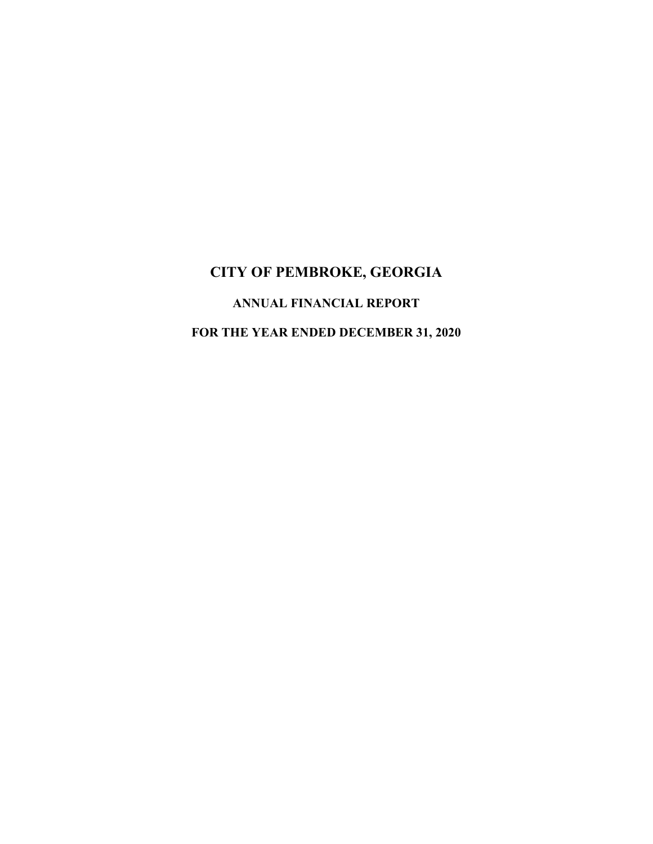# **CITY OF PEMBROKE, GEORGIA ANNUAL FINANCIAL REPORT FOR THE YEAR ENDED DECEMBER 31, 2020**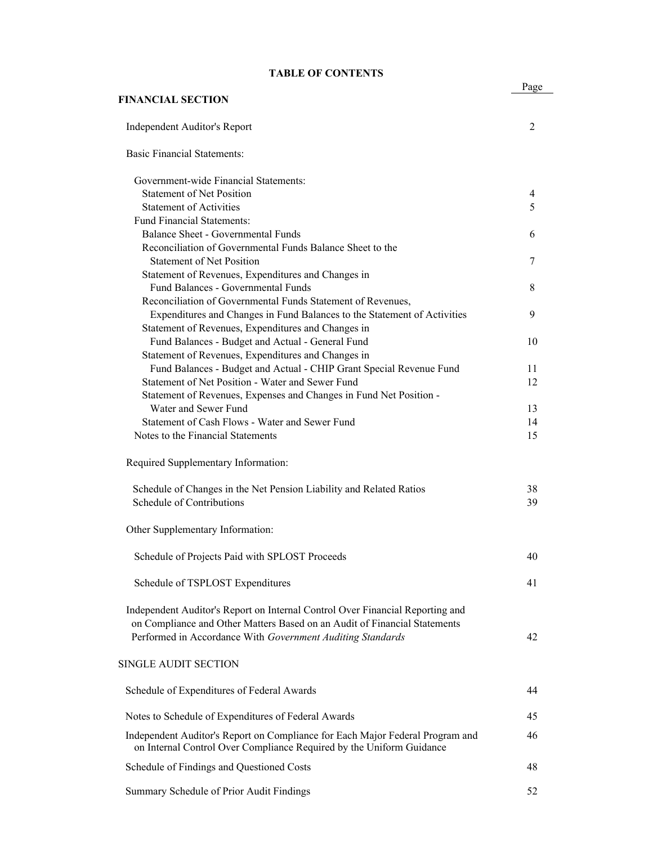#### **TABLE OF CONTENTS**

|                                                                                                                                                       | Page |
|-------------------------------------------------------------------------------------------------------------------------------------------------------|------|
| <b>FINANCIAL SECTION</b>                                                                                                                              |      |
| Independent Auditor's Report                                                                                                                          | 2    |
| <b>Basic Financial Statements:</b>                                                                                                                    |      |
| Government-wide Financial Statements:                                                                                                                 |      |
| <b>Statement of Net Position</b>                                                                                                                      | 4    |
| <b>Statement of Activities</b>                                                                                                                        | 5    |
| <b>Fund Financial Statements:</b>                                                                                                                     |      |
| Balance Sheet - Governmental Funds                                                                                                                    | 6    |
| Reconciliation of Governmental Funds Balance Sheet to the                                                                                             |      |
| <b>Statement of Net Position</b>                                                                                                                      | 7    |
| Statement of Revenues, Expenditures and Changes in                                                                                                    |      |
| Fund Balances - Governmental Funds                                                                                                                    | 8    |
| Reconciliation of Governmental Funds Statement of Revenues,                                                                                           |      |
| Expenditures and Changes in Fund Balances to the Statement of Activities                                                                              | 9    |
| Statement of Revenues, Expenditures and Changes in                                                                                                    |      |
| Fund Balances - Budget and Actual - General Fund<br>Statement of Revenues, Expenditures and Changes in                                                | 10   |
| Fund Balances - Budget and Actual - CHIP Grant Special Revenue Fund                                                                                   | 11   |
| Statement of Net Position - Water and Sewer Fund                                                                                                      | 12   |
| Statement of Revenues, Expenses and Changes in Fund Net Position -                                                                                    |      |
| Water and Sewer Fund                                                                                                                                  | 13   |
| Statement of Cash Flows - Water and Sewer Fund                                                                                                        | 14   |
| Notes to the Financial Statements                                                                                                                     | 15   |
| Required Supplementary Information:                                                                                                                   |      |
| Schedule of Changes in the Net Pension Liability and Related Ratios                                                                                   | 38   |
| Schedule of Contributions                                                                                                                             | 39   |
| Other Supplementary Information:                                                                                                                      |      |
| Schedule of Projects Paid with SPLOST Proceeds                                                                                                        | 40   |
| Schedule of TSPLOST Expenditures                                                                                                                      | 41   |
| Independent Auditor's Report on Internal Control Over Financial Reporting and                                                                         |      |
| on Compliance and Other Matters Based on an Audit of Financial Statements                                                                             |      |
| Performed in Accordance With Government Auditing Standards                                                                                            | 42   |
| <b>SINGLE AUDIT SECTION</b>                                                                                                                           |      |
| Schedule of Expenditures of Federal Awards                                                                                                            | 44   |
| Notes to Schedule of Expenditures of Federal Awards                                                                                                   | 45   |
| Independent Auditor's Report on Compliance for Each Major Federal Program and<br>on Internal Control Over Compliance Required by the Uniform Guidance | 46   |
| Schedule of Findings and Questioned Costs                                                                                                             | 48   |
| Summary Schedule of Prior Audit Findings                                                                                                              | 52   |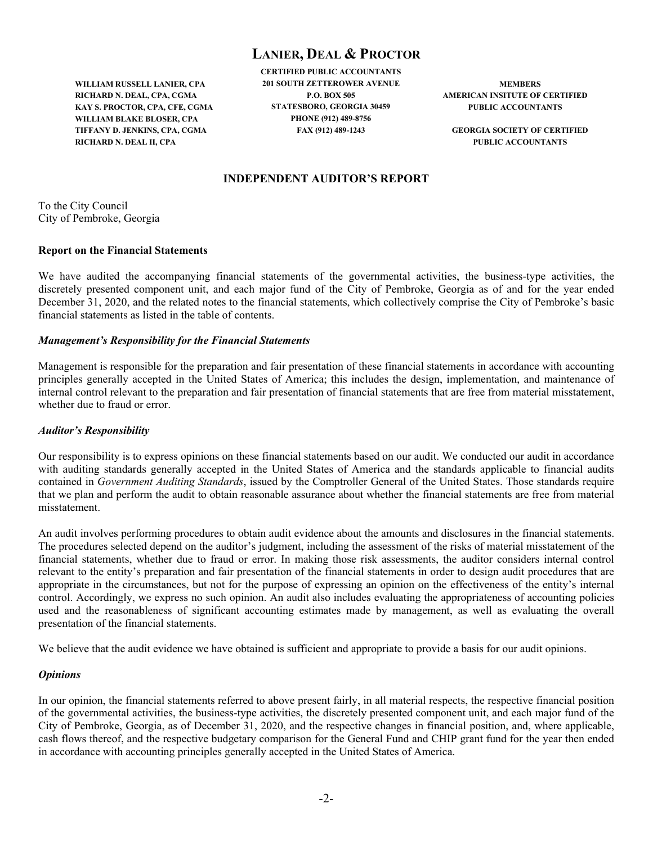#### **LANIER, DEAL & PROCTOR**

**WILLIAM RUSSELL LANIER, CPA RICHARD N. DEAL, CPA, CGMA KAY S. PROCTOR, CPA, CFE, CGMA WILLIAM BLAKE BLOSER, CPA TIFFANY D. JENKINS, CPA, CGMA RICHARD N. DEAL II, CPA**

**CERTIFIED PUBLIC ACCOUNTANTS 201 SOUTH ZETTEROWER AVENUE P.O. BOX 505 STATESBORO, GEORGIA 30459 PHONE (912) 489-8756 FAX (912) 489-1243**

**MEMBERS AMERICAN INSITUTE OF CERTIFIED PUBLIC ACCOUNTANTS**

**GEORGIA SOCIETY OF CERTIFIED PUBLIC ACCOUNTANTS**

#### **INDEPENDENT AUDITOR'S REPORT**

To the City Council City of Pembroke, Georgia

#### **Report on the Financial Statements**

We have audited the accompanying financial statements of the governmental activities, the business-type activities, the discretely presented component unit, and each major fund of the City of Pembroke, Georgia as of and for the year ended December 31, 2020, and the related notes to the financial statements, which collectively comprise the City of Pembroke's basic financial statements as listed in the table of contents.

#### *Management's Responsibility for the Financial Statements*

Management is responsible for the preparation and fair presentation of these financial statements in accordance with accounting principles generally accepted in the United States of America; this includes the design, implementation, and maintenance of internal control relevant to the preparation and fair presentation of financial statements that are free from material misstatement, whether due to fraud or error.

#### *Auditor's Responsibility*

Our responsibility is to express opinions on these financial statements based on our audit. We conducted our audit in accordance with auditing standards generally accepted in the United States of America and the standards applicable to financial audits contained in *Government Auditing Standards*, issued by the Comptroller General of the United States. Those standards require that we plan and perform the audit to obtain reasonable assurance about whether the financial statements are free from material misstatement.

An audit involves performing procedures to obtain audit evidence about the amounts and disclosures in the financial statements. The procedures selected depend on the auditor's judgment, including the assessment of the risks of material misstatement of the financial statements, whether due to fraud or error. In making those risk assessments, the auditor considers internal control relevant to the entity's preparation and fair presentation of the financial statements in order to design audit procedures that are appropriate in the circumstances, but not for the purpose of expressing an opinion on the effectiveness of the entity's internal control. Accordingly, we express no such opinion. An audit also includes evaluating the appropriateness of accounting policies used and the reasonableness of significant accounting estimates made by management, as well as evaluating the overall presentation of the financial statements.

We believe that the audit evidence we have obtained is sufficient and appropriate to provide a basis for our audit opinions.

#### *Opinions*

In our opinion, the financial statements referred to above present fairly, in all material respects, the respective financial position of the governmental activities, the business-type activities, the discretely presented component unit, and each major fund of the City of Pembroke, Georgia, as of December 31, 2020, and the respective changes in financial position, and, where applicable, cash flows thereof, and the respective budgetary comparison for the General Fund and CHIP grant fund for the year then ended in accordance with accounting principles generally accepted in the United States of America.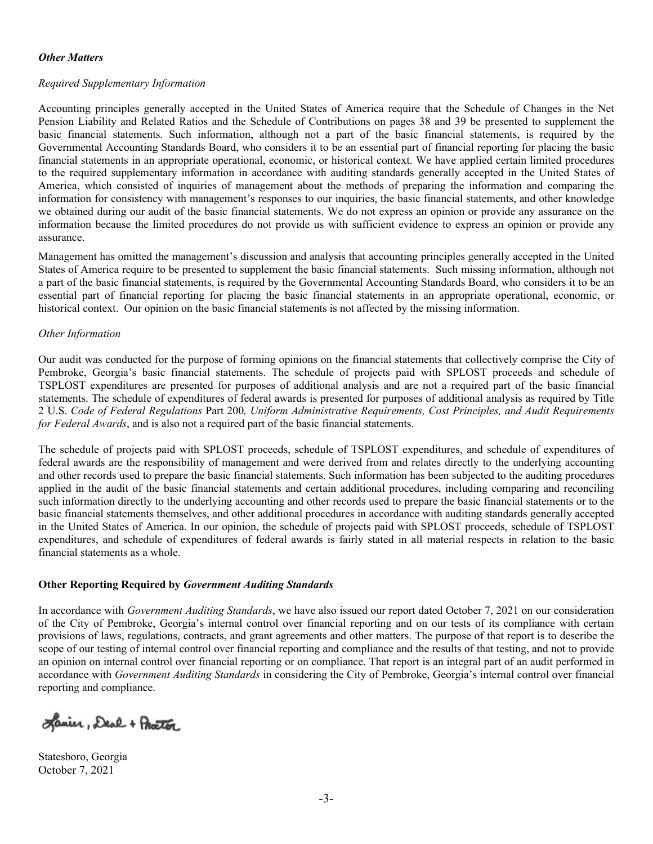#### *Other Matters*

#### *Required Supplementary Information*

Accounting principles generally accepted in the United States of America require that the Schedule of Changes in the Net Pension Liability and Related Ratios and the Schedule of Contributions on pages 38 and 39 be presented to supplement the basic financial statements. Such information, although not a part of the basic financial statements, is required by the Governmental Accounting Standards Board, who considers it to be an essential part of financial reporting for placing the basic financial statements in an appropriate operational, economic, or historical context. We have applied certain limited procedures to the required supplementary information in accordance with auditing standards generally accepted in the United States of America, which consisted of inquiries of management about the methods of preparing the information and comparing the information for consistency with management's responses to our inquiries, the basic financial statements, and other knowledge we obtained during our audit of the basic financial statements. We do not express an opinion or provide any assurance on the information because the limited procedures do not provide us with sufficient evidence to express an opinion or provide any assurance.

Management has omitted the management's discussion and analysis that accounting principles generally accepted in the United States of America require to be presented to supplement the basic financial statements. Such missing information, although not a part of the basic financial statements, is required by the Governmental Accounting Standards Board, who considers it to be an essential part of financial reporting for placing the basic financial statements in an appropriate operational, economic, or historical context. Our opinion on the basic financial statements is not affected by the missing information.

#### *Other Information*

Our audit was conducted for the purpose of forming opinions on the financial statements that collectively comprise the City of Pembroke, Georgia's basic financial statements. The schedule of projects paid with SPLOST proceeds and schedule of TSPLOST expenditures are presented for purposes of additional analysis and are not a required part of the basic financial statements. The schedule of expenditures of federal awards is presented for purposes of additional analysis as required by Title 2 U.S. *Code of Federal Regulations* Part 200*, Uniform Administrative Requirements, Cost Principles, and Audit Requirements for Federal Awards*, and is also not a required part of the basic financial statements.

The schedule of projects paid with SPLOST proceeds, schedule of TSPLOST expenditures, and schedule of expenditures of federal awards are the responsibility of management and were derived from and relates directly to the underlying accounting and other records used to prepare the basic financial statements. Such information has been subjected to the auditing procedures applied in the audit of the basic financial statements and certain additional procedures, including comparing and reconciling such information directly to the underlying accounting and other records used to prepare the basic financial statements or to the basic financial statements themselves, and other additional procedures in accordance with auditing standards generally accepted in the United States of America. In our opinion, the schedule of projects paid with SPLOST proceeds, schedule of TSPLOST expenditures, and schedule of expenditures of federal awards is fairly stated in all material respects in relation to the basic financial statements as a whole.

#### **Other Reporting Required by** *Government Auditing Standards*

In accordance with *Government Auditing Standards*, we have also issued our report dated October 7, 2021 on our consideration of the City of Pembroke, Georgia's internal control over financial reporting and on our tests of its compliance with certain provisions of laws, regulations, contracts, and grant agreements and other matters. The purpose of that report is to describe the scope of our testing of internal control over financial reporting and compliance and the results of that testing, and not to provide an opinion on internal control over financial reporting or on compliance. That report is an integral part of an audit performed in accordance with *Government Auditing Standards* in considering the City of Pembroke, Georgia's internal control over financial reporting and compliance.

Janier, Deal + Proton

Statesboro, Georgia October 7, 2021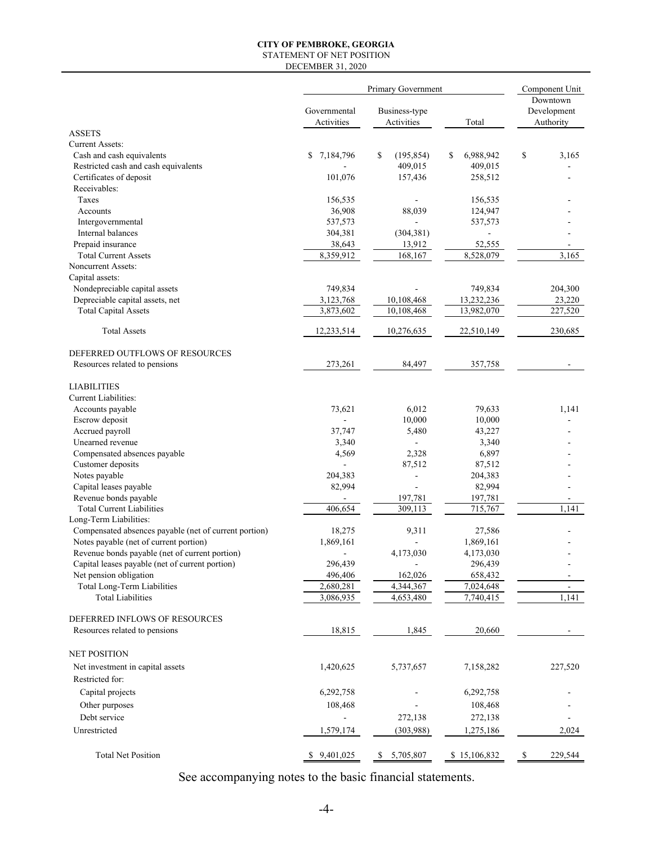#### **CITY OF PEMBROKE, GEORGIA**

STATEMENT OF NET POSITION

DECEMBER 31, 2020

|                                                       |                 | Component Unit   |                 |                          |
|-------------------------------------------------------|-----------------|------------------|-----------------|--------------------------|
|                                                       |                 |                  |                 | Downtown                 |
|                                                       | Governmental    | Business-type    |                 | Development              |
|                                                       | Activities      | Activities       | Total           | Authority                |
| <b>ASSETS</b>                                         |                 |                  |                 |                          |
| <b>Current Assets:</b>                                |                 |                  |                 |                          |
| Cash and cash equivalents                             | 7,184,796<br>S. | \$<br>(195, 854) | \$<br>6,988,942 | \$<br>3,165              |
| Restricted cash and cash equivalents                  |                 | 409,015          | 409,015         |                          |
| Certificates of deposit                               | 101,076         | 157,436          | 258,512         |                          |
| Receivables:                                          |                 |                  |                 |                          |
| Taxes                                                 | 156,535         |                  | 156,535         |                          |
| Accounts                                              | 36,908          | 88,039           | 124,947         |                          |
| Intergovernmental                                     | 537,573         |                  | 537,573         |                          |
| Internal balances                                     | 304,381         | (304, 381)       |                 |                          |
| Prepaid insurance                                     | 38,643          | 13,912           | 52,555          |                          |
| <b>Total Current Assets</b>                           | 8,359,912       | 168,167          | 8,528,079       | 3,165                    |
| Noncurrent Assets:                                    |                 |                  |                 |                          |
| Capital assets:                                       |                 |                  |                 |                          |
| Nondepreciable capital assets                         | 749,834         |                  | 749,834         | 204,300                  |
| Depreciable capital assets, net                       | 3,123,768       | 10,108,468       | 13,232,236      | 23,220                   |
| <b>Total Capital Assets</b>                           | 3,873,602       | 10,108,468       | 13,982,070      | 227,520                  |
|                                                       |                 |                  |                 |                          |
| <b>Total Assets</b>                                   | 12,233,514      | 10,276,635       | 22,510,149      | 230,685                  |
|                                                       |                 |                  |                 |                          |
| DEFERRED OUTFLOWS OF RESOURCES                        |                 |                  |                 |                          |
| Resources related to pensions                         | 273,261         | 84,497           | 357,758         |                          |
| <b>LIABILITIES</b>                                    |                 |                  |                 |                          |
| Current Liabilities:                                  |                 |                  |                 |                          |
| Accounts payable                                      | 73,621          | 6,012            | 79,633          | 1,141                    |
| Escrow deposit                                        |                 | 10,000           | 10,000          |                          |
| Accrued payroll                                       | 37,747          | 5,480            | 43,227          |                          |
| Unearned revenue                                      | 3,340           |                  | 3,340           |                          |
| Compensated absences payable                          | 4,569           | 2,328            | 6,897           |                          |
| Customer deposits                                     |                 | 87,512           | 87,512          |                          |
| Notes payable                                         | 204,383         |                  | 204,383         |                          |
| Capital leases payable                                | 82,994          |                  | 82,994          |                          |
| Revenue bonds payable                                 | ÷,              | 197,781          | 197,781         | $\overline{\phantom{a}}$ |
| <b>Total Current Liabilities</b>                      | 406,654         | 309,113          | 715,767         | 1,141                    |
| Long-Term Liabilities:                                |                 |                  |                 |                          |
| Compensated absences payable (net of current portion) | 18,275          | 9,311            | 27,586          |                          |
| Notes payable (net of current portion)                | 1,869,161       |                  | 1,869,161       |                          |
| Revenue bonds payable (net of current portion)        |                 | 4,173,030        | 4,173,030       |                          |
| Capital leases payable (net of current portion)       | 296,439         |                  | 296,439         |                          |
| Net pension obligation                                | 496,406         | 162,026          | 658,432         | $\overline{\phantom{a}}$ |
| Total Long-Term Liabilities                           | 2,680,281       | 4,344,367        | 7,024,648       |                          |
| <b>Total Liabilities</b>                              | 3,086,935       | 4,653,480        | 7,740,415       | 1,141                    |
|                                                       |                 |                  |                 |                          |
| DEFERRED INFLOWS OF RESOURCES                         |                 |                  |                 |                          |
| Resources related to pensions                         | 18,815          | 1,845            | 20,660          |                          |
| NET POSITION                                          |                 |                  |                 |                          |
| Net investment in capital assets                      | 1,420,625       | 5,737,657        | 7,158,282       | 227,520                  |
| Restricted for:                                       |                 |                  |                 |                          |
| Capital projects                                      | 6,292,758       |                  | 6,292,758       |                          |
| Other purposes                                        | 108,468         |                  | 108,468         |                          |
| Debt service                                          |                 | 272,138          | 272,138         |                          |
| Unrestricted                                          | 1,579,174       | (303,988)        | 1,275,186       | 2,024                    |
|                                                       |                 |                  |                 |                          |
| <b>Total Net Position</b>                             | 9,401,025       | 5,705,807<br>\$  | \$15,106,832    | 229,544<br>\$            |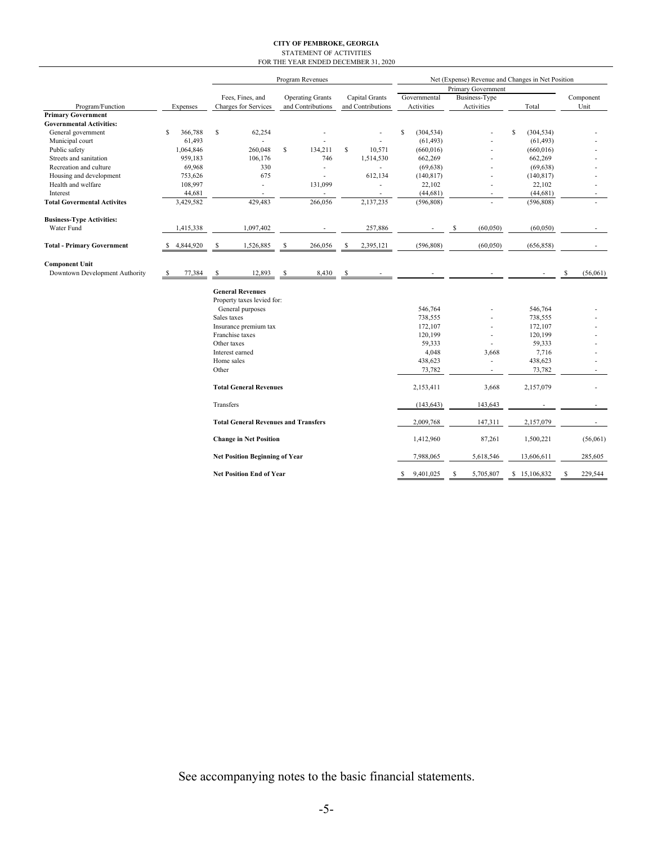#### **CITY OF PEMBROKE, GEORGIA** STATEMENT OF ACTIVITIES

FOR THE YEAR ENDED DECEMBER 31, 2020

|                                    |    |           | Program Revenues<br>Net (Expense) Revenue and Changes in Net Position |                                             |   |                         |     |                   |                  |   |                    |               |            |   |           |
|------------------------------------|----|-----------|-----------------------------------------------------------------------|---------------------------------------------|---|-------------------------|-----|-------------------|------------------|---|--------------------|---------------|------------|---|-----------|
|                                    |    |           |                                                                       |                                             |   |                         |     |                   |                  |   | Primary Government |               |            |   |           |
|                                    |    |           |                                                                       | Fees, Fines, and                            |   | <b>Operating Grants</b> |     | Capital Grants    | Governmental     |   | Business-Type      |               |            |   | Component |
| Program/Function                   |    | Expenses  |                                                                       | Charges for Services                        |   | and Contributions       |     | and Contributions | Activities       |   | Activities         | Total         |            |   | Unit      |
| <b>Primary Government</b>          |    |           |                                                                       |                                             |   |                         |     |                   |                  |   |                    |               |            |   |           |
| <b>Governmental Activities:</b>    |    |           |                                                                       |                                             |   |                         |     |                   |                  |   |                    |               |            |   |           |
| General government                 | S  | 366,788   | $\mathbb{S}% _{t}\left( t\right) \equiv\mathbb{S}_{t}\left( t\right)$ | 62,254                                      |   |                         |     |                   | \$<br>(304, 534) |   |                    | <sup>\$</sup> | (304, 534) |   |           |
| Municipal court                    |    | 61,493    |                                                                       |                                             |   |                         |     |                   | (61, 493)        |   |                    |               | (61, 493)  |   |           |
| Public safety                      |    | 1,064,846 |                                                                       | 260,048                                     | S | 134,211                 | \$  | 10,571            | (660, 016)       |   |                    |               | (660, 016) |   |           |
| Streets and sanitation             |    | 959,183   |                                                                       | 106,176                                     |   | 746                     |     | 1,514,530         | 662,269          |   |                    |               | 662,269    |   |           |
| Recreation and culture             |    | 69,968    |                                                                       | 330                                         |   | ä,                      |     |                   | (69, 638)        |   |                    |               | (69, 638)  |   |           |
| Housing and development            |    | 753,626   |                                                                       | 675                                         |   | ÷,                      |     | 612,134           | (140, 817)       |   |                    |               | (140, 817) |   |           |
| Health and welfare                 |    | 108,997   |                                                                       | J.                                          |   | 131,099                 |     |                   | 22,102           |   |                    |               | 22,102     |   |           |
| Interest                           |    | 44,681    |                                                                       |                                             |   |                         |     |                   | (44, 681)        |   |                    |               | (44, 681)  |   |           |
| <b>Total Govermental Activites</b> |    | 3,429,582 |                                                                       | 429,483                                     |   | 266,056                 |     | 2,137,235         | (596, 808)       |   |                    |               | (596, 808) |   |           |
| <b>Business-Type Activities:</b>   |    |           |                                                                       |                                             |   |                         |     |                   |                  |   |                    |               |            |   |           |
| Water Fund                         |    | 1,415,338 |                                                                       | 1,097,402                                   |   |                         |     | 257,886           |                  | S | (60, 050)          |               | (60, 050)  |   |           |
| <b>Total - Primary Government</b>  |    | 4,844,920 |                                                                       | 1,526,885                                   | S | 266,056                 | S   | 2,395,121         | (596, 808)       |   | (60,050)           | (656, 858)    |            |   |           |
| <b>Component Unit</b>              |    |           |                                                                       |                                             |   |                         |     |                   |                  |   |                    |               |            |   |           |
| Downtown Development Authority     | -S | 77,384    | \$.                                                                   | 12,893                                      | S | 8,430                   | \$. |                   |                  |   |                    |               |            | S | (56,061)  |
|                                    |    |           |                                                                       | <b>General Revenues</b>                     |   |                         |     |                   |                  |   |                    |               |            |   |           |
|                                    |    |           |                                                                       | Property taxes levied for:                  |   |                         |     |                   |                  |   |                    |               |            |   |           |
|                                    |    |           |                                                                       | General purposes                            |   |                         |     |                   | 546,764          |   |                    |               | 546,764    |   |           |
|                                    |    |           | Sales taxes                                                           |                                             |   |                         |     |                   | 738,555          |   |                    |               | 738,555    |   |           |
|                                    |    |           |                                                                       | Insurance premium tax                       |   |                         |     |                   | 172,107          |   |                    |               | 172,107    |   |           |
|                                    |    |           |                                                                       | Franchise taxes                             |   |                         |     |                   | 120,199          |   |                    |               | 120,199    |   |           |
|                                    |    |           | Other taxes                                                           |                                             |   |                         |     |                   | 59,333           |   |                    |               | 59,333     |   |           |
|                                    |    |           |                                                                       | Interest earned                             |   |                         |     |                   | 4,048            |   | 3,668              |               | 7,716      |   |           |
|                                    |    |           | Home sales                                                            |                                             |   |                         |     |                   | 438,623          |   | ÷.                 |               | 438,623    |   |           |
|                                    |    |           | Other                                                                 |                                             |   |                         |     |                   | 73,782           |   | ä,                 |               | 73,782     |   |           |
|                                    |    |           |                                                                       | <b>Total General Revenues</b>               |   |                         |     |                   | 2,153,411        |   | 3,668              | 2,157,079     |            |   |           |
|                                    |    |           | Transfers                                                             |                                             |   |                         |     |                   | (143, 643)       |   | 143,643            |               | ٠          |   |           |
|                                    |    |           |                                                                       | <b>Total General Revenues and Transfers</b> |   |                         |     |                   | 2,009,768        |   | 147,311            | 2,157,079     |            |   |           |
|                                    |    |           |                                                                       | <b>Change in Net Position</b>               |   |                         |     |                   | 1,412,960        |   | 87,261             | 1,500,221     |            |   | (56,061)  |
|                                    |    |           |                                                                       | <b>Net Position Beginning of Year</b>       |   |                         |     |                   | 7,988,065        |   | 5,618,546          | 13,606,611    |            |   | 285,605   |
|                                    |    |           |                                                                       | <b>Net Position End of Year</b>             |   |                         |     |                   | \$<br>9,401,025  | S | 5,705,807          | \$15,106,832  |            | S | 229,544   |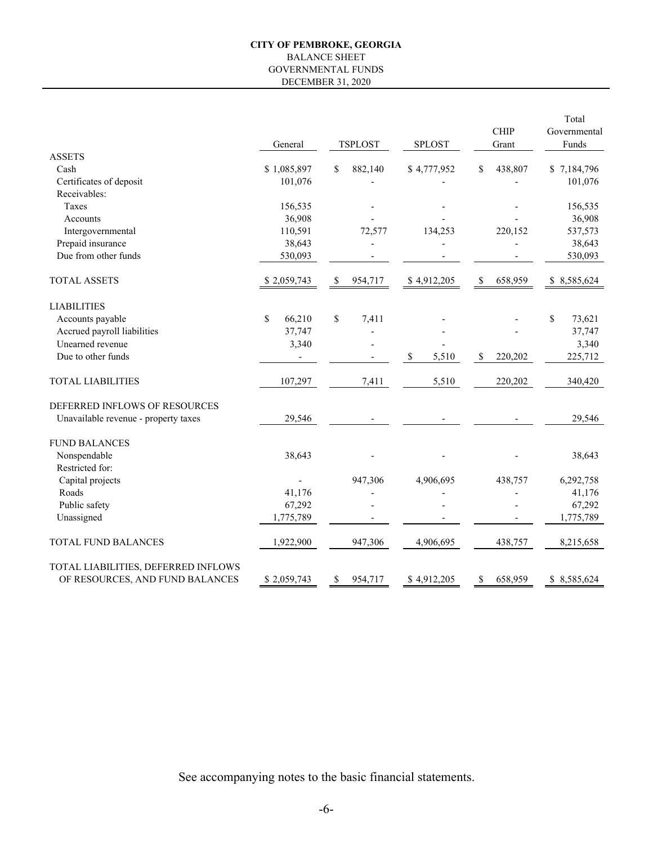#### **CITY OF PEMBROKE, GEORGIA**

#### BALANCE SHEET GOVERNMENTAL FUNDS DECEMBER 31, 2020

|                                      | General                |               | <b>TSPLOST</b> | <b>SPLOST</b> |              | <b>CHIP</b><br>Grant | Total<br>Governmental<br>Funds |
|--------------------------------------|------------------------|---------------|----------------|---------------|--------------|----------------------|--------------------------------|
| <b>ASSETS</b>                        |                        |               |                |               |              |                      |                                |
| Cash                                 | \$1,085,897            | \$            | 882,140        | \$4,777,952   | $\mathbb{S}$ | 438,807              | \$7,184,796                    |
| Certificates of deposit              | 101,076                |               |                |               |              |                      | 101,076                        |
| Receivables:                         |                        |               |                |               |              |                      |                                |
| Taxes                                | 156,535                |               |                |               |              |                      | 156,535                        |
| Accounts                             | 36,908                 |               |                |               |              |                      | 36,908                         |
| Intergovernmental                    | 110,591                |               | 72,577         | 134,253       |              | 220,152              | 537,573                        |
| Prepaid insurance                    | 38,643                 |               |                |               |              |                      | 38,643                         |
| Due from other funds                 | 530,093                |               |                |               |              |                      | 530,093                        |
| <b>TOTAL ASSETS</b>                  | \$2,059,743            | <sup>\$</sup> | 954,717        | \$4,912,205   | \$           | 658,959              | \$8,585,624                    |
| <b>LIABILITIES</b>                   |                        |               |                |               |              |                      |                                |
| Accounts payable                     | $\mathbb{S}$<br>66,210 | \$            | 7,411          |               |              |                      | \$<br>73,621                   |
| Accrued payroll liabilities          | 37,747                 |               |                |               |              |                      | 37,747                         |
| Unearned revenue                     | 3,340                  |               |                |               |              |                      | 3,340                          |
| Due to other funds                   | $\overline{a}$         |               |                | \$<br>5,510   | \$           | 220,202              | 225,712                        |
| <b>TOTAL LIABILITIES</b>             | 107,297                |               | 7,411          | 5,510         |              | 220,202              | 340,420                        |
| DEFERRED INFLOWS OF RESOURCES        |                        |               |                |               |              |                      |                                |
| Unavailable revenue - property taxes | 29,546                 |               |                |               |              |                      | 29,546                         |
| <b>FUND BALANCES</b>                 |                        |               |                |               |              |                      |                                |
| Nonspendable                         | 38,643                 |               |                |               |              |                      | 38,643                         |
| Restricted for:                      |                        |               |                |               |              |                      |                                |
| Capital projects                     |                        |               | 947,306        | 4,906,695     |              | 438,757              | 6,292,758                      |
| Roads                                | 41,176                 |               |                |               |              |                      | 41,176                         |
| Public safety                        | 67,292                 |               |                |               |              |                      | 67,292                         |
| Unassigned                           | 1,775,789              |               |                |               |              |                      | 1,775,789                      |
| <b>TOTAL FUND BALANCES</b>           | 1,922,900              |               | 947,306        | 4,906,695     |              | 438,757              | 8,215,658                      |
| TOTAL LIABILITIES, DEFERRED INFLOWS  |                        |               |                |               |              |                      |                                |
| OF RESOURCES, AND FUND BALANCES      | \$2,059,743            | S             | 954,717        | \$4,912,205   | \$           | 658,959              | \$8,585,624                    |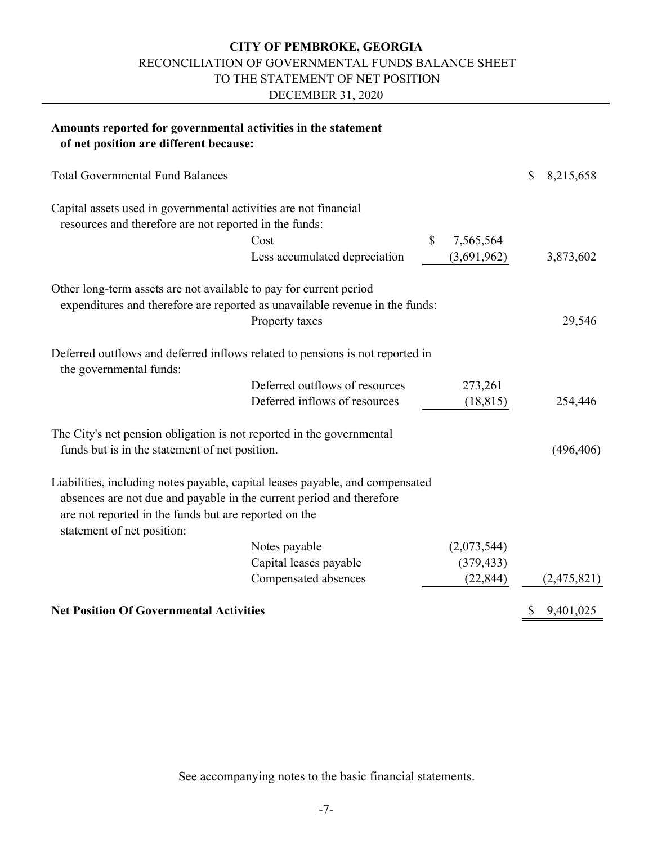## **CITY OF PEMBROKE, GEORGIA** RECONCILIATION OF GOVERNMENTAL FUNDS BALANCE SHEET TO THE STATEMENT OF NET POSITION DECEMBER 31, 2020

**Amounts reported for governmental activities in the statement**

| of net position are different because:                                                                                                                                                                                                       |             |                 |
|----------------------------------------------------------------------------------------------------------------------------------------------------------------------------------------------------------------------------------------------|-------------|-----------------|
| <b>Total Governmental Fund Balances</b>                                                                                                                                                                                                      |             | \$<br>8,215,658 |
| Capital assets used in governmental activities are not financial                                                                                                                                                                             |             |                 |
| resources and therefore are not reported in the funds:                                                                                                                                                                                       |             |                 |
| $\mathcal{S}$<br>Cost                                                                                                                                                                                                                        | 7,565,564   |                 |
| Less accumulated depreciation                                                                                                                                                                                                                | (3,691,962) | 3,873,602       |
| Other long-term assets are not available to pay for current period                                                                                                                                                                           |             |                 |
| expenditures and therefore are reported as unavailable revenue in the funds:                                                                                                                                                                 |             |                 |
| Property taxes                                                                                                                                                                                                                               |             | 29,546          |
| Deferred outflows and deferred inflows related to pensions is not reported in<br>the governmental funds:                                                                                                                                     |             |                 |
| Deferred outflows of resources                                                                                                                                                                                                               | 273,261     |                 |
| Deferred inflows of resources                                                                                                                                                                                                                | (18, 815)   | 254,446         |
| The City's net pension obligation is not reported in the governmental                                                                                                                                                                        |             |                 |
| funds but is in the statement of net position.                                                                                                                                                                                               |             | (496, 406)      |
| Liabilities, including notes payable, capital leases payable, and compensated<br>absences are not due and payable in the current period and therefore<br>are not reported in the funds but are reported on the<br>statement of net position: |             |                 |
| Notes payable                                                                                                                                                                                                                                | (2,073,544) |                 |
| Capital leases payable                                                                                                                                                                                                                       | (379, 433)  |                 |
| Compensated absences                                                                                                                                                                                                                         | (22, 844)   | (2,475,821)     |
| <b>Net Position Of Governmental Activities</b>                                                                                                                                                                                               |             | 9,401,025       |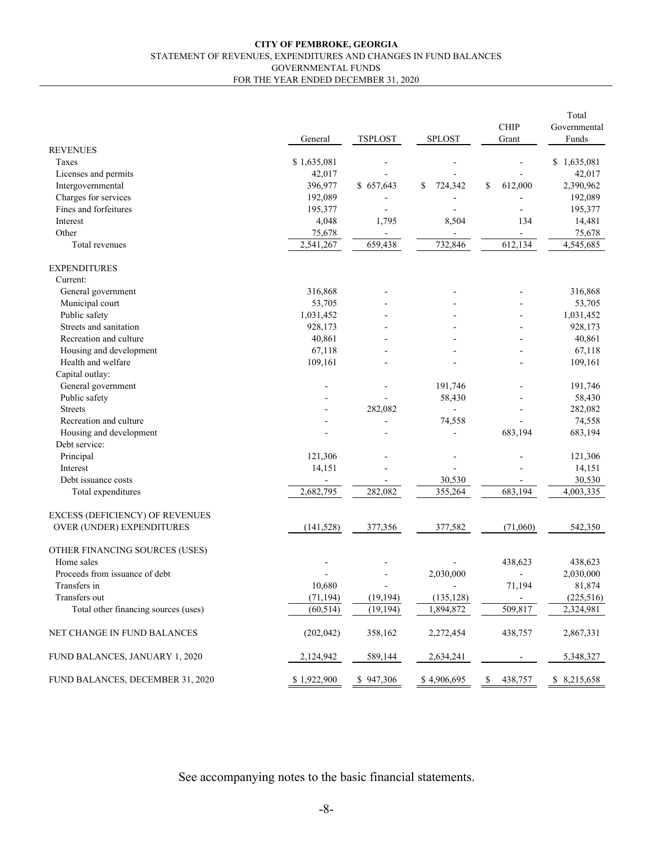#### FOR THE YEAR ENDED DECEMBER 31, 2020 GOVERNMENTAL FUNDS **CITY OF PEMBROKE, GEORGIA** STATEMENT OF REVENUES, EXPENDITURES AND CHANGES IN FUND BALANCES

|                                      |                          |                          |                |               | Total        |
|--------------------------------------|--------------------------|--------------------------|----------------|---------------|--------------|
|                                      |                          |                          |                | <b>CHIP</b>   | Governmental |
| <b>REVENUES</b>                      | General                  | <b>TSPLOST</b>           | <b>SPLOST</b>  | Grant         | Funds        |
| Taxes                                | \$1,635,081              |                          | $\blacksquare$ |               | \$1,635,081  |
| Licenses and permits                 | 42,017                   | $\overline{\phantom{a}}$ |                |               | 42,017       |
| Intergovernmental                    | 396,977                  | \$657,643                | \$<br>724,342  | \$<br>612,000 | 2,390,962    |
| Charges for services                 | 192,089                  |                          |                |               | 192,089      |
| Fines and forfeitures                | 195,377                  | $\blacksquare$           | $\overline{a}$ | ٠             | 195,377      |
| Interest                             | 4,048                    | 1,795                    | 8,504          | 134           | 14,481       |
| Other                                | 75,678                   |                          |                |               | 75,678       |
| Total revenues                       | 2,541,267                | 659,438                  | 732,846        | 612,134       | 4,545,685    |
| <b>EXPENDITURES</b>                  |                          |                          |                |               |              |
| Current:                             |                          |                          |                |               |              |
| General government                   | 316,868                  |                          |                |               | 316,868      |
| Municipal court                      | 53,705                   |                          |                |               | 53,705       |
| Public safety                        | 1,031,452                |                          |                |               | 1,031,452    |
| Streets and sanitation               | 928,173                  |                          |                |               | 928,173      |
| Recreation and culture               | 40,861                   |                          |                |               | 40,861       |
| Housing and development              | 67,118                   |                          |                |               | 67,118       |
| Health and welfare                   | 109,161                  |                          |                |               | 109,161      |
| Capital outlay:                      |                          |                          |                |               |              |
| General government                   |                          |                          | 191,746        |               | 191,746      |
| Public safety                        |                          |                          | 58,430         |               | 58,430       |
| <b>Streets</b>                       |                          | 282,082                  |                |               | 282,082      |
| Recreation and culture               |                          |                          | 74,558         |               | 74,558       |
| Housing and development              |                          |                          |                | 683,194       | 683,194      |
| Debt service:                        |                          |                          |                |               |              |
| Principal                            | 121,306                  |                          |                |               | 121,306      |
| Interest                             | 14,151                   |                          |                |               | 14,151       |
| Debt issuance costs                  | $\overline{\phantom{0}}$ | $\overline{\phantom{a}}$ | 30,530         |               | 30,530       |
| Total expenditures                   | 2,682,795                | 282,082                  | 355,264        | 683,194       | 4,003,335    |
| EXCESS (DEFICIENCY) OF REVENUES      |                          |                          |                |               |              |
| OVER (UNDER) EXPENDITURES            | (141, 528)               | 377,356                  | 377,582        | (71,060)      | 542,350      |
| OTHER FINANCING SOURCES (USES)       |                          |                          |                |               |              |
| Home sales                           |                          |                          |                | 438,623       | 438,623      |
| Proceeds from issuance of debt       |                          |                          | 2,030,000      |               | 2,030,000    |
| Transfers in                         | 10,680                   |                          |                | 71,194        | 81,874       |
| Transfers out                        | (71, 194)                | (19, 194)                | (135, 128)     |               | (225, 516)   |
| Total other financing sources (uses) | (60, 514)                | (19, 194)                | 1,894,872      | 509,817       | 2,324,981    |
| NET CHANGE IN FUND BALANCES          | (202, 042)               | 358,162                  | 2,272,454      | 438,757       | 2,867,331    |
| FUND BALANCES, JANUARY 1, 2020       | 2,124,942                | 589,144                  | 2,634,241      |               | 5,348,327    |
| FUND BALANCES, DECEMBER 31, 2020     | \$1,922,900              | \$947,306                | \$4,906,695    | 438,757<br>\$ | \$ 8,215,658 |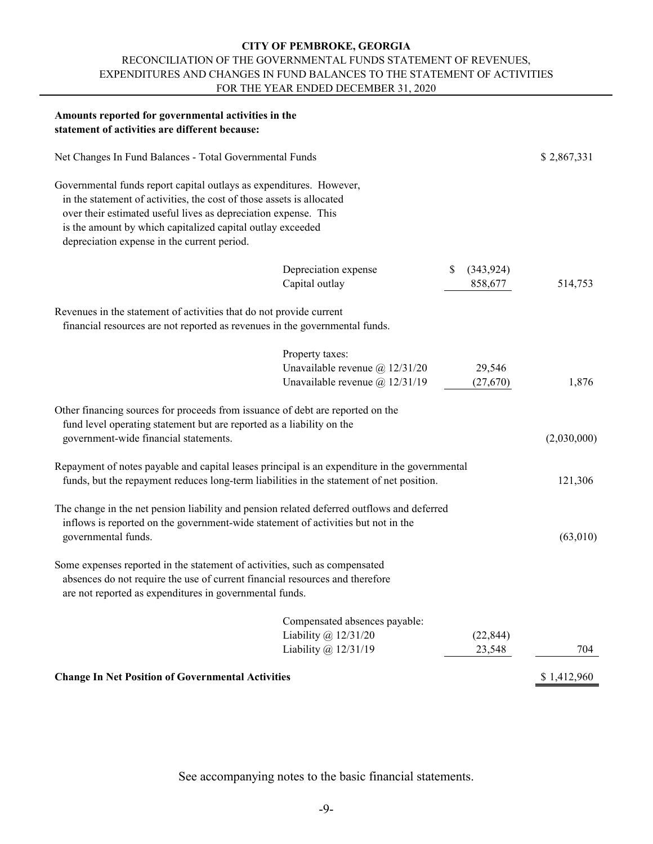#### **CITY OF PEMBROKE, GEORGIA** RECONCILIATION OF THE GOVERNMENTAL FUNDS STATEMENT OF REVENUES, EXPENDITURES AND CHANGES IN FUND BALANCES TO THE STATEMENT OF ACTIVITIES FOR THE YEAR ENDED DECEMBER 31, 2020

| Amounts reported for governmental activities in the<br>statement of activities are different because:                                                                                                                                                                                                                        |                                    |   |            |             |
|------------------------------------------------------------------------------------------------------------------------------------------------------------------------------------------------------------------------------------------------------------------------------------------------------------------------------|------------------------------------|---|------------|-------------|
| Net Changes In Fund Balances - Total Governmental Funds                                                                                                                                                                                                                                                                      |                                    |   |            | \$2,867,331 |
| Governmental funds report capital outlays as expenditures. However,<br>in the statement of activities, the cost of those assets is allocated<br>over their estimated useful lives as depreciation expense. This<br>is the amount by which capitalized capital outlay exceeded<br>depreciation expense in the current period. |                                    |   |            |             |
|                                                                                                                                                                                                                                                                                                                              | Depreciation expense               | S | (343, 924) |             |
|                                                                                                                                                                                                                                                                                                                              | Capital outlay                     |   | 858,677    | 514,753     |
| Revenues in the statement of activities that do not provide current<br>financial resources are not reported as revenues in the governmental funds.                                                                                                                                                                           |                                    |   |            |             |
|                                                                                                                                                                                                                                                                                                                              | Property taxes:                    |   |            |             |
|                                                                                                                                                                                                                                                                                                                              | Unavailable revenue @ 12/31/20     |   | 29,546     |             |
|                                                                                                                                                                                                                                                                                                                              | Unavailable revenue $(a)$ 12/31/19 |   | (27,670)   | 1,876       |
| Other financing sources for proceeds from issuance of debt are reported on the<br>fund level operating statement but are reported as a liability on the                                                                                                                                                                      |                                    |   |            |             |
| government-wide financial statements.                                                                                                                                                                                                                                                                                        |                                    |   |            | (2,030,000) |
| Repayment of notes payable and capital leases principal is an expenditure in the governmental                                                                                                                                                                                                                                |                                    |   |            |             |
| funds, but the repayment reduces long-term liabilities in the statement of net position.                                                                                                                                                                                                                                     |                                    |   |            | 121,306     |
| The change in the net pension liability and pension related deferred outflows and deferred                                                                                                                                                                                                                                   |                                    |   |            |             |
| inflows is reported on the government-wide statement of activities but not in the<br>governmental funds.                                                                                                                                                                                                                     |                                    |   |            | (63,010)    |
| Some expenses reported in the statement of activities, such as compensated<br>absences do not require the use of current financial resources and therefore<br>are not reported as expenditures in governmental funds.                                                                                                        |                                    |   |            |             |
|                                                                                                                                                                                                                                                                                                                              | Compensated absences payable:      |   |            |             |
|                                                                                                                                                                                                                                                                                                                              | Liability @ 12/31/20               |   | (22, 844)  |             |
|                                                                                                                                                                                                                                                                                                                              | Liability @ 12/31/19               |   | 23,548     | 704         |
| <b>Change In Net Position of Governmental Activities</b>                                                                                                                                                                                                                                                                     |                                    |   |            | \$1,412,960 |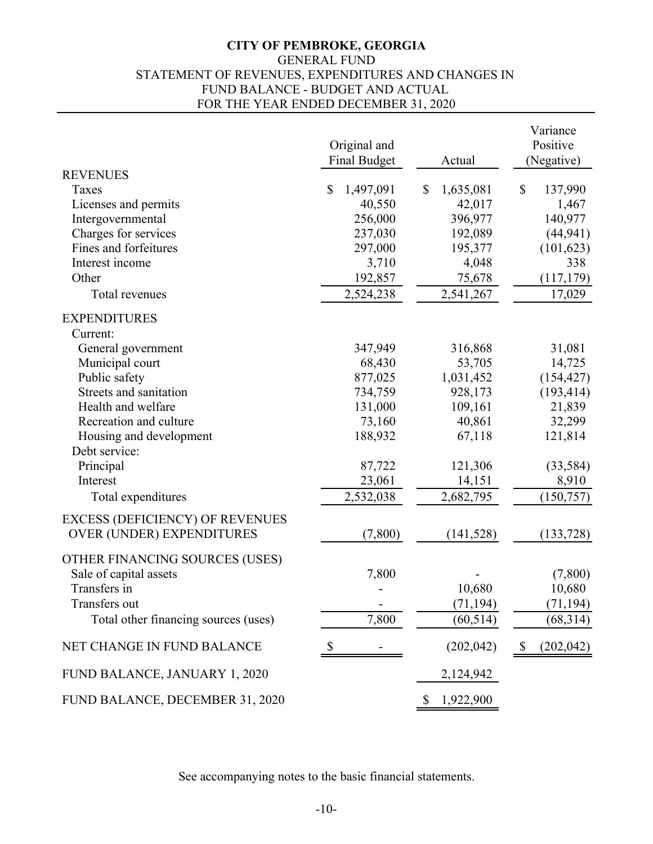#### **CITY OF PEMBROKE, GEORGIA** FOR THE YEAR ENDED DECEMBER 31, 2020 FUND BALANCE - BUDGET AND ACTUAL STATEMENT OF REVENUES, EXPENDITURES AND CHANGES IN GENERAL FUND

|                                                                     | Original and<br><b>Final Budget</b> | Actual          | Variance<br>Positive<br>(Negative) |
|---------------------------------------------------------------------|-------------------------------------|-----------------|------------------------------------|
| <b>REVENUES</b>                                                     |                                     |                 |                                    |
| Taxes                                                               | \$<br>1,497,091                     | \$<br>1,635,081 | \$<br>137,990                      |
| Licenses and permits                                                | 40,550                              | 42,017          | 1,467                              |
| Intergovernmental                                                   | 256,000                             | 396,977         | 140,977                            |
| Charges for services                                                | 237,030                             | 192,089         | (44, 941)                          |
| Fines and forfeitures                                               | 297,000                             | 195,377         | (101, 623)                         |
| Interest income                                                     | 3,710                               | 4,048           | 338                                |
| Other                                                               | 192,857                             | 75,678          | (117, 179)                         |
| Total revenues                                                      | 2,524,238                           | 2,541,267       | 17,029                             |
| <b>EXPENDITURES</b><br>Current:                                     |                                     |                 |                                    |
| General government                                                  | 347,949                             | 316,868         | 31,081                             |
| Municipal court                                                     | 68,430                              | 53,705          | 14,725                             |
| Public safety                                                       | 877,025                             | 1,031,452       | (154, 427)                         |
| Streets and sanitation                                              | 734,759                             | 928,173         | (193, 414)                         |
| Health and welfare                                                  | 131,000                             | 109,161         | 21,839                             |
| Recreation and culture                                              | 73,160                              | 40,861          | 32,299                             |
| Housing and development                                             | 188,932                             | 67,118          | 121,814                            |
| Debt service:                                                       |                                     |                 |                                    |
| Principal                                                           | 87,722                              | 121,306         | (33, 584)                          |
| Interest                                                            | 23,061                              | 14,151          | 8,910                              |
| Total expenditures                                                  | 2,532,038                           | 2,682,795       | (150, 757)                         |
| <b>EXCESS (DEFICIENCY) OF REVENUES</b><br>OVER (UNDER) EXPENDITURES | (7,800)                             | (141, 528)      | (133, 728)                         |
| OTHER FINANCING SOURCES (USES)                                      |                                     |                 |                                    |
| Sale of capital assets                                              | 7,800                               |                 | (7,800)                            |
| Transfers in                                                        |                                     | 10,680          | 10,680                             |
| Transfers out                                                       |                                     | (71, 194)       | (71, 194)                          |
| Total other financing sources (uses)                                | 7,800                               | (60, 514)       | (68, 314)                          |
| NET CHANGE IN FUND BALANCE                                          | $\mathbb{S}$                        | (202, 042)      | (202, 042)<br>$\mathbb{S}$         |
| FUND BALANCE, JANUARY 1, 2020                                       |                                     | 2,124,942       |                                    |
| FUND BALANCE, DECEMBER 31, 2020                                     |                                     | 1,922,900<br>S  |                                    |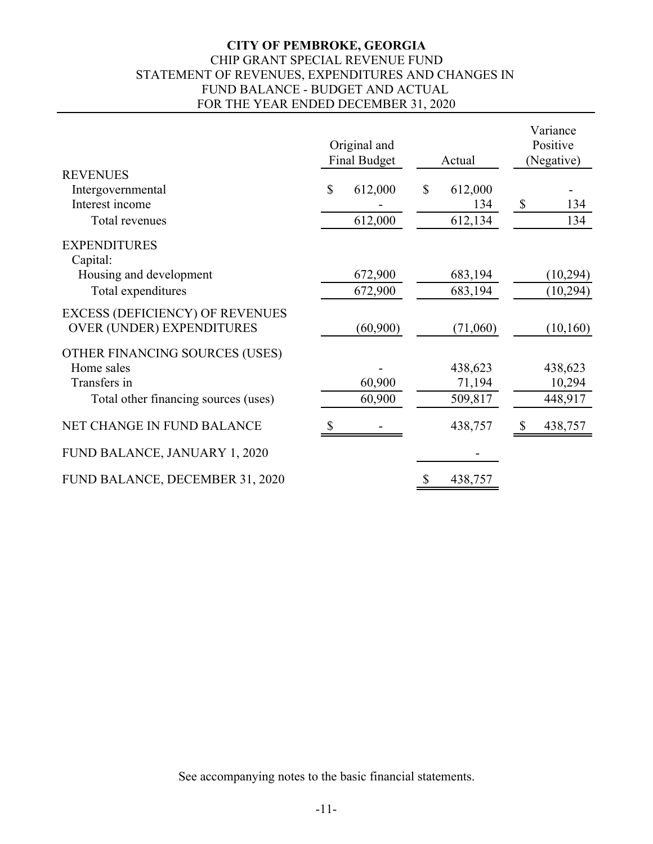### **CITY OF PEMBROKE, GEORGIA** CHIP GRANT SPECIAL REVENUE FUND STATEMENT OF REVENUES, EXPENDITURES AND CHANGES IN FUND BALANCE - BUDGET AND ACTUAL FOR THE YEAR ENDED DECEMBER 31, 2020

|                                                                                                      | Original and<br><b>Final Budget</b> | Actual                       | Variance<br>Positive<br>(Negative) |  |  |
|------------------------------------------------------------------------------------------------------|-------------------------------------|------------------------------|------------------------------------|--|--|
| <b>REVENUES</b><br>Intergovernmental<br>Interest income                                              | \$<br>612,000                       | \$<br>612,000<br>134         | \$<br>134                          |  |  |
| Total revenues<br><b>EXPENDITURES</b><br>Capital:                                                    | 612,000                             | 612,134                      | 134                                |  |  |
| Housing and development<br>Total expenditures                                                        | 672,900<br>672,900                  | 683,194<br>683,194           | (10, 294)<br>(10,294)              |  |  |
| <b>EXCESS (DEFICIENCY) OF REVENUES</b><br>OVER (UNDER) EXPENDITURES                                  | (60,900)                            | (71,060)                     | (10, 160)                          |  |  |
| OTHER FINANCING SOURCES (USES)<br>Home sales<br>Transfers in<br>Total other financing sources (uses) | 60,900<br>60,900                    | 438,623<br>71,194<br>509,817 | 438,623<br>10,294<br>448,917       |  |  |
| NET CHANGE IN FUND BALANCE                                                                           |                                     | 438,757                      | 438,757                            |  |  |
| FUND BALANCE, JANUARY 1, 2020                                                                        |                                     |                              |                                    |  |  |
| FUND BALANCE, DECEMBER 31, 2020                                                                      |                                     | 438,757                      |                                    |  |  |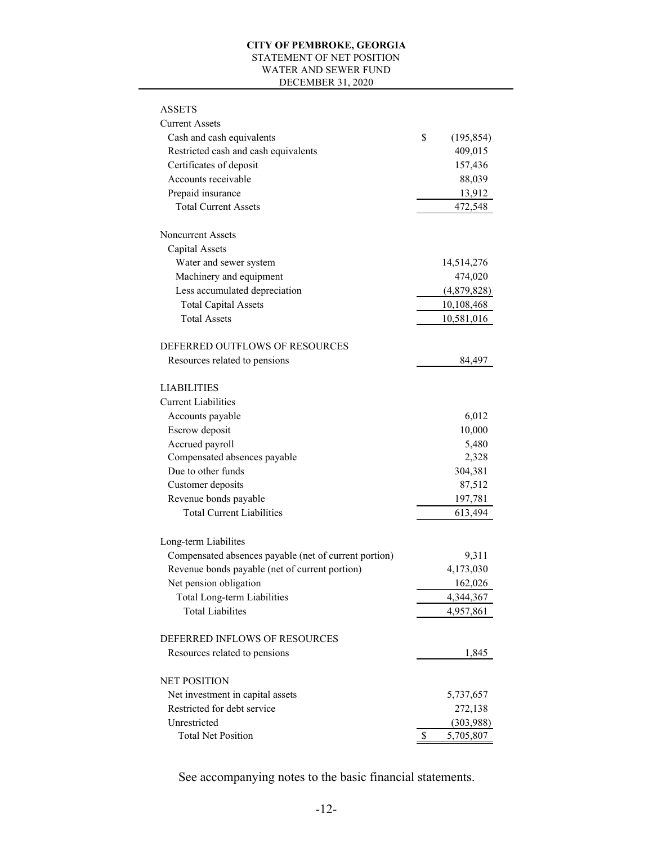#### **CITY OF PEMBROKE, GEORGIA** STATEMENT OF NET POSITION WATER AND SEWER FUND DECEMBER 31, 2020

| <b>ASSETS</b>                                         |                  |
|-------------------------------------------------------|------------------|
| <b>Current Assets</b>                                 |                  |
| Cash and cash equivalents                             | \$<br>(195, 854) |
| Restricted cash and cash equivalents                  | 409,015          |
| Certificates of deposit                               | 157,436          |
| Accounts receivable                                   | 88,039           |
| Prepaid insurance                                     | 13,912           |
| <b>Total Current Assets</b>                           | 472,548          |
|                                                       |                  |
| <b>Noncurrent Assets</b>                              |                  |
| Capital Assets                                        |                  |
| Water and sewer system                                | 14,514,276       |
| Machinery and equipment                               | 474,020          |
| Less accumulated depreciation                         | (4,879,828)      |
| <b>Total Capital Assets</b>                           | 10,108,468       |
| <b>Total Assets</b>                                   | 10,581,016       |
|                                                       |                  |
| DEFERRED OUTFLOWS OF RESOURCES                        |                  |
| Resources related to pensions                         | 84,497           |
|                                                       |                  |
| <b>LIABILITIES</b>                                    |                  |
| <b>Current Liabilities</b>                            |                  |
| Accounts payable                                      | 6,012            |
| Escrow deposit                                        | 10,000           |
| Accrued payroll                                       | 5,480            |
| Compensated absences payable                          | 2,328            |
| Due to other funds                                    | 304,381          |
| Customer deposits                                     | 87,512           |
| Revenue bonds payable                                 | 197,781          |
| <b>Total Current Liabilities</b>                      | 613,494          |
|                                                       |                  |
| Long-term Liabilites                                  |                  |
| Compensated absences payable (net of current portion) | 9,311            |
| Revenue bonds payable (net of current portion)        | 4,173,030        |
| Net pension obligation                                | 162,026          |
| Total Long-term Liabilities                           | 4,344,367        |
| <b>Total Liabilites</b>                               | 4,957,861        |
| DEFERRED INFLOWS OF RESOURCES                         |                  |
| Resources related to pensions                         | 1,845            |
|                                                       |                  |
| <b>NET POSITION</b>                                   |                  |
| Net investment in capital assets                      | 5,737,657        |
| Restricted for debt service                           | 272,138          |
| Unrestricted                                          | (303,988)        |
| <b>Total Net Position</b>                             | \$<br>5,705,807  |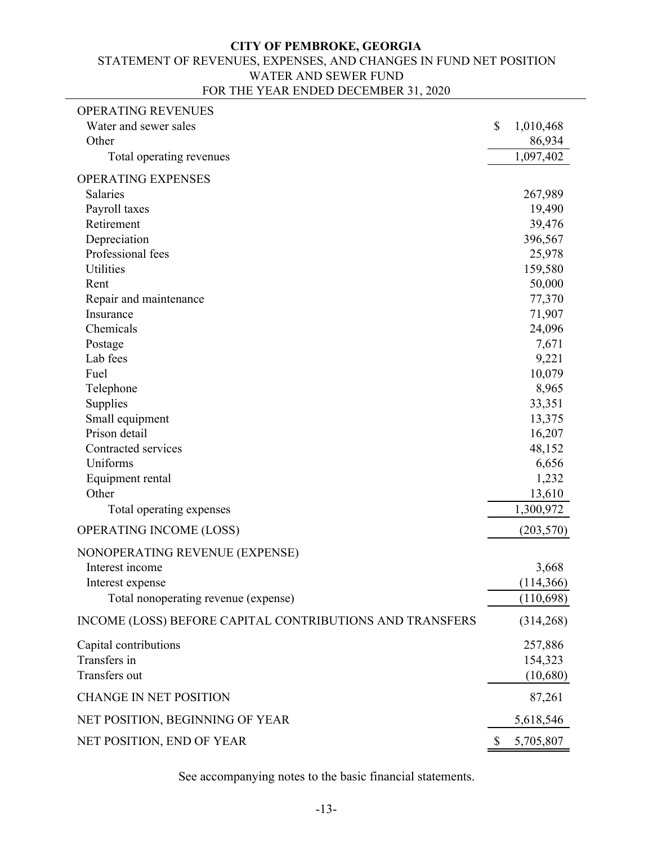## **CITY OF PEMBROKE, GEORGIA**

# STATEMENT OF REVENUES, EXPENSES, AND CHANGES IN FUND NET POSITION

WATER AND SEWER FUND

FOR THE YEAR ENDED DECEMBER 31, 2020

| <b>OPERATING REVENUES</b>                                |                 |
|----------------------------------------------------------|-----------------|
| Water and sewer sales                                    | \$<br>1,010,468 |
| Other                                                    | 86,934          |
| Total operating revenues                                 | 1,097,402       |
| OPERATING EXPENSES                                       |                 |
| Salaries                                                 | 267,989         |
| Payroll taxes                                            | 19,490          |
| Retirement                                               | 39,476          |
| Depreciation                                             | 396,567         |
| Professional fees                                        | 25,978          |
| <b>Utilities</b>                                         | 159,580         |
| Rent                                                     | 50,000          |
| Repair and maintenance                                   | 77,370          |
| Insurance                                                | 71,907          |
| Chemicals                                                | 24,096          |
| Postage                                                  | 7,671           |
| Lab fees                                                 | 9,221           |
| Fuel                                                     | 10,079          |
| Telephone                                                | 8,965           |
| Supplies                                                 | 33,351          |
| Small equipment                                          | 13,375          |
| Prison detail                                            | 16,207          |
| Contracted services                                      | 48,152          |
| Uniforms                                                 | 6,656           |
| Equipment rental                                         | 1,232           |
| Other                                                    | 13,610          |
| Total operating expenses                                 | 1,300,972       |
| OPERATING INCOME (LOSS)                                  | (203, 570)      |
| NONOPERATING REVENUE (EXPENSE)                           |                 |
| Interest income                                          | 3,668           |
| Interest expense                                         | (114, 366)      |
| Total nonoperating revenue (expense)                     | (110,698)       |
| INCOME (LOSS) BEFORE CAPITAL CONTRIBUTIONS AND TRANSFERS | (314,268)       |
| Capital contributions                                    | 257,886         |
| Transfers in                                             | 154,323         |
| Transfers out                                            | (10,680)        |
| <b>CHANGE IN NET POSITION</b>                            | 87,261          |
| NET POSITION, BEGINNING OF YEAR                          | 5,618,546       |
| NET POSITION, END OF YEAR                                | \$<br>5,705,807 |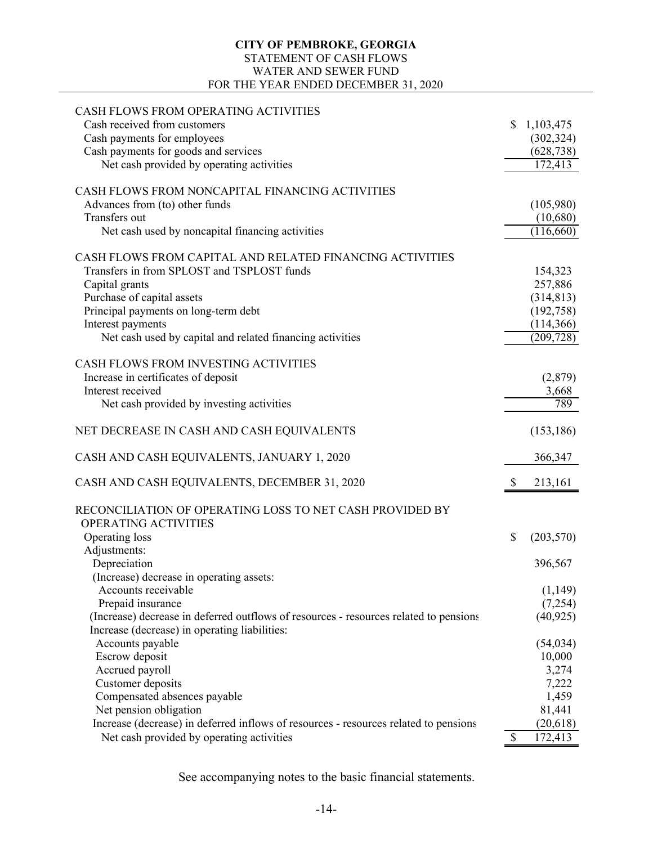#### **CITY OF PEMBROKE, GEORGIA** STATEMENT OF CASH FLOWS WATER AND SEWER FUND FOR THE YEAR ENDED DECEMBER 31, 2020

| CASH FLOWS FROM OPERATING ACTIVITIES                                                  |              |            |
|---------------------------------------------------------------------------------------|--------------|------------|
| Cash received from customers                                                          | \$           | 1,103,475  |
| Cash payments for employees                                                           |              | (302, 324) |
| Cash payments for goods and services                                                  |              | (628, 738) |
| Net cash provided by operating activities                                             |              | 172,413    |
|                                                                                       |              |            |
| CASH FLOWS FROM NONCAPITAL FINANCING ACTIVITIES                                       |              |            |
| Advances from (to) other funds                                                        |              | (105,980)  |
| Transfers out                                                                         |              | (10,680)   |
| Net cash used by noncapital financing activities                                      |              | (116,660)  |
| CASH FLOWS FROM CAPITAL AND RELATED FINANCING ACTIVITIES                              |              |            |
| Transfers in from SPLOST and TSPLOST funds                                            |              | 154,323    |
| Capital grants                                                                        |              | 257,886    |
| Purchase of capital assets                                                            |              | (314, 813) |
| Principal payments on long-term debt                                                  |              | (192, 758) |
| Interest payments                                                                     |              | (114,366)  |
| Net cash used by capital and related financing activities                             |              | (209, 728) |
|                                                                                       |              |            |
| CASH FLOWS FROM INVESTING ACTIVITIES                                                  |              |            |
| Increase in certificates of deposit                                                   |              | (2,879)    |
| Interest received                                                                     |              | 3,668      |
| Net cash provided by investing activities                                             |              | 789        |
| NET DECREASE IN CASH AND CASH EQUIVALENTS                                             |              | (153, 186) |
| CASH AND CASH EQUIVALENTS, JANUARY 1, 2020                                            |              | 366,347    |
| CASH AND CASH EQUIVALENTS, DECEMBER 31, 2020                                          | S            | 213,161    |
| RECONCILIATION OF OPERATING LOSS TO NET CASH PROVIDED BY                              |              |            |
| OPERATING ACTIVITIES                                                                  |              |            |
| Operating loss                                                                        | \$           | (203, 570) |
| Adjustments:                                                                          |              |            |
| Depreciation                                                                          |              | 396,567    |
| (Increase) decrease in operating assets:                                              |              |            |
| Accounts receivable                                                                   |              | (1,149)    |
| Prepaid insurance                                                                     |              | (7,254)    |
| (Increase) decrease in deferred outflows of resources - resources related to pensions |              | (40, 925)  |
| Increase (decrease) in operating liabilities:                                         |              |            |
| Accounts payable                                                                      |              | (54, 034)  |
| Escrow deposit                                                                        |              | 10,000     |
| Accrued payroll                                                                       |              | 3,274      |
| Customer deposits                                                                     |              | 7,222      |
| Compensated absences payable                                                          |              | 1,459      |
| Net pension obligation                                                                |              | 81,441     |
| Increase (decrease) in deferred inflows of resources - resources related to pensions  |              | (20, 618)  |
| Net cash provided by operating activities                                             | $\mathbb{S}$ | 172,413    |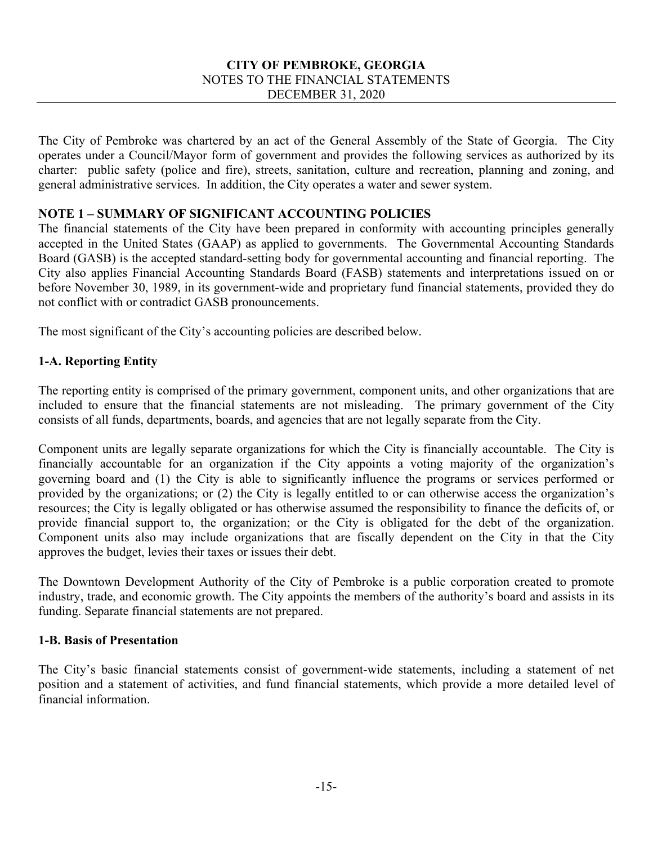#### **CITY OF PEMBROKE, GEORGIA** NOTES TO THE FINANCIAL STATEMENTS DECEMBER 31, 2020

The City of Pembroke was chartered by an act of the General Assembly of the State of Georgia. The City operates under a Council/Mayor form of government and provides the following services as authorized by its charter: public safety (police and fire), streets, sanitation, culture and recreation, planning and zoning, and general administrative services. In addition, the City operates a water and sewer system.

### **NOTE 1 – SUMMARY OF SIGNIFICANT ACCOUNTING POLICIES**

The financial statements of the City have been prepared in conformity with accounting principles generally accepted in the United States (GAAP) as applied to governments. The Governmental Accounting Standards Board (GASB) is the accepted standard-setting body for governmental accounting and financial reporting. The City also applies Financial Accounting Standards Board (FASB) statements and interpretations issued on or before November 30, 1989, in its government-wide and proprietary fund financial statements, provided they do not conflict with or contradict GASB pronouncements.

The most significant of the City's accounting policies are described below.

## **1-A. Reporting Entity**

The reporting entity is comprised of the primary government, component units, and other organizations that are included to ensure that the financial statements are not misleading. The primary government of the City consists of all funds, departments, boards, and agencies that are not legally separate from the City.

Component units are legally separate organizations for which the City is financially accountable. The City is financially accountable for an organization if the City appoints a voting majority of the organization's governing board and (1) the City is able to significantly influence the programs or services performed or provided by the organizations; or (2) the City is legally entitled to or can otherwise access the organization's resources; the City is legally obligated or has otherwise assumed the responsibility to finance the deficits of, or provide financial support to, the organization; or the City is obligated for the debt of the organization. Component units also may include organizations that are fiscally dependent on the City in that the City approves the budget, levies their taxes or issues their debt.

The Downtown Development Authority of the City of Pembroke is a public corporation created to promote industry, trade, and economic growth. The City appoints the members of the authority's board and assists in its funding. Separate financial statements are not prepared.

#### **1-B. Basis of Presentation**

The City's basic financial statements consist of government-wide statements, including a statement of net position and a statement of activities, and fund financial statements, which provide a more detailed level of financial information.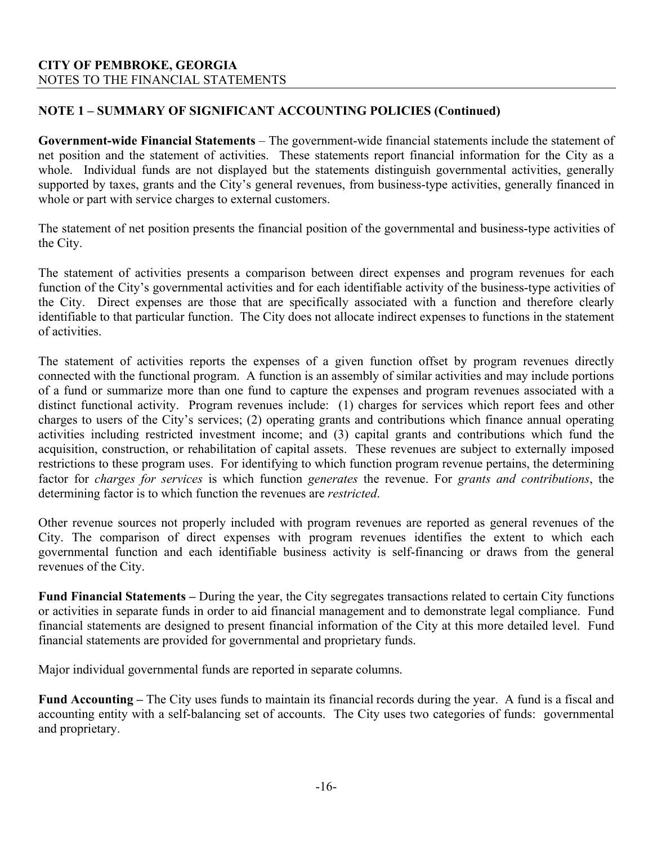**Government-wide Financial Statements** – The government-wide financial statements include the statement of net position and the statement of activities. These statements report financial information for the City as a whole. Individual funds are not displayed but the statements distinguish governmental activities, generally supported by taxes, grants and the City's general revenues, from business-type activities, generally financed in whole or part with service charges to external customers.

The statement of net position presents the financial position of the governmental and business-type activities of the City.

The statement of activities presents a comparison between direct expenses and program revenues for each function of the City's governmental activities and for each identifiable activity of the business-type activities of the City. Direct expenses are those that are specifically associated with a function and therefore clearly identifiable to that particular function. The City does not allocate indirect expenses to functions in the statement of activities.

The statement of activities reports the expenses of a given function offset by program revenues directly connected with the functional program. A function is an assembly of similar activities and may include portions of a fund or summarize more than one fund to capture the expenses and program revenues associated with a distinct functional activity. Program revenues include: (1) charges for services which report fees and other charges to users of the City's services; (2) operating grants and contributions which finance annual operating activities including restricted investment income; and (3) capital grants and contributions which fund the acquisition, construction, or rehabilitation of capital assets. These revenues are subject to externally imposed restrictions to these program uses. For identifying to which function program revenue pertains, the determining factor for *charges for services* is which function *generates* the revenue. For *grants and contributions*, the determining factor is to which function the revenues are *restricted*.

Other revenue sources not properly included with program revenues are reported as general revenues of the City. The comparison of direct expenses with program revenues identifies the extent to which each governmental function and each identifiable business activity is self-financing or draws from the general revenues of the City.

**Fund Financial Statements** *–* During the year, the City segregates transactions related to certain City functions or activities in separate funds in order to aid financial management and to demonstrate legal compliance. Fund financial statements are designed to present financial information of the City at this more detailed level. Fund financial statements are provided for governmental and proprietary funds.

Major individual governmental funds are reported in separate columns.

**Fund Accounting** *–* The City uses funds to maintain its financial records during the year. A fund is a fiscal and accounting entity with a self-balancing set of accounts. The City uses two categories of funds: governmental and proprietary.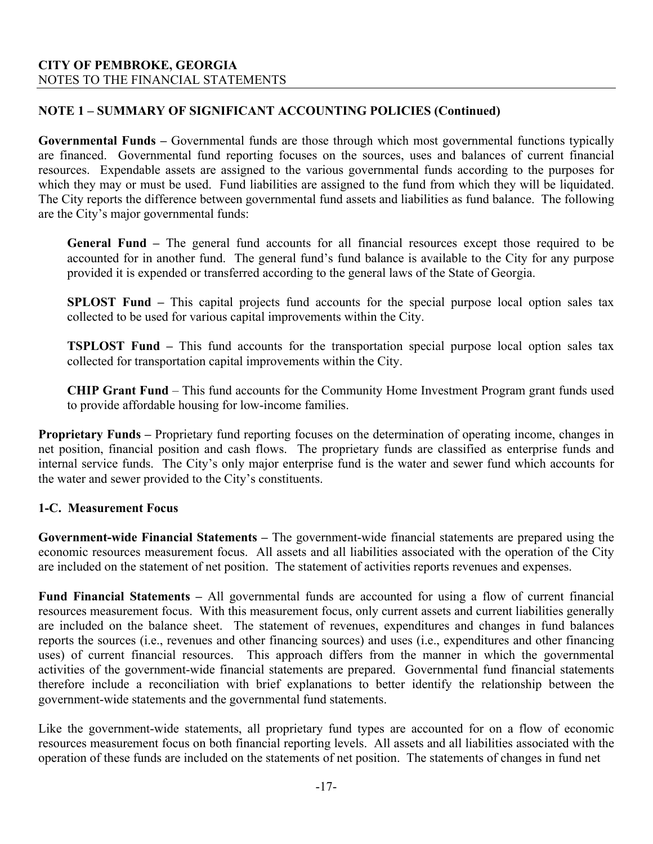**Governmental Funds** *–* Governmental funds are those through which most governmental functions typically are financed. Governmental fund reporting focuses on the sources, uses and balances of current financial resources. Expendable assets are assigned to the various governmental funds according to the purposes for which they may or must be used. Fund liabilities are assigned to the fund from which they will be liquidated. The City reports the difference between governmental fund assets and liabilities as fund balance. The following are the City's major governmental funds:

**General Fund –** The general fund accounts for all financial resources except those required to be accounted for in another fund. The general fund's fund balance is available to the City for any purpose provided it is expended or transferred according to the general laws of the State of Georgia.

**SPLOST Fund – This capital projects fund accounts for the special purpose local option sales tax** collected to be used for various capital improvements within the City.

**TSPLOST Fund –** This fund accounts for the transportation special purpose local option sales tax collected for transportation capital improvements within the City.

**CHIP Grant Fund** – This fund accounts for the Community Home Investment Program grant funds used to provide affordable housing for low-income families.

**Proprietary Funds –** Proprietary fund reporting focuses on the determination of operating income, changes in net position, financial position and cash flows. The proprietary funds are classified as enterprise funds and internal service funds. The City's only major enterprise fund is the water and sewer fund which accounts for the water and sewer provided to the City's constituents.

#### **1-C. Measurement Focus**

**Government-wide Financial Statements** *–* The government-wide financial statements are prepared using the economic resources measurement focus. All assets and all liabilities associated with the operation of the City are included on the statement of net position. The statement of activities reports revenues and expenses.

**Fund Financial Statements** *–* All governmental funds are accounted for using a flow of current financial resources measurement focus. With this measurement focus, only current assets and current liabilities generally are included on the balance sheet. The statement of revenues, expenditures and changes in fund balances reports the sources (i.e., revenues and other financing sources) and uses (i.e., expenditures and other financing uses) of current financial resources. This approach differs from the manner in which the governmental activities of the government-wide financial statements are prepared. Governmental fund financial statements therefore include a reconciliation with brief explanations to better identify the relationship between the government-wide statements and the governmental fund statements.

Like the government-wide statements, all proprietary fund types are accounted for on a flow of economic resources measurement focus on both financial reporting levels. All assets and all liabilities associated with the operation of these funds are included on the statements of net position. The statements of changes in fund net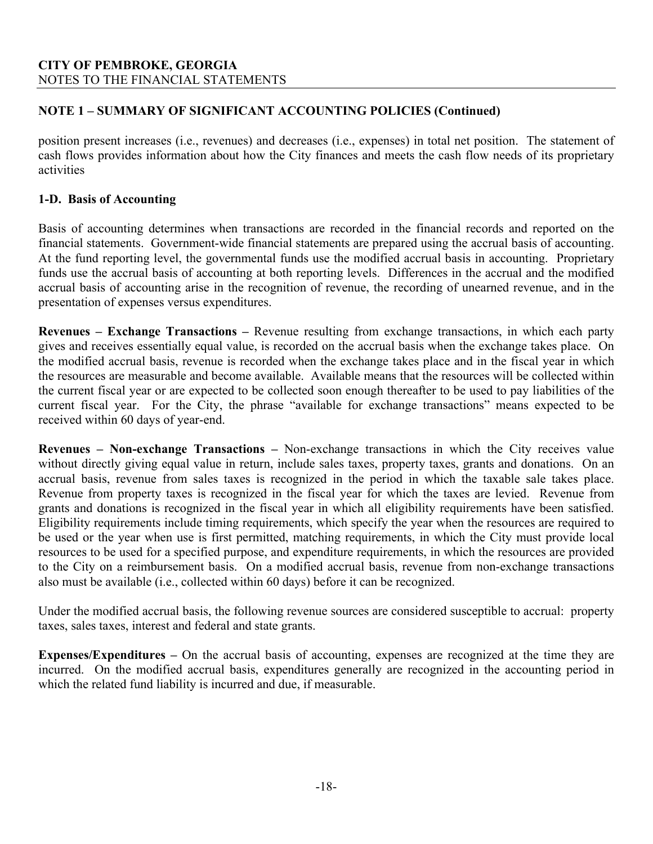position present increases (i.e., revenues) and decreases (i.e., expenses) in total net position. The statement of cash flows provides information about how the City finances and meets the cash flow needs of its proprietary activities

#### **1-D. Basis of Accounting**

Basis of accounting determines when transactions are recorded in the financial records and reported on the financial statements. Government-wide financial statements are prepared using the accrual basis of accounting. At the fund reporting level, the governmental funds use the modified accrual basis in accounting. Proprietary funds use the accrual basis of accounting at both reporting levels. Differences in the accrual and the modified accrual basis of accounting arise in the recognition of revenue, the recording of unearned revenue, and in the presentation of expenses versus expenditures.

**Revenues – Exchange Transactions** *–* Revenue resulting from exchange transactions, in which each party gives and receives essentially equal value, is recorded on the accrual basis when the exchange takes place. On the modified accrual basis, revenue is recorded when the exchange takes place and in the fiscal year in which the resources are measurable and become available. Available means that the resources will be collected within the current fiscal year or are expected to be collected soon enough thereafter to be used to pay liabilities of the current fiscal year. For the City, the phrase "available for exchange transactions" means expected to be received within 60 days of year-end.

**Revenues – Non-exchange Transactions** *–* Non-exchange transactions in which the City receives value without directly giving equal value in return, include sales taxes, property taxes, grants and donations. On an accrual basis, revenue from sales taxes is recognized in the period in which the taxable sale takes place. Revenue from property taxes is recognized in the fiscal year for which the taxes are levied. Revenue from grants and donations is recognized in the fiscal year in which all eligibility requirements have been satisfied. Eligibility requirements include timing requirements, which specify the year when the resources are required to be used or the year when use is first permitted, matching requirements, in which the City must provide local resources to be used for a specified purpose, and expenditure requirements, in which the resources are provided to the City on a reimbursement basis. On a modified accrual basis, revenue from non-exchange transactions also must be available (i.e., collected within 60 days) before it can be recognized.

Under the modified accrual basis, the following revenue sources are considered susceptible to accrual: property taxes, sales taxes, interest and federal and state grants.

**Expenses/Expenditures** *–* On the accrual basis of accounting, expenses are recognized at the time they are incurred. On the modified accrual basis, expenditures generally are recognized in the accounting period in which the related fund liability is incurred and due, if measurable.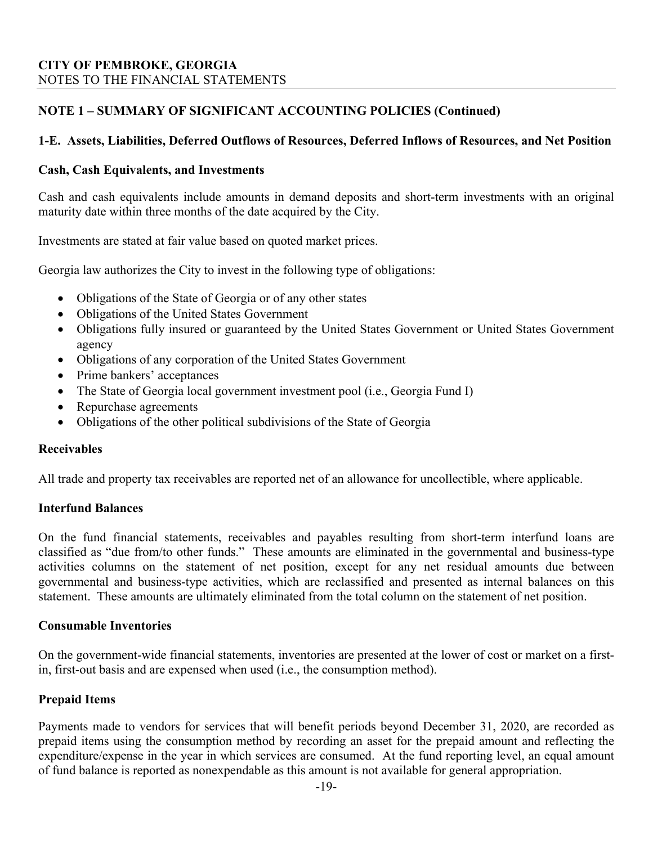### **1-E. Assets, Liabilities, Deferred Outflows of Resources, Deferred Inflows of Resources, and Net Position**

#### **Cash, Cash Equivalents, and Investments**

Cash and cash equivalents include amounts in demand deposits and short-term investments with an original maturity date within three months of the date acquired by the City.

Investments are stated at fair value based on quoted market prices.

Georgia law authorizes the City to invest in the following type of obligations:

- Obligations of the State of Georgia or of any other states
- Obligations of the United States Government
- Obligations fully insured or guaranteed by the United States Government or United States Government agency
- Obligations of any corporation of the United States Government
- Prime bankers' acceptances
- The State of Georgia local government investment pool (i.e., Georgia Fund I)
- Repurchase agreements
- Obligations of the other political subdivisions of the State of Georgia

#### **Receivables**

All trade and property tax receivables are reported net of an allowance for uncollectible, where applicable.

#### **Interfund Balances**

On the fund financial statements, receivables and payables resulting from short-term interfund loans are classified as "due from/to other funds." These amounts are eliminated in the governmental and business-type activities columns on the statement of net position, except for any net residual amounts due between governmental and business-type activities, which are reclassified and presented as internal balances on this statement. These amounts are ultimately eliminated from the total column on the statement of net position.

#### **Consumable Inventories**

On the government-wide financial statements, inventories are presented at the lower of cost or market on a firstin, first-out basis and are expensed when used (i.e., the consumption method).

#### **Prepaid Items**

Payments made to vendors for services that will benefit periods beyond December 31, 2020, are recorded as prepaid items using the consumption method by recording an asset for the prepaid amount and reflecting the expenditure/expense in the year in which services are consumed. At the fund reporting level, an equal amount of fund balance is reported as nonexpendable as this amount is not available for general appropriation.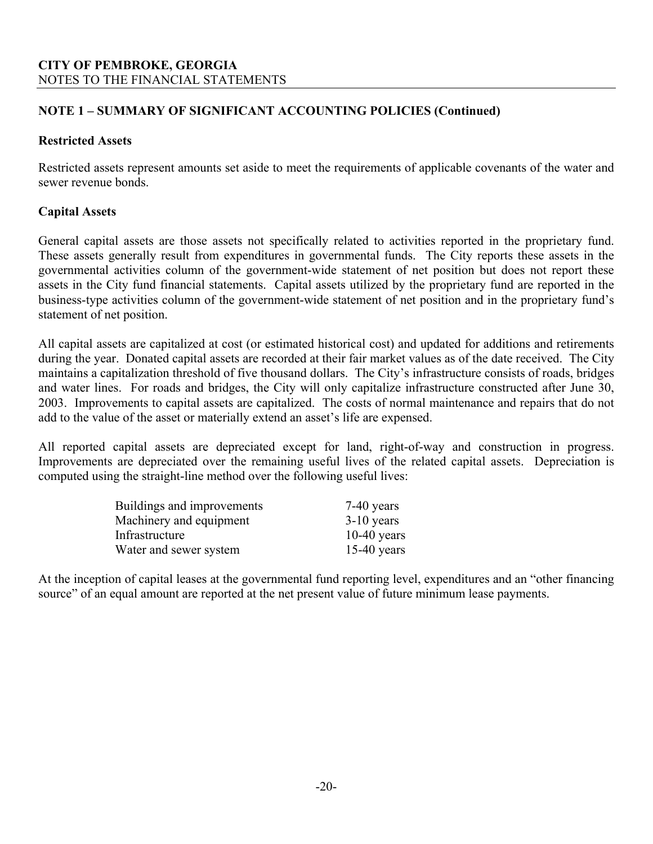#### **Restricted Assets**

Restricted assets represent amounts set aside to meet the requirements of applicable covenants of the water and sewer revenue bonds.

#### **Capital Assets**

General capital assets are those assets not specifically related to activities reported in the proprietary fund. These assets generally result from expenditures in governmental funds. The City reports these assets in the governmental activities column of the government-wide statement of net position but does not report these assets in the City fund financial statements. Capital assets utilized by the proprietary fund are reported in the business-type activities column of the government-wide statement of net position and in the proprietary fund's statement of net position.

All capital assets are capitalized at cost (or estimated historical cost) and updated for additions and retirements during the year. Donated capital assets are recorded at their fair market values as of the date received. The City maintains a capitalization threshold of five thousand dollars. The City's infrastructure consists of roads, bridges and water lines. For roads and bridges, the City will only capitalize infrastructure constructed after June 30, 2003. Improvements to capital assets are capitalized. The costs of normal maintenance and repairs that do not add to the value of the asset or materially extend an asset's life are expensed.

All reported capital assets are depreciated except for land, right-of-way and construction in progress. Improvements are depreciated over the remaining useful lives of the related capital assets. Depreciation is computed using the straight-line method over the following useful lives:

| Buildings and improvements | $7-40$ years |
|----------------------------|--------------|
| Machinery and equipment    | $3-10$ years |
| Infrastructure             | 10-40 years  |
| Water and sewer system     | 15-40 years  |

At the inception of capital leases at the governmental fund reporting level, expenditures and an "other financing source" of an equal amount are reported at the net present value of future minimum lease payments.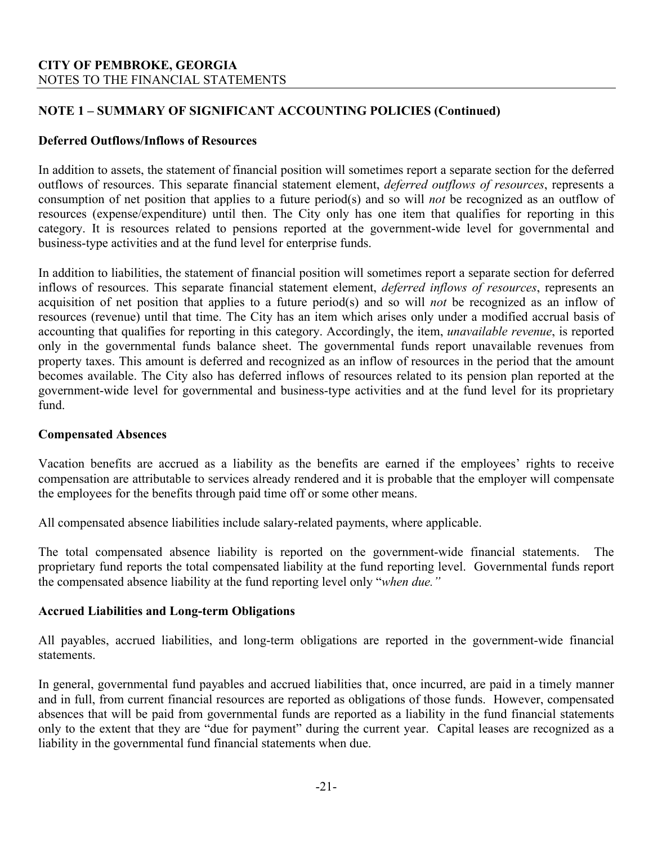#### **Deferred Outflows/Inflows of Resources**

In addition to assets, the statement of financial position will sometimes report a separate section for the deferred outflows of resources. This separate financial statement element, *deferred outflows of resources*, represents a consumption of net position that applies to a future period(s) and so will *not* be recognized as an outflow of resources (expense/expenditure) until then. The City only has one item that qualifies for reporting in this category. It is resources related to pensions reported at the government-wide level for governmental and business-type activities and at the fund level for enterprise funds.

In addition to liabilities, the statement of financial position will sometimes report a separate section for deferred inflows of resources. This separate financial statement element, *deferred inflows of resources*, represents an acquisition of net position that applies to a future period(s) and so will *not* be recognized as an inflow of resources (revenue) until that time. The City has an item which arises only under a modified accrual basis of accounting that qualifies for reporting in this category. Accordingly, the item, *unavailable revenue*, is reported only in the governmental funds balance sheet. The governmental funds report unavailable revenues from property taxes. This amount is deferred and recognized as an inflow of resources in the period that the amount becomes available. The City also has deferred inflows of resources related to its pension plan reported at the government-wide level for governmental and business-type activities and at the fund level for its proprietary fund.

#### **Compensated Absences**

Vacation benefits are accrued as a liability as the benefits are earned if the employees' rights to receive compensation are attributable to services already rendered and it is probable that the employer will compensate the employees for the benefits through paid time off or some other means.

All compensated absence liabilities include salary-related payments, where applicable.

The total compensated absence liability is reported on the government-wide financial statements. The proprietary fund reports the total compensated liability at the fund reporting level. Governmental funds report the compensated absence liability at the fund reporting level only "*when due."*

#### **Accrued Liabilities and Long-term Obligations**

All payables, accrued liabilities, and long-term obligations are reported in the government-wide financial statements.

In general, governmental fund payables and accrued liabilities that, once incurred, are paid in a timely manner and in full, from current financial resources are reported as obligations of those funds. However, compensated absences that will be paid from governmental funds are reported as a liability in the fund financial statements only to the extent that they are "due for payment" during the current year. Capital leases are recognized as a liability in the governmental fund financial statements when due.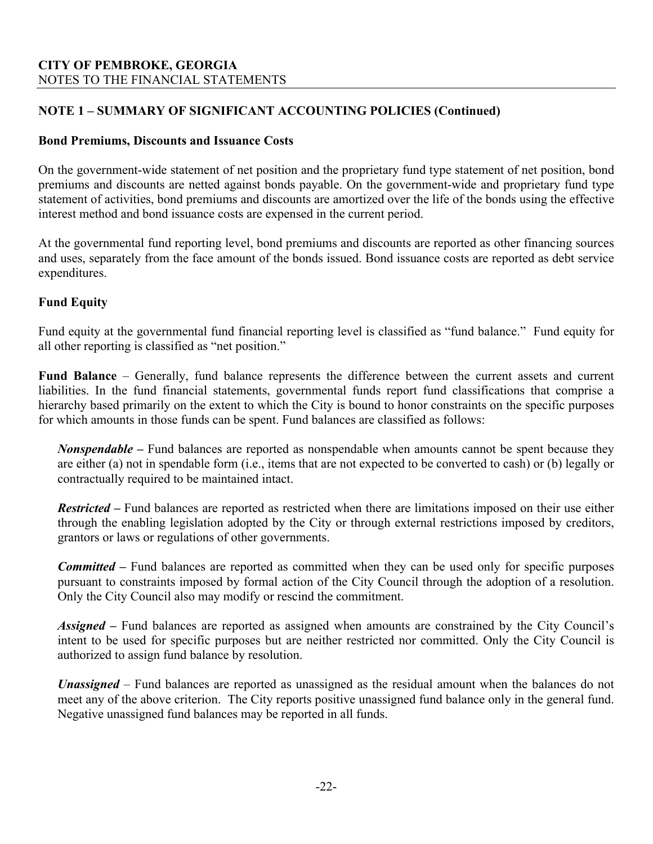#### **Bond Premiums, Discounts and Issuance Costs**

On the government-wide statement of net position and the proprietary fund type statement of net position, bond premiums and discounts are netted against bonds payable. On the government-wide and proprietary fund type statement of activities, bond premiums and discounts are amortized over the life of the bonds using the effective interest method and bond issuance costs are expensed in the current period.

At the governmental fund reporting level, bond premiums and discounts are reported as other financing sources and uses, separately from the face amount of the bonds issued. Bond issuance costs are reported as debt service expenditures.

#### **Fund Equity**

Fund equity at the governmental fund financial reporting level is classified as "fund balance." Fund equity for all other reporting is classified as "net position."

**Fund Balance** – Generally, fund balance represents the difference between the current assets and current liabilities. In the fund financial statements, governmental funds report fund classifications that comprise a hierarchy based primarily on the extent to which the City is bound to honor constraints on the specific purposes for which amounts in those funds can be spent. Fund balances are classified as follows:

*Nonspendable* – Fund balances are reported as nonspendable when amounts cannot be spent because they are either (a) not in spendable form (i.e., items that are not expected to be converted to cash) or (b) legally or contractually required to be maintained intact.

*Restricted* **–** Fund balances are reported as restricted when there are limitations imposed on their use either through the enabling legislation adopted by the City or through external restrictions imposed by creditors, grantors or laws or regulations of other governments.

*Committed* **–** Fund balances are reported as committed when they can be used only for specific purposes pursuant to constraints imposed by formal action of the City Council through the adoption of a resolution. Only the City Council also may modify or rescind the commitment.

*Assigned* **–** Fund balances are reported as assigned when amounts are constrained by the City Council's intent to be used for specific purposes but are neither restricted nor committed. Only the City Council is authorized to assign fund balance by resolution.

*Unassigned* – Fund balances are reported as unassigned as the residual amount when the balances do not meet any of the above criterion. The City reports positive unassigned fund balance only in the general fund. Negative unassigned fund balances may be reported in all funds.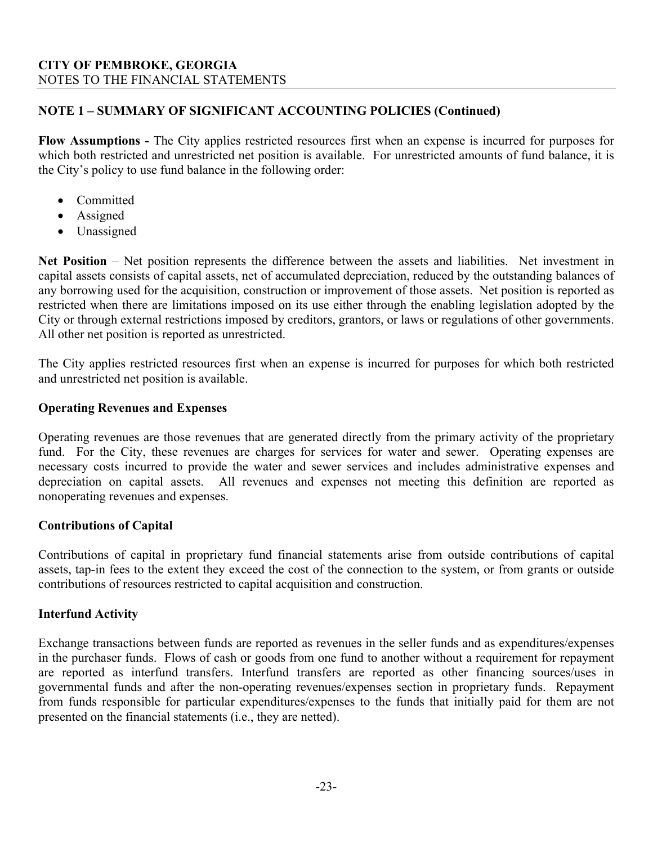**Flow Assumptions -** The City applies restricted resources first when an expense is incurred for purposes for which both restricted and unrestricted net position is available. For unrestricted amounts of fund balance, it is the City's policy to use fund balance in the following order:

- Committed
- Assigned
- Unassigned

**Net Position** – Net position represents the difference between the assets and liabilities. Net investment in capital assets consists of capital assets, net of accumulated depreciation, reduced by the outstanding balances of any borrowing used for the acquisition, construction or improvement of those assets. Net position is reported as restricted when there are limitations imposed on its use either through the enabling legislation adopted by the City or through external restrictions imposed by creditors, grantors, or laws or regulations of other governments. All other net position is reported as unrestricted.

The City applies restricted resources first when an expense is incurred for purposes for which both restricted and unrestricted net position is available.

#### **Operating Revenues and Expenses**

Operating revenues are those revenues that are generated directly from the primary activity of the proprietary fund. For the City, these revenues are charges for services for water and sewer. Operating expenses are necessary costs incurred to provide the water and sewer services and includes administrative expenses and depreciation on capital assets. All revenues and expenses not meeting this definition are reported as nonoperating revenues and expenses.

#### **Contributions of Capital**

Contributions of capital in proprietary fund financial statements arise from outside contributions of capital assets, tap-in fees to the extent they exceed the cost of the connection to the system, or from grants or outside contributions of resources restricted to capital acquisition and construction.

#### **Interfund Activity**

Exchange transactions between funds are reported as revenues in the seller funds and as expenditures/expenses in the purchaser funds. Flows of cash or goods from one fund to another without a requirement for repayment are reported as interfund transfers. Interfund transfers are reported as other financing sources/uses in governmental funds and after the non-operating revenues/expenses section in proprietary funds. Repayment from funds responsible for particular expenditures/expenses to the funds that initially paid for them are not presented on the financial statements (i.e., they are netted).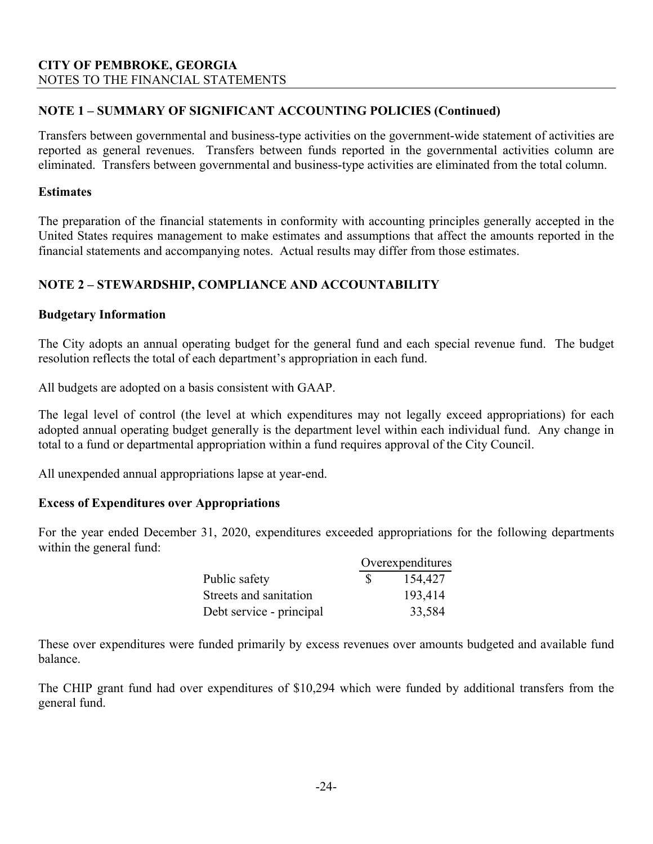Transfers between governmental and business-type activities on the government-wide statement of activities are reported as general revenues. Transfers between funds reported in the governmental activities column are eliminated. Transfers between governmental and business-type activities are eliminated from the total column.

#### **Estimates**

The preparation of the financial statements in conformity with accounting principles generally accepted in the United States requires management to make estimates and assumptions that affect the amounts reported in the financial statements and accompanying notes. Actual results may differ from those estimates.

## **NOTE 2 – STEWARDSHIP, COMPLIANCE AND ACCOUNTABILITY**

#### **Budgetary Information**

The City adopts an annual operating budget for the general fund and each special revenue fund. The budget resolution reflects the total of each department's appropriation in each fund.

All budgets are adopted on a basis consistent with GAAP.

The legal level of control (the level at which expenditures may not legally exceed appropriations) for each adopted annual operating budget generally is the department level within each individual fund. Any change in total to a fund or departmental appropriation within a fund requires approval of the City Council.

All unexpended annual appropriations lapse at year-end.

#### **Excess of Expenditures over Appropriations**

For the year ended December 31, 2020, expenditures exceeded appropriations for the following departments within the general fund:

|                          |              | Overexpenditures |
|--------------------------|--------------|------------------|
| Public safety            | <sup>S</sup> | 154,427          |
| Streets and sanitation   |              | 193,414          |
| Debt service - principal |              | 33,584           |

These over expenditures were funded primarily by excess revenues over amounts budgeted and available fund balance.

The CHIP grant fund had over expenditures of \$10,294 which were funded by additional transfers from the general fund.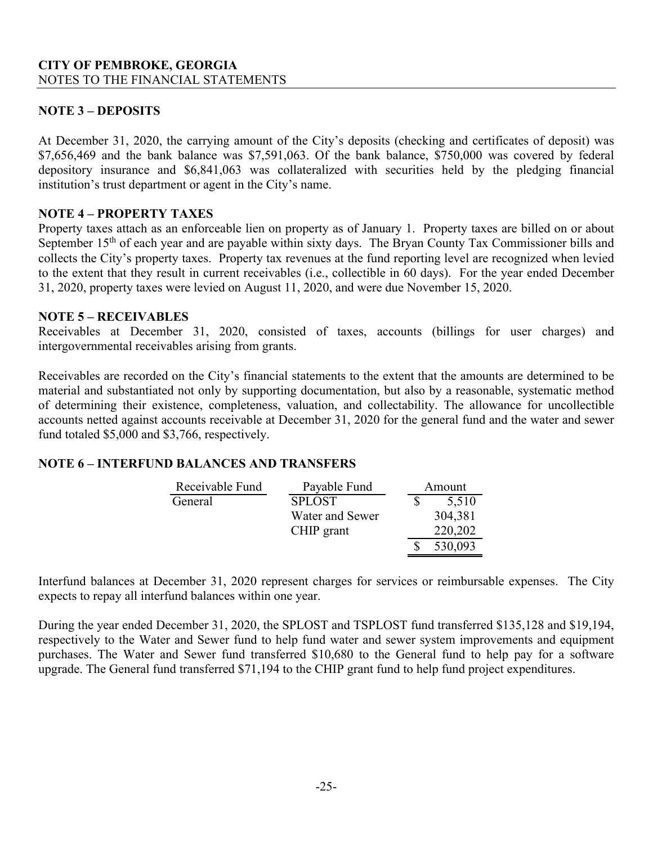## **NOTE 3 – DEPOSITS**

At December 31, 2020, the carrying amount of the City's deposits (checking and certificates of deposit) was \$7,656,469 and the bank balance was \$7,591,063. Of the bank balance, \$750,000 was covered by federal depository insurance and \$6,841,063 was collateralized with securities held by the pledging financial institution's trust department or agent in the City's name.

#### **NOTE 4 – PROPERTY TAXES**

Property taxes attach as an enforceable lien on property as of January 1. Property taxes are billed on or about September 15<sup>th</sup> of each year and are payable within sixty days. The Bryan County Tax Commissioner bills and collects the City's property taxes. Property tax revenues at the fund reporting level are recognized when levied to the extent that they result in current receivables (i.e., collectible in 60 days). For the year ended December 31, 2020, property taxes were levied on August 11, 2020, and were due November 15, 2020.

#### **NOTE 5 – RECEIVABLES**

Receivables at December 31, 2020, consisted of taxes, accounts (billings for user charges) and intergovernmental receivables arising from grants.

Receivables are recorded on the City's financial statements to the extent that the amounts are determined to be material and substantiated not only by supporting documentation, but also by a reasonable, systematic method of determining their existence, completeness, valuation, and collectability. The allowance for uncollectible accounts netted against accounts receivable at December 31, 2020 for the general fund and the water and sewer fund totaled \$5,000 and \$3,766, respectively.

#### **NOTE 6 – INTERFUND BALANCES AND TRANSFERS**

| Receivable Fund | Payable Fund    |  | Amount  |
|-----------------|-----------------|--|---------|
| General         | <b>SPLOST</b>   |  | 5,510   |
|                 | Water and Sewer |  | 304,381 |
|                 | CHIP grant      |  | 220,202 |
|                 |                 |  | 530,093 |

Interfund balances at December 31, 2020 represent charges for services or reimbursable expenses. The City expects to repay all interfund balances within one year.

During the year ended December 31, 2020, the SPLOST and TSPLOST fund transferred \$135,128 and \$19,194, respectively to the Water and Sewer fund to help fund water and sewer system improvements and equipment purchases. The Water and Sewer fund transferred \$10,680 to the General fund to help pay for a software upgrade. The General fund transferred \$71,194 to the CHIP grant fund to help fund project expenditures.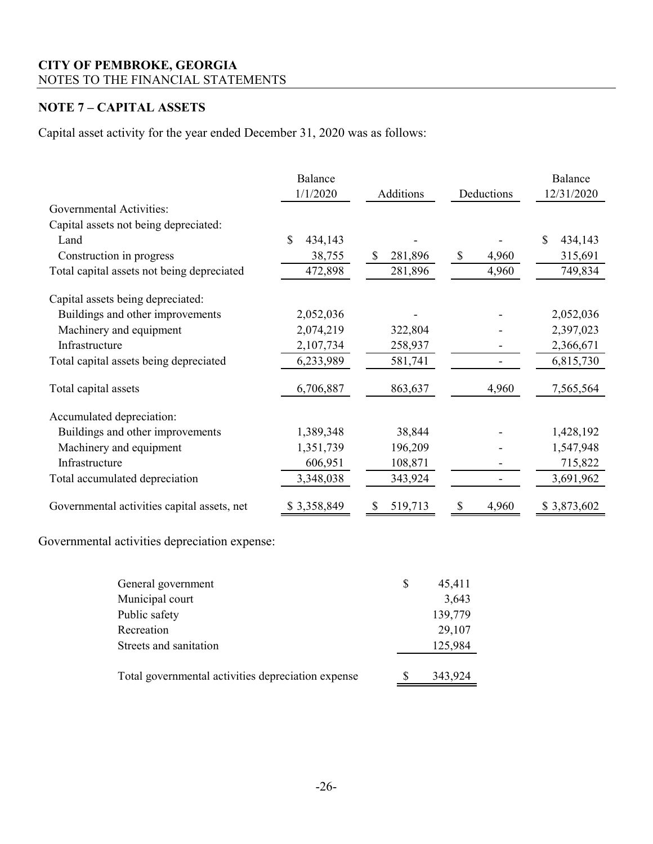## **CITY OF PEMBROKE, GEORGIA** NOTES TO THE FINANCIAL STATEMENTS

## **NOTE 7 – CAPITAL ASSETS**

Capital asset activity for the year ended December 31, 2020 was as follows:

|                                             | Balance       |               |                                    | Balance       |
|---------------------------------------------|---------------|---------------|------------------------------------|---------------|
|                                             | 1/1/2020      | Additions     | Deductions                         | 12/31/2020    |
| Governmental Activities:                    |               |               |                                    |               |
| Capital assets not being depreciated:       |               |               |                                    |               |
| Land                                        | \$<br>434,143 |               |                                    | \$<br>434,143 |
| Construction in progress                    | 38,755        | 281,896<br>S. | $\boldsymbol{\mathsf{S}}$<br>4,960 | 315,691       |
| Total capital assets not being depreciated  | 472,898       | 281,896       | 4,960                              | 749,834       |
| Capital assets being depreciated:           |               |               |                                    |               |
| Buildings and other improvements            | 2,052,036     |               |                                    | 2,052,036     |
| Machinery and equipment                     | 2,074,219     | 322,804       |                                    | 2,397,023     |
| Infrastructure                              | 2,107,734     | 258,937       |                                    | 2,366,671     |
| Total capital assets being depreciated      | 6,233,989     | 581,741       |                                    | 6,815,730     |
| Total capital assets                        | 6,706,887     | 863,637       | 4,960                              | 7,565,564     |
| Accumulated depreciation:                   |               |               |                                    |               |
| Buildings and other improvements            | 1,389,348     | 38,844        |                                    | 1,428,192     |
| Machinery and equipment                     | 1,351,739     | 196,209       |                                    | 1,547,948     |
| Infrastructure                              | 606,951       | 108,871       |                                    | 715,822       |
| Total accumulated depreciation              | 3,348,038     | 343,924       |                                    | 3,691,962     |
| Governmental activities capital assets, net | \$3,358,849   | 519,713       | 4,960<br>S                         | \$3,873,602   |

Governmental activities depreciation expense:

| General government                                 | S | 45,411  |
|----------------------------------------------------|---|---------|
| Municipal court                                    |   | 3,643   |
| Public safety                                      |   | 139,779 |
| Recreation                                         |   | 29,107  |
| Streets and sanitation                             |   | 125,984 |
| Total governmental activities depreciation expense |   | 343,924 |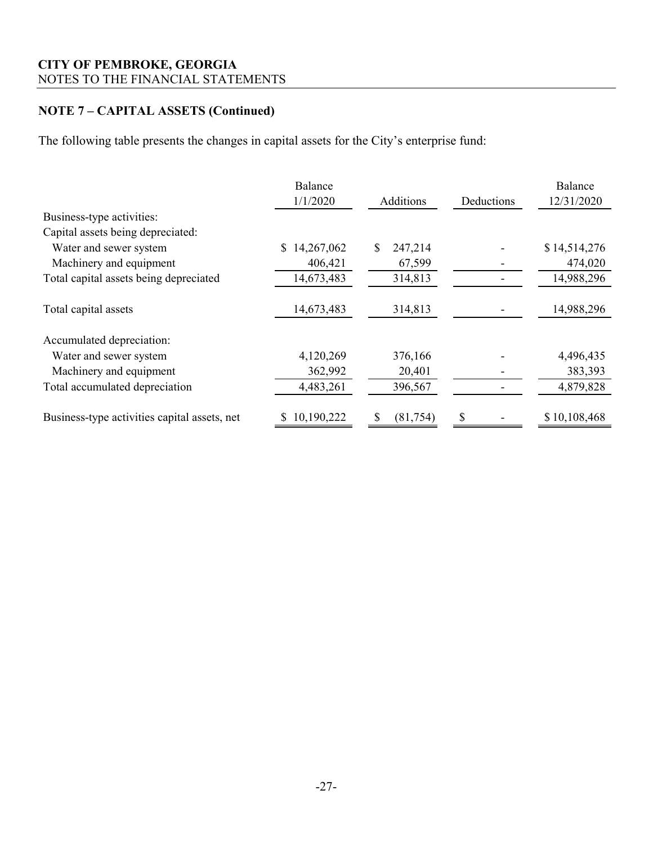## **CITY OF PEMBROKE, GEORGIA** NOTES TO THE FINANCIAL STATEMENTS

## **NOTE 7 – CAPITAL ASSETS (Continued)**

The following table presents the changes in capital assets for the City's enterprise fund:

|                                              | Balance<br>1/1/2020 | Additions       | Deductions | Balance<br>12/31/2020 |
|----------------------------------------------|---------------------|-----------------|------------|-----------------------|
| Business-type activities:                    |                     |                 |            |                       |
| Capital assets being depreciated:            |                     |                 |            |                       |
| Water and sewer system                       | 14,267,062<br>\$    | 247,214<br>S.   |            | \$14,514,276          |
| Machinery and equipment                      | 406,421             | 67,599          |            | 474,020               |
| Total capital assets being depreciated       | 14,673,483          | 314,813         |            | 14,988,296            |
| Total capital assets                         | 14,673,483          | 314,813         |            | 14,988,296            |
| Accumulated depreciation:                    |                     |                 |            |                       |
| Water and sewer system                       | 4,120,269           | 376,166         |            | 4,496,435             |
| Machinery and equipment                      | 362,992             | 20,401          |            | 383,393               |
| Total accumulated depreciation               | 4,483,261           | 396,567         |            | 4,879,828             |
| Business-type activities capital assets, net | 10,190,222          | (81, 754)<br>\$ | \$         | \$10,108,468          |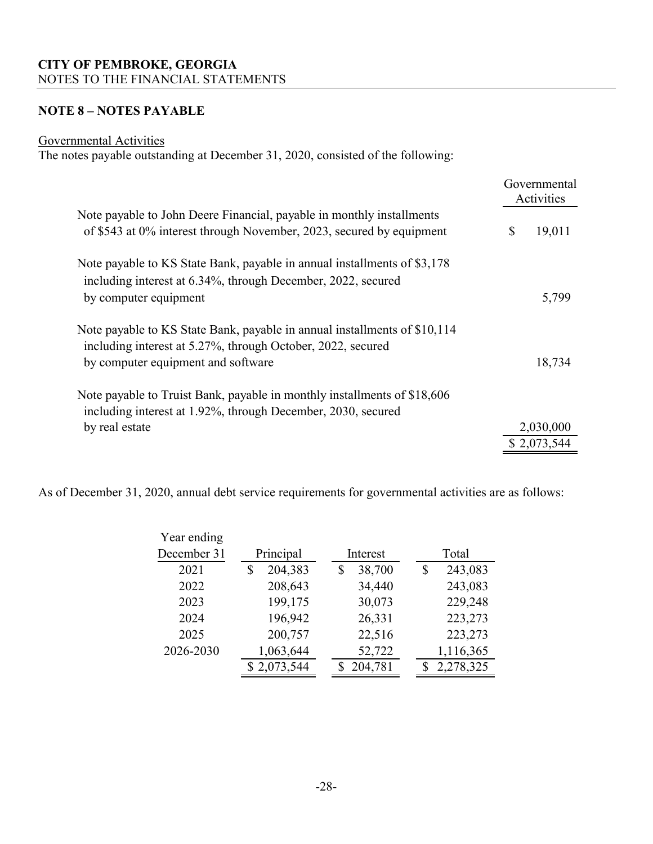## **CITY OF PEMBROKE, GEORGIA** NOTES TO THE FINANCIAL STATEMENTS

#### **NOTE 8 – NOTES PAYABLE**

#### Governmental Activities

The notes payable outstanding at December 31, 2020, consisted of the following:

|                                                                                                                                          | Governmental<br>Activities |
|------------------------------------------------------------------------------------------------------------------------------------------|----------------------------|
| Note payable to John Deere Financial, payable in monthly installments                                                                    |                            |
| of \$543 at 0% interest through November, 2023, secured by equipment                                                                     | \$<br>19,011               |
| Note payable to KS State Bank, payable in annual installments of \$3,178<br>including interest at 6.34%, through December, 2022, secured |                            |
| by computer equipment                                                                                                                    | 5,799                      |
| Note payable to KS State Bank, payable in annual installments of \$10,114                                                                |                            |
| including interest at 5.27%, through October, 2022, secured                                                                              |                            |
| by computer equipment and software                                                                                                       | 18,734                     |
| Note payable to Truist Bank, payable in monthly installments of \$18,606                                                                 |                            |
| including interest at 1.92%, through December, 2030, secured                                                                             |                            |
| by real estate                                                                                                                           | 2,030,000                  |
|                                                                                                                                          | \$2,073,544                |

As of December 31, 2020, annual debt service requirements for governmental activities are as follows:

| Year ending |               |              |               |
|-------------|---------------|--------------|---------------|
| December 31 | Principal     | Interest     | Total         |
| 2021        | 204,383<br>\$ | 38,700<br>\$ | 243,083<br>\$ |
| 2022        | 208,643       | 34,440       | 243,083       |
| 2023        | 199,175       | 30,073       | 229,248       |
| 2024        | 196,942       | 26,331       | 223,273       |
| 2025        | 200,757       | 22,516       | 223,273       |
| 2026-2030   | 1,063,644     | 52,722       | 1,116,365     |
|             | 2,073,544     | 204,781      | 2,278,325     |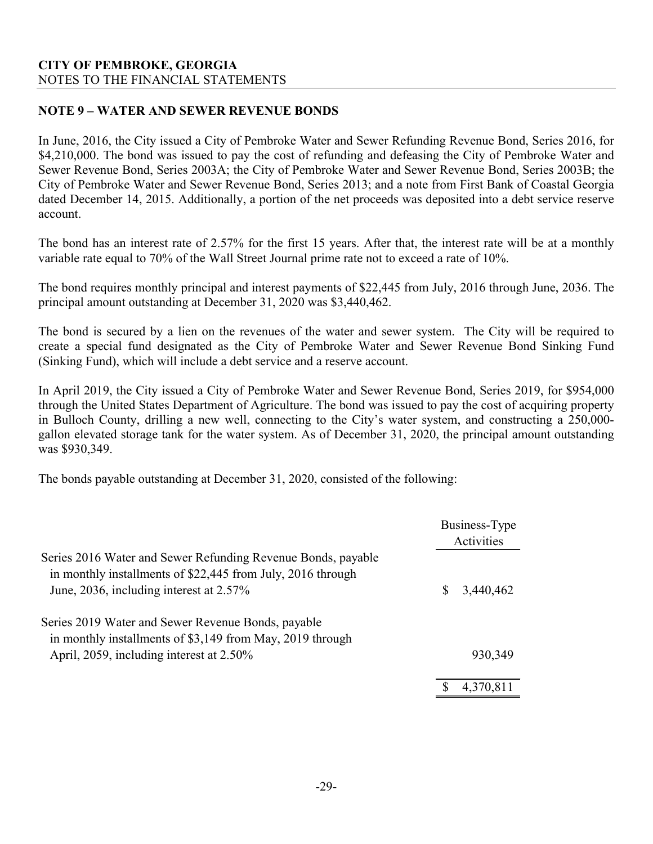#### **NOTE 9 – WATER AND SEWER REVENUE BONDS**

In June, 2016, the City issued a City of Pembroke Water and Sewer Refunding Revenue Bond, Series 2016, for \$4,210,000. The bond was issued to pay the cost of refunding and defeasing the City of Pembroke Water and Sewer Revenue Bond, Series 2003A; the City of Pembroke Water and Sewer Revenue Bond, Series 2003B; the City of Pembroke Water and Sewer Revenue Bond, Series 2013; and a note from First Bank of Coastal Georgia dated December 14, 2015. Additionally, a portion of the net proceeds was deposited into a debt service reserve account.

The bond has an interest rate of 2.57% for the first 15 years. After that, the interest rate will be at a monthly variable rate equal to 70% of the Wall Street Journal prime rate not to exceed a rate of 10%.

The bond requires monthly principal and interest payments of \$22,445 from July, 2016 through June, 2036. The principal amount outstanding at December 31, 2020 was \$3,440,462.

The bond is secured by a lien on the revenues of the water and sewer system. The City will be required to create a special fund designated as the City of Pembroke Water and Sewer Revenue Bond Sinking Fund (Sinking Fund), which will include a debt service and a reserve account.

In April 2019, the City issued a City of Pembroke Water and Sewer Revenue Bond, Series 2019, for \$954,000 through the United States Department of Agriculture. The bond was issued to pay the cost of acquiring property in Bulloch County, drilling a new well, connecting to the City's water system, and constructing a 250,000 gallon elevated storage tank for the water system. As of December 31, 2020, the principal amount outstanding was \$930,349.

The bonds payable outstanding at December 31, 2020, consisted of the following:

|                                                                                                                                                                        | Business-Type<br>Activities |
|------------------------------------------------------------------------------------------------------------------------------------------------------------------------|-----------------------------|
| Series 2016 Water and Sewer Refunding Revenue Bonds, payable<br>in monthly installments of \$22,445 from July, 2016 through<br>June, 2036, including interest at 2.57% | 3,440,462                   |
| Series 2019 Water and Sewer Revenue Bonds, payable<br>in monthly installments of \$3,149 from May, 2019 through                                                        |                             |
| April, 2059, including interest at 2.50%                                                                                                                               | 930,349                     |
|                                                                                                                                                                        | 4,370,811                   |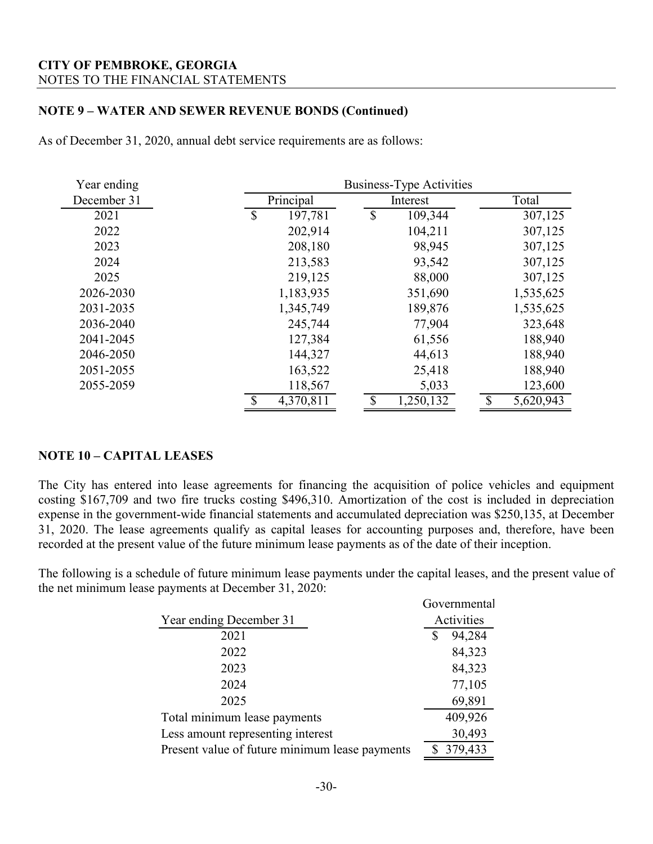#### **NOTE 9 – WATER AND SEWER REVENUE BONDS (Continued)**

As of December 31, 2020, annual debt service requirements are as follows:

| Year ending |               | <b>Business-Type Activities</b> |  |              |           |  |  |           |
|-------------|---------------|---------------------------------|--|--------------|-----------|--|--|-----------|
| December 31 |               | Principal                       |  |              | Interest  |  |  | Total     |
| 2021        | $\mathcal{S}$ | 197,781                         |  | $\mathbf S$  | 109,344   |  |  | 307,125   |
| 2022        |               | 202,914                         |  |              | 104,211   |  |  | 307,125   |
| 2023        |               | 208,180                         |  |              | 98,945    |  |  | 307,125   |
| 2024        |               | 213,583                         |  |              | 93,542    |  |  | 307,125   |
| 2025        |               | 219,125                         |  |              | 88,000    |  |  | 307,125   |
| 2026-2030   |               | 1,183,935                       |  |              | 351,690   |  |  | 1,535,625 |
| 2031-2035   |               | 1,345,749                       |  |              | 189,876   |  |  | 1,535,625 |
| 2036-2040   |               | 245,744                         |  |              | 77,904    |  |  | 323,648   |
| 2041-2045   |               | 127,384                         |  |              | 61,556    |  |  | 188,940   |
| 2046-2050   |               | 144,327                         |  |              | 44,613    |  |  | 188,940   |
| 2051-2055   |               | 163,522                         |  |              | 25,418    |  |  | 188,940   |
| 2055-2059   |               | 118,567                         |  |              | 5,033     |  |  | 123,600   |
|             | \$            | 4,370,811                       |  | $\mathbb{S}$ | 1,250,132 |  |  | 5,620,943 |

#### **NOTE 10 – CAPITAL LEASES**

The City has entered into lease agreements for financing the acquisition of police vehicles and equipment costing \$167,709 and two fire trucks costing \$496,310. Amortization of the cost is included in depreciation expense in the government-wide financial statements and accumulated depreciation was \$250,135, at December 31, 2020. The lease agreements qualify as capital leases for accounting purposes and, therefore, have been recorded at the present value of the future minimum lease payments as of the date of their inception.

The following is a schedule of future minimum lease payments under the capital leases, and the present value of the net minimum lease payments at December 31, 2020:

|                                                |   | Governmental |  |  |  |
|------------------------------------------------|---|--------------|--|--|--|
| Year ending December 31                        |   | Activities   |  |  |  |
| 2021                                           | S | 94,284       |  |  |  |
| 2022                                           |   | 84,323       |  |  |  |
| 2023                                           |   | 84,323       |  |  |  |
| 2024                                           |   | 77,105       |  |  |  |
| 2025                                           |   | 69,891       |  |  |  |
| Total minimum lease payments                   |   | 409,926      |  |  |  |
| Less amount representing interest              |   | 30,493       |  |  |  |
| Present value of future minimum lease payments |   | 379,433      |  |  |  |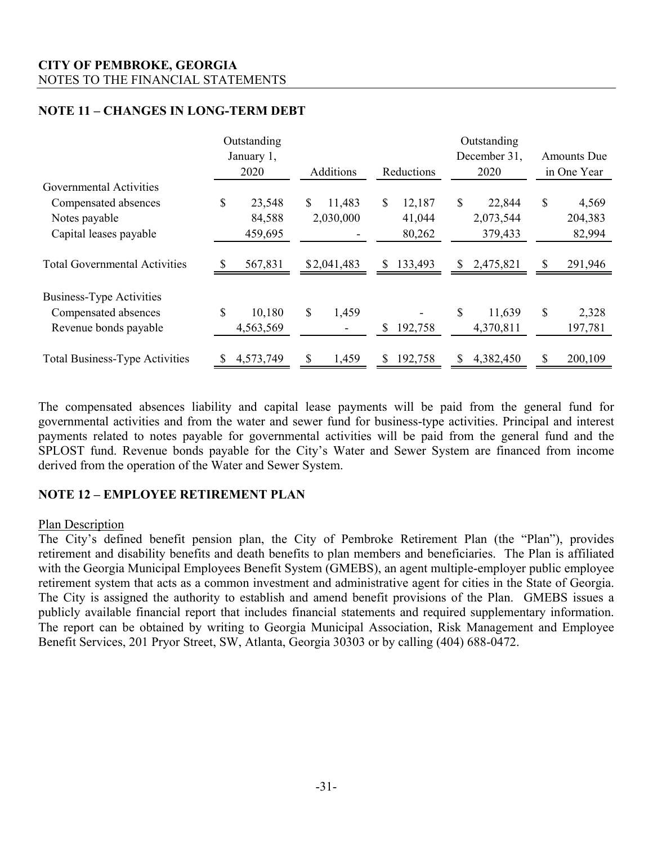## **NOTE 11 – CHANGES IN LONG-TERM DEBT**

|                                       |    | Outstanding |    |             |    |                    |    | Outstanding  |                           |             |
|---------------------------------------|----|-------------|----|-------------|----|--------------------|----|--------------|---------------------------|-------------|
|                                       |    | January 1,  |    |             |    |                    |    | December 31, |                           | Amounts Due |
|                                       |    | 2020        |    | Additions   |    | 2020<br>Reductions |    | in One Year  |                           |             |
| Governmental Activities               |    |             |    |             |    |                    |    |              |                           |             |
| Compensated absences                  | \$ | 23,548      | S. | 11,483      | \$ | 12,187             | \$ | 22,844       | $\boldsymbol{\mathsf{S}}$ | 4,569       |
| Notes payable                         |    | 84,588      |    | 2,030,000   |    | 41,044             |    | 2,073,544    |                           | 204,383     |
| Capital leases payable                |    | 459,695     |    |             |    | 80,262             |    | 379,433      |                           | 82,994      |
|                                       |    |             |    |             |    |                    |    |              |                           |             |
| <b>Total Governmental Activities</b>  | S  | 567,831     |    | \$2,041,483 | \$ | 133,493            | S. | 2,475,821    | \$                        | 291,946     |
| <b>Business-Type Activities</b>       |    |             |    |             |    |                    |    |              |                           |             |
|                                       | \$ |             | \$ |             |    |                    | \$ |              | \$                        |             |
| Compensated absences                  |    | 10,180      |    | 1,459       |    |                    |    | 11,639       |                           | 2,328       |
| Revenue bonds payable                 |    | 4,563,569   |    |             | S  | 192,758            |    | 4,370,811    |                           | 197,781     |
|                                       |    |             |    |             |    |                    |    |              |                           |             |
| <b>Total Business-Type Activities</b> |    | 4,573,749   | \$ | 1,459       | S. | 192,758            | S  | 4,382,450    | \$                        | 200,109     |

The compensated absences liability and capital lease payments will be paid from the general fund for governmental activities and from the water and sewer fund for business-type activities. Principal and interest payments related to notes payable for governmental activities will be paid from the general fund and the SPLOST fund. Revenue bonds payable for the City's Water and Sewer System are financed from income derived from the operation of the Water and Sewer System.

#### **NOTE 12 – EMPLOYEE RETIREMENT PLAN**

#### Plan Description

The City's defined benefit pension plan, the City of Pembroke Retirement Plan (the "Plan"), provides retirement and disability benefits and death benefits to plan members and beneficiaries. The Plan is affiliated with the Georgia Municipal Employees Benefit System (GMEBS), an agent multiple-employer public employee retirement system that acts as a common investment and administrative agent for cities in the State of Georgia. The City is assigned the authority to establish and amend benefit provisions of the Plan. GMEBS issues a publicly available financial report that includes financial statements and required supplementary information. The report can be obtained by writing to Georgia Municipal Association, Risk Management and Employee Benefit Services, 201 Pryor Street, SW, Atlanta, Georgia 30303 or by calling (404) 688-0472.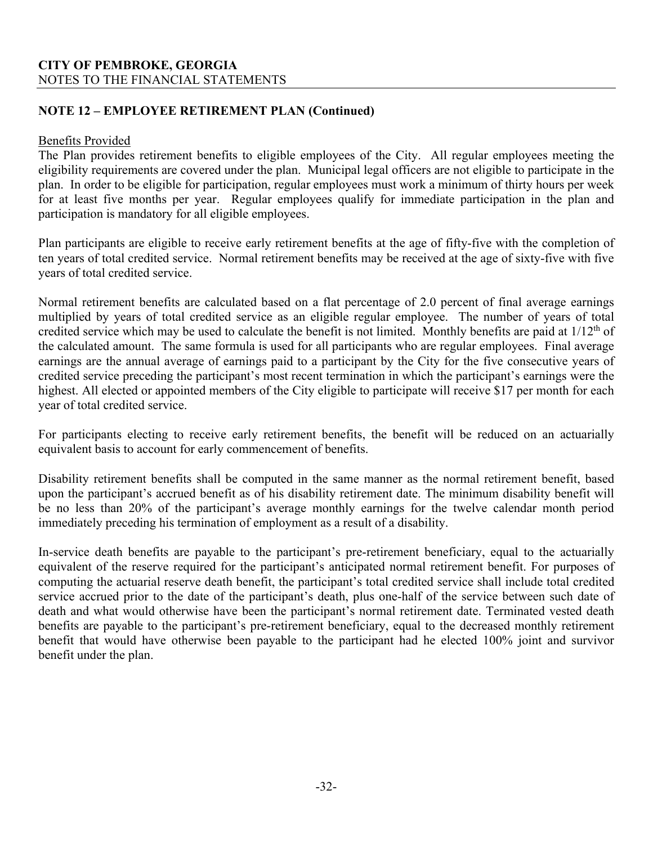#### Benefits Provided

The Plan provides retirement benefits to eligible employees of the City. All regular employees meeting the eligibility requirements are covered under the plan. Municipal legal officers are not eligible to participate in the plan. In order to be eligible for participation, regular employees must work a minimum of thirty hours per week for at least five months per year. Regular employees qualify for immediate participation in the plan and participation is mandatory for all eligible employees.

Plan participants are eligible to receive early retirement benefits at the age of fifty-five with the completion of ten years of total credited service. Normal retirement benefits may be received at the age of sixty-five with five years of total credited service.

Normal retirement benefits are calculated based on a flat percentage of 2.0 percent of final average earnings multiplied by years of total credited service as an eligible regular employee. The number of years of total credited service which may be used to calculate the benefit is not limited. Monthly benefits are paid at  $1/12<sup>th</sup>$  of the calculated amount. The same formula is used for all participants who are regular employees. Final average earnings are the annual average of earnings paid to a participant by the City for the five consecutive years of credited service preceding the participant's most recent termination in which the participant's earnings were the highest. All elected or appointed members of the City eligible to participate will receive \$17 per month for each year of total credited service.

For participants electing to receive early retirement benefits, the benefit will be reduced on an actuarially equivalent basis to account for early commencement of benefits.

Disability retirement benefits shall be computed in the same manner as the normal retirement benefit, based upon the participant's accrued benefit as of his disability retirement date. The minimum disability benefit will be no less than 20% of the participant's average monthly earnings for the twelve calendar month period immediately preceding his termination of employment as a result of a disability.

In-service death benefits are payable to the participant's pre-retirement beneficiary, equal to the actuarially equivalent of the reserve required for the participant's anticipated normal retirement benefit. For purposes of computing the actuarial reserve death benefit, the participant's total credited service shall include total credited service accrued prior to the date of the participant's death, plus one-half of the service between such date of death and what would otherwise have been the participant's normal retirement date. Terminated vested death benefits are payable to the participant's pre-retirement beneficiary, equal to the decreased monthly retirement benefit that would have otherwise been payable to the participant had he elected 100% joint and survivor benefit under the plan.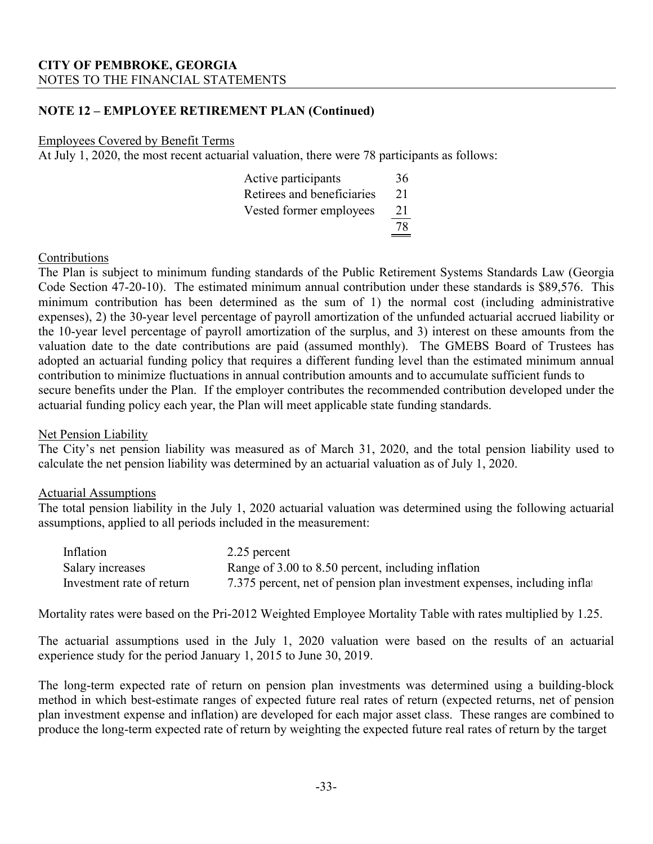#### Employees Covered by Benefit Terms

At July 1, 2020, the most recent actuarial valuation, there were 78 participants as follows:

| Active participants        | 36  |
|----------------------------|-----|
| Retirees and beneficiaries | 21  |
| Vested former employees    | 21  |
|                            | 78. |

#### Contributions

The Plan is subject to minimum funding standards of the Public Retirement Systems Standards Law (Georgia Code Section 47-20-10). The estimated minimum annual contribution under these standards is \$89,576. This minimum contribution has been determined as the sum of 1) the normal cost (including administrative expenses), 2) the 30-year level percentage of payroll amortization of the unfunded actuarial accrued liability or the 10-year level percentage of payroll amortization of the surplus, and 3) interest on these amounts from the valuation date to the date contributions are paid (assumed monthly). The GMEBS Board of Trustees has adopted an actuarial funding policy that requires a different funding level than the estimated minimum annual contribution to minimize fluctuations in annual contribution amounts and to accumulate sufficient funds to secure benefits under the Plan. If the employer contributes the recommended contribution developed under the actuarial funding policy each year, the Plan will meet applicable state funding standards.

#### Net Pension Liability

The City's net pension liability was measured as of March 31, 2020, and the total pension liability used to calculate the net pension liability was determined by an actuarial valuation as of July 1, 2020.

#### Actuarial Assumptions

The total pension liability in the July 1, 2020 actuarial valuation was determined using the following actuarial assumptions, applied to all periods included in the measurement:

| Inflation                 | 2.25 percent                                                              |
|---------------------------|---------------------------------------------------------------------------|
| Salary increases          | Range of 3.00 to 8.50 percent, including inflation                        |
| Investment rate of return | 7.375 percent, net of pension plan investment expenses, including inflat- |

Mortality rates were based on the Pri-2012 Weighted Employee Mortality Table with rates multiplied by 1.25.

The actuarial assumptions used in the July 1, 2020 valuation were based on the results of an actuarial experience study for the period January 1, 2015 to June 30, 2019.

The long-term expected rate of return on pension plan investments was determined using a building-block method in which best-estimate ranges of expected future real rates of return (expected returns, net of pension plan investment expense and inflation) are developed for each major asset class. These ranges are combined to produce the long-term expected rate of return by weighting the expected future real rates of return by the target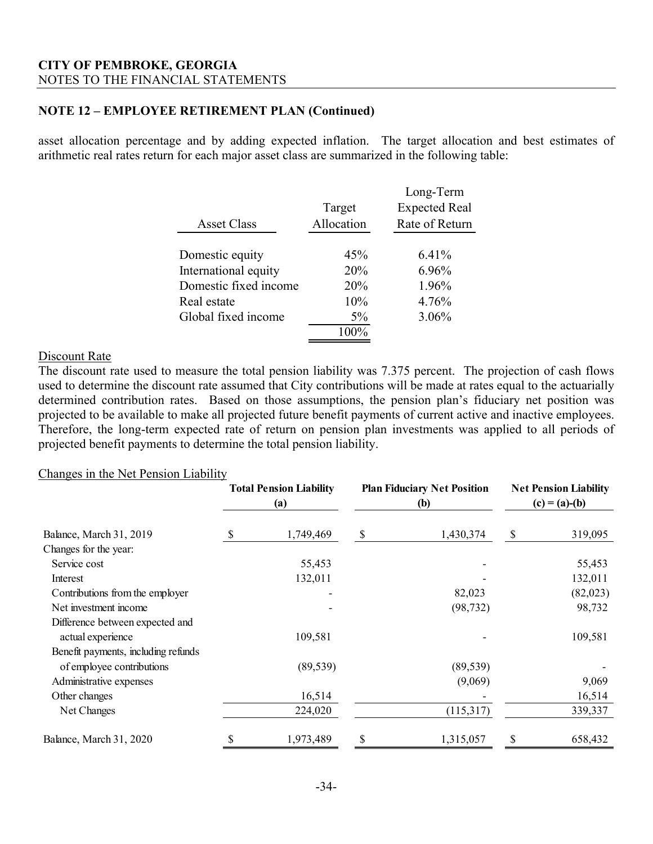asset allocation percentage and by adding expected inflation. The target allocation and best estimates of arithmetic real rates return for each major asset class are summarized in the following table:

|                       |            | Long-Term            |
|-----------------------|------------|----------------------|
|                       | Target     | <b>Expected Real</b> |
| <b>Asset Class</b>    | Allocation | Rate of Return       |
|                       |            |                      |
| Domestic equity       | 45%        | 6.41%                |
| International equity  | 20%        | 6.96%                |
| Domestic fixed income | 20%        | 1.96%                |
| Real estate           | 10%        | 4.76%                |
| Global fixed income   | $5\%$      | 3.06%                |
|                       | $00\%$     |                      |

#### Discount Rate

The discount rate used to measure the total pension liability was 7.375 percent. The projection of cash flows used to determine the discount rate assumed that City contributions will be made at rates equal to the actuarially determined contribution rates. Based on those assumptions, the pension plan's fiduciary net position was projected to be available to make all projected future benefit payments of current active and inactive employees. Therefore, the long-term expected rate of return on pension plan investments was applied to all periods of projected benefit payments to determine the total pension liability.

#### Changes in the Net Pension Liability

|                                     | <b>Total Pension Liability</b><br>(a) |           | <b>Plan Fiduciary Net Position</b><br>(b) | <b>Net Pension Liability</b><br>$(c) = (a)-(b)$ |          |  |
|-------------------------------------|---------------------------------------|-----------|-------------------------------------------|-------------------------------------------------|----------|--|
| Balance, March 31, 2019             | S                                     | 1,749,469 | \$<br>1,430,374                           | \$                                              | 319,095  |  |
| Changes for the year:               |                                       |           |                                           |                                                 |          |  |
| Service cost                        |                                       | 55,453    |                                           |                                                 | 55,453   |  |
| Interest                            |                                       | 132,011   |                                           |                                                 | 132,011  |  |
| Contributions from the employer     |                                       |           | 82,023                                    |                                                 | (82,023) |  |
| Net investment income               |                                       |           | (98, 732)                                 |                                                 | 98,732   |  |
| Difference between expected and     |                                       |           |                                           |                                                 |          |  |
| actual experience                   |                                       | 109,581   |                                           |                                                 | 109,581  |  |
| Benefit payments, including refunds |                                       |           |                                           |                                                 |          |  |
| of employee contributions           |                                       | (89, 539) | (89, 539)                                 |                                                 |          |  |
| Administrative expenses             |                                       |           | (9,069)                                   |                                                 | 9,069    |  |
| Other changes                       |                                       | 16,514    |                                           |                                                 | 16,514   |  |
| Net Changes                         |                                       | 224,020   | (115,317)                                 |                                                 | 339,337  |  |
| Balance, March 31, 2020             | \$                                    | 1,973,489 | \$<br>1,315,057                           | \$                                              | 658,432  |  |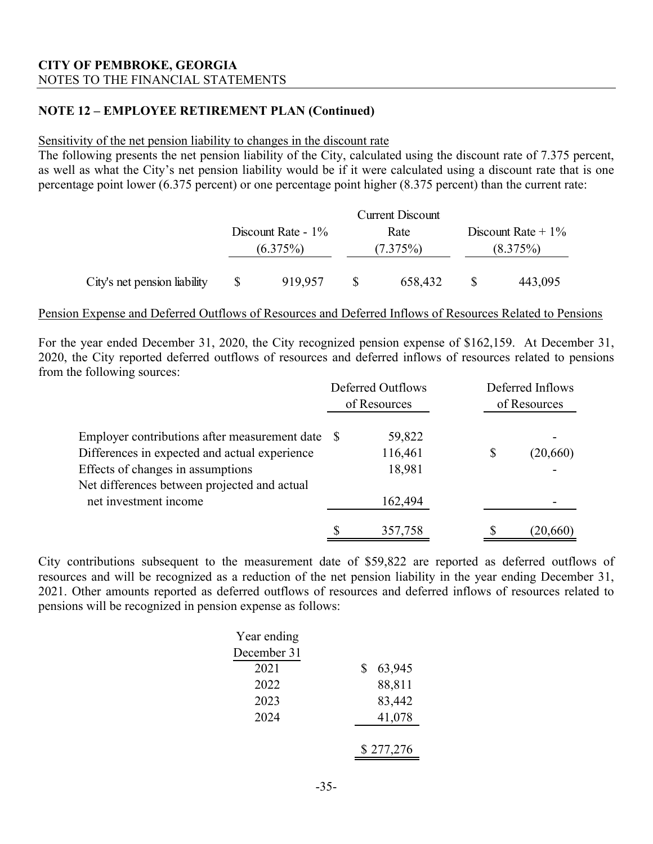#### Sensitivity of the net pension liability to changes in the discount rate

The following presents the net pension liability of the City, calculated using the discount rate of 7.375 percent, as well as what the City's net pension liability would be if it were calculated using a discount rate that is one percentage point lower (6.375 percent) or one percentage point higher (8.375 percent) than the current rate:

|                              | <b>Current Discount</b>           |         |  |                  |                                  |         |  |  |
|------------------------------|-----------------------------------|---------|--|------------------|----------------------------------|---------|--|--|
|                              | Discount Rate - $1\%$<br>(6.375%) |         |  | Rate<br>(7.375%) | Discount Rate $+1\%$<br>(8.375%) |         |  |  |
| City's net pension liability |                                   | 919.957 |  | 658,432          |                                  | 443,095 |  |  |

#### Pension Expense and Deferred Outflows of Resources and Deferred Inflows of Resources Related to Pensions

For the year ended December 31, 2020, the City recognized pension expense of \$162,159. At December 31, 2020, the City reported deferred outflows of resources and deferred inflows of resources related to pensions from the following sources:

|                                               |  | Deferred Outflows<br>of Resources | Deferred Inflows<br>of Resources |           |  |  |
|-----------------------------------------------|--|-----------------------------------|----------------------------------|-----------|--|--|
|                                               |  | 59,822                            |                                  |           |  |  |
| Differences in expected and actual experience |  | 116,461                           | \$                               | (20,660)  |  |  |
| Effects of changes in assumptions             |  | 18,981                            |                                  |           |  |  |
| Net differences between projected and actual  |  |                                   |                                  |           |  |  |
| net investment income                         |  | 162,494                           |                                  |           |  |  |
|                                               |  | 357,758                           |                                  | (20, 660) |  |  |

City contributions subsequent to the measurement date of \$59,822 are reported as deferred outflows of resources and will be recognized as a reduction of the net pension liability in the year ending December 31, 2021. Other amounts reported as deferred outflows of resources and deferred inflows of resources related to pensions will be recognized in pension expense as follows:

| Year ending |              |
|-------------|--------------|
| December 31 |              |
| 2021        | 63,945<br>\$ |
| 2022        | 88,811       |
| 2023        | 83,442       |
| 2024        | 41,078       |
|             |              |
|             | \$277,276    |
|             |              |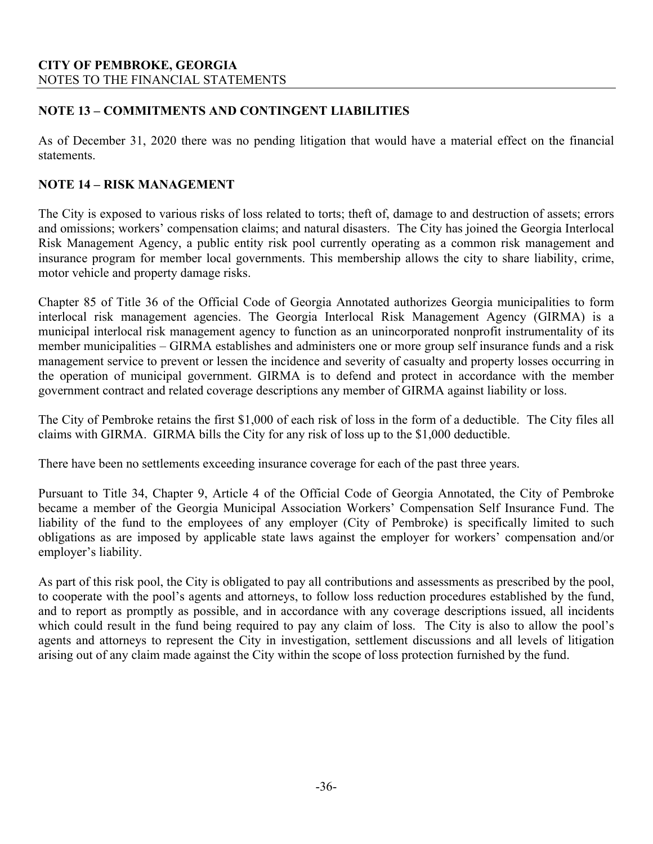## **NOTE 13 – COMMITMENTS AND CONTINGENT LIABILITIES**

As of December 31, 2020 there was no pending litigation that would have a material effect on the financial statements.

### **NOTE 14 – RISK MANAGEMENT**

The City is exposed to various risks of loss related to torts; theft of, damage to and destruction of assets; errors and omissions; workers' compensation claims; and natural disasters. The City has joined the Georgia Interlocal Risk Management Agency, a public entity risk pool currently operating as a common risk management and insurance program for member local governments. This membership allows the city to share liability, crime, motor vehicle and property damage risks.

Chapter 85 of Title 36 of the Official Code of Georgia Annotated authorizes Georgia municipalities to form interlocal risk management agencies. The Georgia Interlocal Risk Management Agency (GIRMA) is a municipal interlocal risk management agency to function as an unincorporated nonprofit instrumentality of its member municipalities – GIRMA establishes and administers one or more group self insurance funds and a risk management service to prevent or lessen the incidence and severity of casualty and property losses occurring in the operation of municipal government. GIRMA is to defend and protect in accordance with the member government contract and related coverage descriptions any member of GIRMA against liability or loss.

The City of Pembroke retains the first \$1,000 of each risk of loss in the form of a deductible. The City files all claims with GIRMA. GIRMA bills the City for any risk of loss up to the \$1,000 deductible.

There have been no settlements exceeding insurance coverage for each of the past three years.

Pursuant to Title 34, Chapter 9, Article 4 of the Official Code of Georgia Annotated, the City of Pembroke became a member of the Georgia Municipal Association Workers' Compensation Self Insurance Fund. The liability of the fund to the employees of any employer (City of Pembroke) is specifically limited to such obligations as are imposed by applicable state laws against the employer for workers' compensation and/or employer's liability.

As part of this risk pool, the City is obligated to pay all contributions and assessments as prescribed by the pool, to cooperate with the pool's agents and attorneys, to follow loss reduction procedures established by the fund, and to report as promptly as possible, and in accordance with any coverage descriptions issued, all incidents which could result in the fund being required to pay any claim of loss. The City is also to allow the pool's agents and attorneys to represent the City in investigation, settlement discussions and all levels of litigation arising out of any claim made against the City within the scope of loss protection furnished by the fund.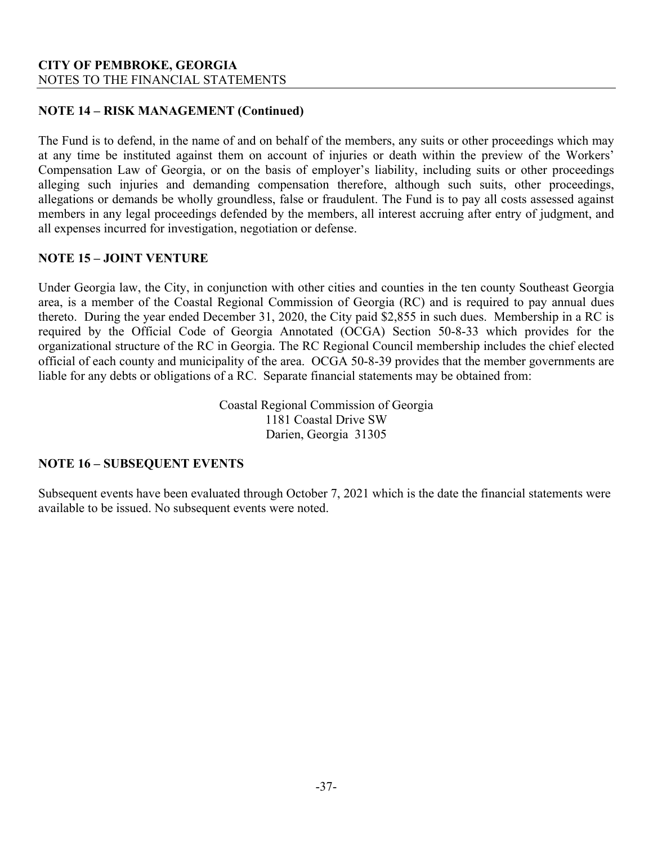### **NOTE 14 – RISK MANAGEMENT (Continued)**

The Fund is to defend, in the name of and on behalf of the members, any suits or other proceedings which may at any time be instituted against them on account of injuries or death within the preview of the Workers' Compensation Law of Georgia, or on the basis of employer's liability, including suits or other proceedings alleging such injuries and demanding compensation therefore, although such suits, other proceedings, allegations or demands be wholly groundless, false or fraudulent. The Fund is to pay all costs assessed against members in any legal proceedings defended by the members, all interest accruing after entry of judgment, and all expenses incurred for investigation, negotiation or defense.

## **NOTE 15 – JOINT VENTURE**

Under Georgia law, the City, in conjunction with other cities and counties in the ten county Southeast Georgia area, is a member of the Coastal Regional Commission of Georgia (RC) and is required to pay annual dues thereto. During the year ended December 31, 2020, the City paid \$2,855 in such dues. Membership in a RC is required by the Official Code of Georgia Annotated (OCGA) Section 50-8-33 which provides for the organizational structure of the RC in Georgia. The RC Regional Council membership includes the chief elected official of each county and municipality of the area. OCGA 50-8-39 provides that the member governments are liable for any debts or obligations of a RC. Separate financial statements may be obtained from:

> Coastal Regional Commission of Georgia 1181 Coastal Drive SW Darien, Georgia 31305

#### **NOTE 16 – SUBSEQUENT EVENTS**

Subsequent events have been evaluated through October 7, 2021 which is the date the financial statements were available to be issued. No subsequent events were noted.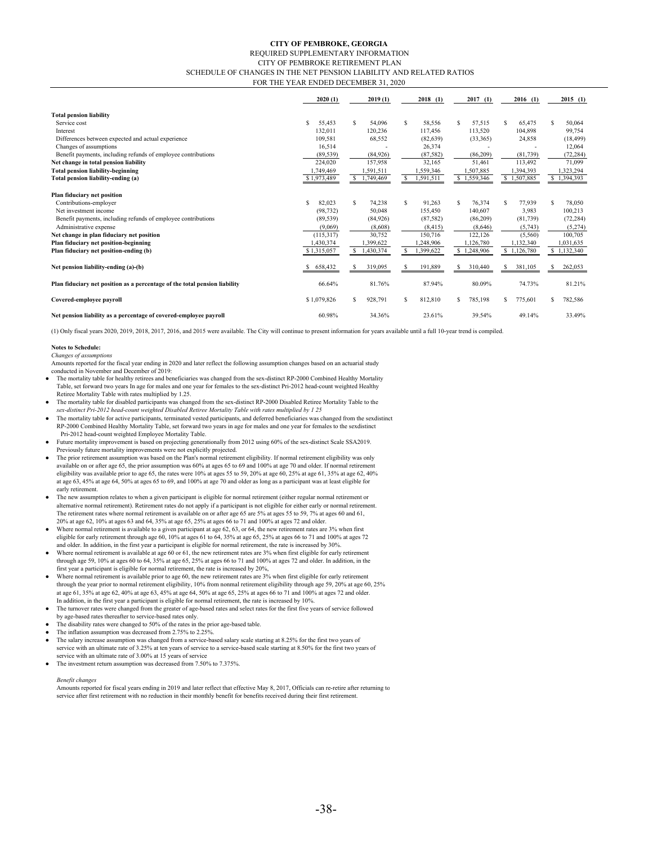#### **CITY OF PEMBROKE, GEORGIA** REQUIRED SUPPLEMENTARY INFORMATION CITY OF PEMBROKE RETIREMENT PLAN SCHEDULE OF CHANGES IN THE NET PENSION LIABILITY AND RELATED RATIOS FOR THE YEAR ENDED DECEMBER 31, 2020

|                                                                            | 2020(1)      |    | 2019(1)   |   | 2018(1)   |    | 2017(1)     |    | 2016(1)     |          | 2015(1)     |
|----------------------------------------------------------------------------|--------------|----|-----------|---|-----------|----|-------------|----|-------------|----------|-------------|
| <b>Total pension liability</b>                                             |              |    |           |   |           |    |             |    |             |          |             |
| Service cost                                                               | S<br>55,453  | S  | 54,096    | S | 58,556    | S. | 57,515      | S  | 65,475      | -S       | 50,064      |
| Interest                                                                   | 132,011      |    | 120,236   |   | 117,456   |    | 113,520     |    | 104,898     |          | 99,754      |
| Differences between expected and actual experience                         | 109,581      |    | 68,552    |   | (82, 639) |    | (33,365)    |    | 24,858      |          | (18, 499)   |
| Changes of assumptions                                                     | 16,514       |    |           |   | 26,374    |    |             |    |             |          | 12,064      |
| Benefit payments, including refunds of employee contributions              | (89, 539)    |    | (84,926)  |   | (87, 582) |    | (86, 209)   |    | (81,739)    |          | (72, 284)   |
| Net change in total pension liability                                      | 224,020      |    | 157,958   |   | 32.165    |    | 51.461      |    | 113.492     |          | 71,099      |
| <b>Total pension liability-beginning</b>                                   | ,749,469     |    | 1,591,511 |   | 1,559,346 |    | 1,507,885   |    | 1,394,393   |          | 1,323,294   |
| Total pension liability-ending (a)                                         | \$1,973,489  |    | 1,749,469 | S | 1,591,511 |    | \$1,559,346 |    | \$1,507,885 |          | \$1,394,393 |
| Plan fiduciary net position                                                |              |    |           |   |           |    |             |    |             |          |             |
| Contributions-employer                                                     | 82,023<br>S  | S  | 74,238    | S | 91,263    | S  | 76,374      | S  | 77,939      | S        | 78,050      |
| Net investment income                                                      | (98, 732)    |    | 50,048    |   | 155,450   |    | 140,607     |    | 3,983       |          | 100,213     |
| Benefit payments, including refunds of employee contributions              | (89, 539)    |    | (84,926)  |   | (87,582)  |    | (86,209)    |    | (81,739)    |          | (72, 284)   |
| Administrative expense                                                     | (9,069)      |    | (8,608)   |   | (8, 415)  |    | (8,646)     |    | (5,743)     |          | (5,274)     |
| Net change in plan fiduciary net position                                  | (115, 317)   |    | 30,752    |   | 150,716   |    | 122,126     |    | (5,560)     |          | 100,705     |
| Plan fiduciary net position-beginning                                      | 1,430,374    |    | 1,399,622 |   | 1,248,906 |    | 1,126,780   |    | 1,132,340   |          | 1,031,635   |
| Plan fiduciary net position-ending (b)                                     | \$1,315,057  | \$ | 1,430,374 |   | 1,399,622 |    | \$1,248,906 |    | \$1,126,780 |          | \$1,132,340 |
| Net pension liability-ending (a)-(b)                                       | 658,432<br>S |    | 319,095   |   | 191,889   | S  | 310,440     | \$ | 381,105     |          | 262,053     |
| Plan fiduciary net position as a percentage of the total pension liability | 66.64%       |    | 81.76%    |   | 87.94%    |    | 80.09%      |    | 74.73%      |          | 81.21%      |
| Covered-employee payroll                                                   | \$1,079,826  | £. | 928,791   | S | 812,810   | S. | 785,198     | S. | 775,601     | <b>S</b> | 782,586     |
| Net pension liability as a percentage of covered-employee payroll          | 60.98%       |    | 34.36%    |   | 23.61%    |    | 39.54%      |    | 49.14%      |          | 33.49%      |

(1) Only fiscal years 2020, 2019, 2018, 2017, 2016, and 2015 were available. The City will continue to present information for years available until a full 10-year trend is compiled.

#### **Notes to Schedule:**

*Changes of assumptions*

Amounts reported for the fiscal year ending in 2020 and later reflect the following assumption changes based on an actuarial study conducted in November and December of 2019:

- The mortality table for healthy retirees and beneficiaries was changed from the sex-distinct RP-2000 Combined Healthy Mortality Table, set forward two years In age for males and one year for females to the sex-distinct Pri-2012 head-count weighted Healthy Retiree Mortality Table with rates multiplied by 1.25.
- The mortality table for disabled participants was changed from the sex-distinct RP-2000 Disabled Retiree Mortality Table to the *sex-distinct Pri-2012 head-count weighted Disabled Retiree Mortality Table with rates multiplied by 1 25*
- The mortality table for active participants, terminated vested participants, and deferred beneficiaries was changed from the sexdistinct RP-2000 Combined Healthy Mortality Table, set forward two years in age for males and one year for females to the sexdistinct Pri-2012 head-count weighted Employee Mortality Table.
- Future mortality improvement is based on projecting generationally from 2012 using 60% of the sex-distinct Scale SSA2019. Previously future mortality improvements were not explicitly projected.
- The prior retirement assumption was based on the Plan's normal retirement eligibility. If normal retirement eligibility was only available on or after age 65, the prior assumption was 60% at ages 65 to 69 and 100% at age 70 and older. If normal retireme eligibility was available prior to age 65, the rates were  $10\%$  at ages 55 to 59, 20% at age 60, 25% at age 61, 35% at age 62, 40% at age 63, 45% at age 64, 50% at ages 65 to 69, and 100% at age 70 and older as long as a participant was at least eligible for early retirement.
- The new assumption relates to when a given participant is eligible for normal retirement (either regular normal retirement or alternative normal retirement). Retirement rates do not apply if a participant is not eligible for either early or normal retirement. The retirement rates where normal retirement is available on or after age 65 are 5% at ages 55 to 59, 7% at ages 60 and 61, 20% at age 62, 10% at ages 63 and 64, 35% at age 65, 25% at ages 66 to 71 and 100% at ages 72 and older.
- Where normal retirement is available to a given participant at age 62, 63, or 64, the new retirement rates are 3% when first eligible for early retirement through age 60,  $10\%$  at ages 61 to 64, 35% at age 65, 25% at ages 66 to 71 and 100% at ages 72 and older. In addition, in the first year a participant is eligible for normal retirement, the rate is increased by 30%.
- Where normal retirement is available at age 60 or 61, the new retirement rates are 3% when first eligible for early retirement through age 59, 10% at ages 60 to 64, 35% at age 65, 25% at ages 66 to 71 and 100% at ages 72 first year a participant is eligible for normal retirement, the rate is increased by 20%,
- Where normal retirement is available prior to age 60, the new retirement rates are 3% when first eligible for early retirement through the year prior to normal retirement eligibility, 10% from nonmal retirement eligibility through age 59, 20% at age 60, 25% at age 61, 35% at age 62, 40% at age 63, 45% at age 64, 50% at age 65, 25% at ages 66 to 71 and 100% at ages 72 and older. In addition, in the first year a participant is eligible for normal retirement, the rate is increased by 10%.
- The turnover rates were changed from the greater of age-based rates and select rates for the first five years of service followed by age-based rates thereafter to service-based rates only.
- The disability rates were changed to 50% of the rates in the prior age-based table
- The inflation assumption was decreased from  $2.75%$  to  $2.25%$ .
- The salary increase assumption was changed from a service-based salary scale starting at 8.25% for the first two years of service with an ultimate rate of 3.25% at ten years of service to a service-based scale starting at 8.50% for the first two years of service with an ultimate rate of 3.00% at 15 years of service
- The investment return assumption was decreased from 7.50% to 7.375%.

#### *Benefit changes*

Amounts reported for fiscal years ending in 2019 and later reflect that effective May 8, 2017, Officials can re-retire after returning to service after first retirement with no reduction in their monthly benefit for benefits received during their first retirement.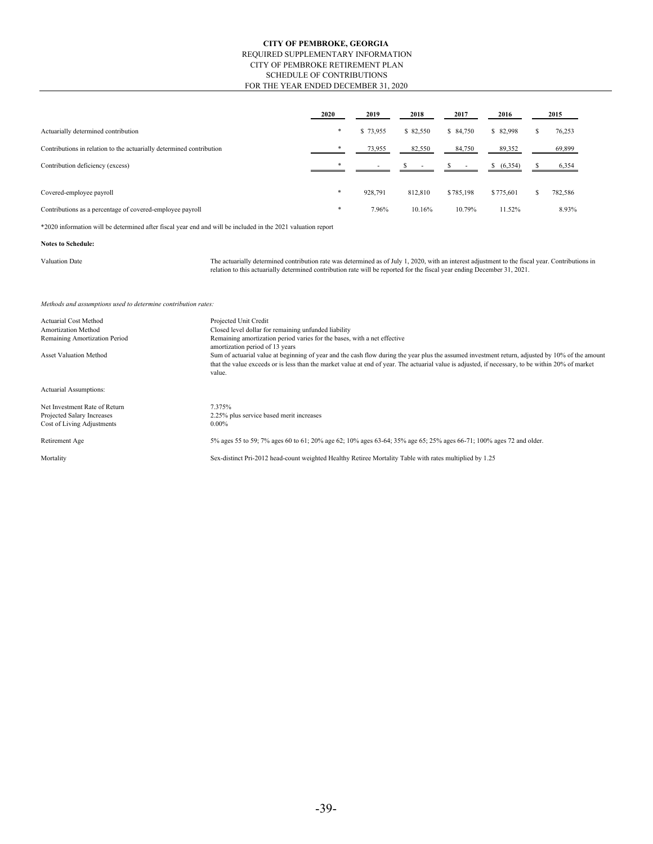#### **CITY OF PEMBROKE, GEORGIA** REQUIRED SUPPLEMENTARY INFORMATION CITY OF PEMBROKE RETIREMENT PLAN SCHEDULE OF CONTRIBUTIONS

#### FOR THE YEAR ENDED DECEMBER 31, 2020

|                                                                      | 2020 | 2019     | 2018     | 2017      | 2016      | 2015    |
|----------------------------------------------------------------------|------|----------|----------|-----------|-----------|---------|
| Actuarially determined contribution                                  | *    | \$73,955 | \$82,550 | \$ 84,750 | \$82,998  | 76,253  |
| Contributions in relation to the actuarially determined contribution | *    | 73,955   | 82,550   | 84,750    | 89,352    | 69,899  |
| Contribution deficiency (excess)                                     | *    |          |          |           | (6,354)   | 6,354   |
| Covered-employee payroll                                             | *    | 928.791  | 812,810  | \$785,198 | \$775,601 | 782,586 |
| Contributions as a percentage of covered-employee payroll            | *    | 7.96%    | 10.16%   | 10.79%    | 11.52%    | 8.93%   |

\*2020 information will be determined after fiscal year end and will be included in the 2021 valuation report

#### **Notes to Schedule:**

Valuation Date

The actuarially determined contribution rate was determined as of July 1, 2020, with an interest adjustment to the fiscal year. Contributions in relation to this actuarially determined contribution rate will be reported for the fiscal year ending December 31, 2021.

*Methods and assumptions used to determine contribution rates:*

| <b>Actuarial Cost Method</b><br>Amortization Method                                       | Projected Unit Credit<br>Closed level dollar for remaining unfunded liability                                                                                                                                                                                                                                  |
|-------------------------------------------------------------------------------------------|----------------------------------------------------------------------------------------------------------------------------------------------------------------------------------------------------------------------------------------------------------------------------------------------------------------|
| Remaining Amortization Period                                                             | Remaining amortization period varies for the bases, with a net effective<br>amortization period of 13 years                                                                                                                                                                                                    |
| <b>Asset Valuation Method</b>                                                             | Sum of actuarial value at beginning of year and the cash flow during the year plus the assumed investment return, adjusted by 10% of the amount<br>that the value exceeds or is less than the market value at end of year. The actuarial value is adjusted, if necessary, to be within 20% of market<br>value. |
| Actuarial Assumptions:                                                                    |                                                                                                                                                                                                                                                                                                                |
| Net Investment Rate of Return<br>Projected Salary Increases<br>Cost of Living Adjustments | 7.375%<br>2.25% plus service based merit increases<br>$0.00\%$                                                                                                                                                                                                                                                 |
| Retirement Age                                                                            | 5% ages 55 to 59; 7% ages 60 to 61; 20% age 62; 10% ages 63-64; 35% age 65; 25% ages 66-71; 100% ages 72 and older.                                                                                                                                                                                            |
| Mortality                                                                                 | Sex-distinct Pri-2012 head-count weighted Healthy Retiree Mortality Table with rates multiplied by 1.25                                                                                                                                                                                                        |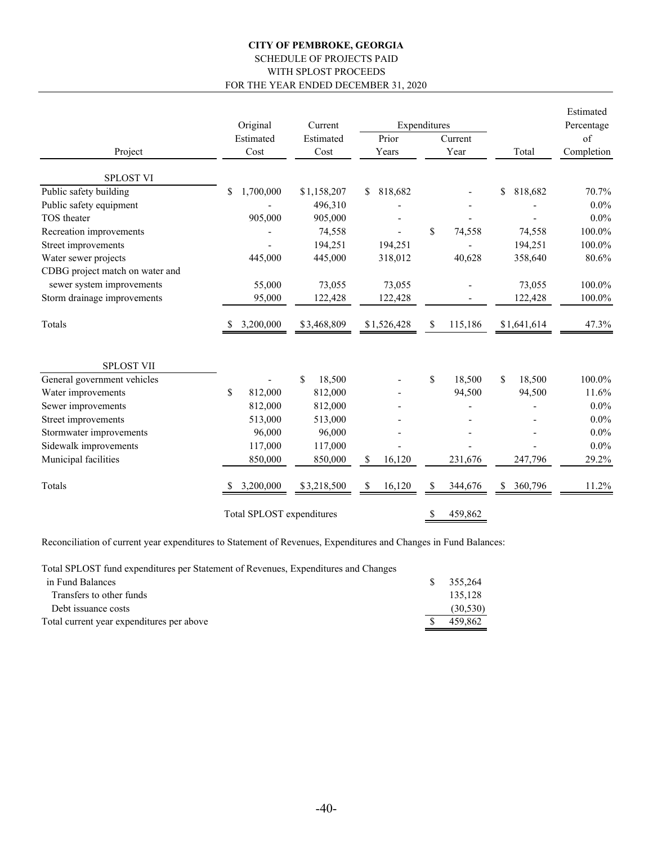#### **CITY OF PEMBROKE, GEORGIA** SCHEDULE OF PROJECTS PAID WITH SPLOST PROCEEDS FOR THE YEAR ENDED DECEMBER 31, 2020

|                                 | Original                  | Current           |                | Expenditures    |               | Estimated<br>Percentage |  |
|---------------------------------|---------------------------|-------------------|----------------|-----------------|---------------|-------------------------|--|
| Project                         | Estimated<br>Cost         | Estimated<br>Cost | Prior<br>Years | Current<br>Year | Total         | of<br>Completion        |  |
|                                 |                           |                   |                |                 |               |                         |  |
| <b>SPLOST VI</b>                |                           |                   |                |                 |               |                         |  |
| Public safety building          | 1,700,000<br>\$           | \$1,158,207       | 818,682<br>S.  |                 | 818,682<br>\$ | 70.7%                   |  |
| Public safety equipment         |                           | 496,310           |                |                 |               | $0.0\%$                 |  |
| TOS theater                     | 905,000                   | 905,000           |                |                 |               | $0.0\%$                 |  |
| Recreation improvements         |                           | 74,558            |                | \$<br>74,558    | 74,558        | 100.0%                  |  |
| Street improvements             |                           | 194,251           | 194,251        |                 | 194,251       | 100.0%                  |  |
| Water sewer projects            | 445,000                   | 445,000           | 318,012        | 40,628          | 358,640       | 80.6%                   |  |
| CDBG project match on water and |                           |                   |                |                 |               |                         |  |
| sewer system improvements       | 55,000                    | 73,055            | 73,055         |                 | 73,055        | 100.0%                  |  |
| Storm drainage improvements     | 95,000                    | 122,428           | 122,428        |                 | 122,428       | $100.0\%$               |  |
| Totals                          | 3,200,000                 | \$3,468,809       | \$1,526,428    | 115,186<br>\$   | \$1,641,614   | 47.3%                   |  |
| <b>SPLOST VII</b>               |                           |                   |                |                 |               |                         |  |
| General government vehicles     |                           | 18,500<br>\$      |                | \$<br>18,500    | \$<br>18,500  | 100.0%                  |  |
| Water improvements              | \$<br>812,000             | 812,000           |                | 94,500          | 94,500        | 11.6%                   |  |
| Sewer improvements              | 812,000                   | 812,000           |                |                 |               | $0.0\%$                 |  |
| Street improvements             | 513,000                   | 513,000           |                |                 |               | $0.0\%$                 |  |
| Stormwater improvements         | 96,000                    | 96,000            |                |                 |               | $0.0\%$                 |  |
| Sidewalk improvements           | 117,000                   | 117,000           |                |                 |               | $0.0\%$                 |  |
| Municipal facilities            | 850,000                   | 850,000           | \$<br>16,120   | 231,676         | 247,796       | 29.2%                   |  |
| Totals                          | 3,200,000                 | \$3,218,500       | \$<br>16,120   | \$<br>344,676   | 360,796<br>\$ | 11.2%                   |  |
|                                 | Total SPLOST expenditures |                   |                | 459,862<br>\$   |               |                         |  |

Reconciliation of current year expenditures to Statement of Revenues, Expenditures and Changes in Fund Balances:

Total SPLOST fund expenditures per Statement of Revenues, Expenditures and Changes

| in Fund Balances                          | S. | 355,264   |
|-------------------------------------------|----|-----------|
| Transfers to other funds                  |    | 135,128   |
| Debt issuance costs                       |    | (30, 530) |
| Total current year expenditures per above |    | 459.862   |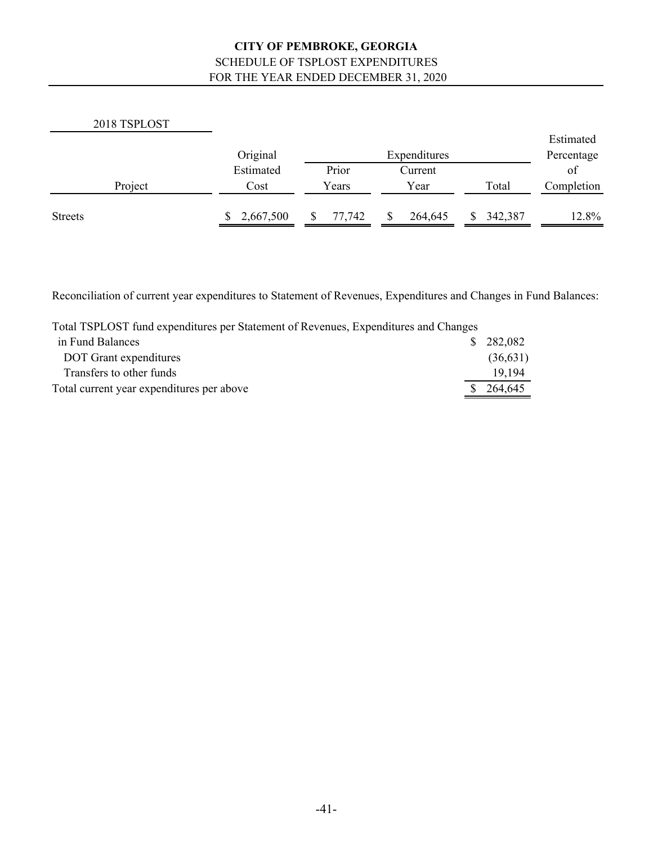## **CITY OF PEMBROKE, GEORGIA** SCHEDULE OF TSPLOST EXPENDITURES FOR THE YEAR ENDED DECEMBER 31, 2020

|                | Original          |                | Expenditures    |         |                  |
|----------------|-------------------|----------------|-----------------|---------|------------------|
| Project        | Estimated<br>Cost | Prior<br>Years | Current<br>Year | Total   | of<br>Completion |
| <b>Streets</b> | 2,667,500         | 77,742         | 264,645         | 342,387 | 12.8%            |

Reconciliation of current year expenditures to Statement of Revenues, Expenditures and Changes in Fund Balances:

| Total TSPLOST fund expenditures per Statement of Revenues, Expenditures and Changes |  |           |  |  |
|-------------------------------------------------------------------------------------|--|-----------|--|--|
| in Fund Balances                                                                    |  | \$282,082 |  |  |
| DOT Grant expenditures                                                              |  | (36,631)  |  |  |
| Transfers to other funds                                                            |  | 19,194    |  |  |
| Total current year expenditures per above                                           |  | \$264,645 |  |  |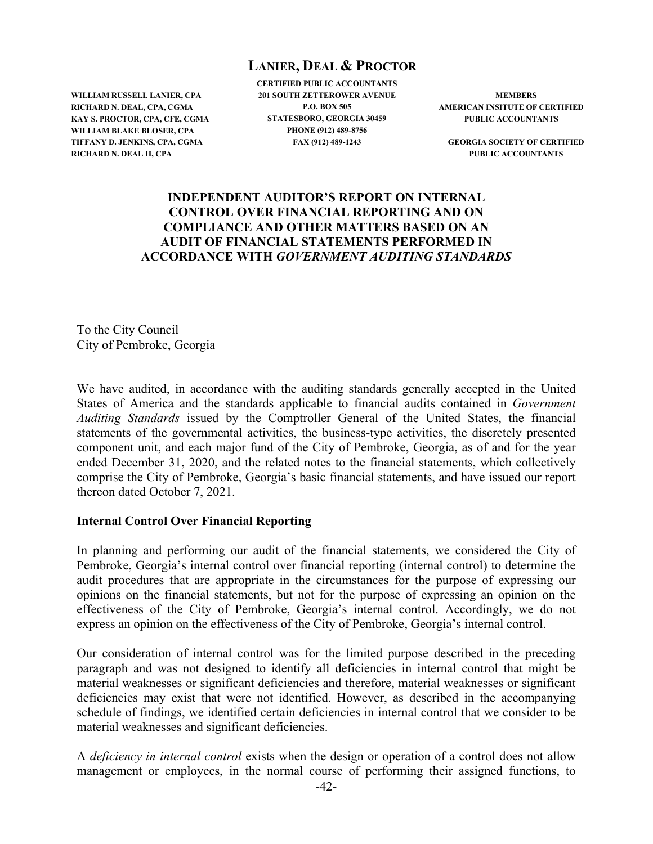## **LANIER, DEAL & PROCTOR**

**WILLIAM RUSSELL LANIER, CPA RICHARD N. DEAL, CPA, CGMA KAY S. PROCTOR, CPA, CFE, CGMA WILLIAM BLAKE BLOSER, CPA TIFFANY D. JENKINS, CPA, CGMA RICHARD N. DEAL II, CPA**

**CERTIFIED PUBLIC ACCOUNTANTS 201 SOUTH ZETTEROWER AVENUE P.O. BOX 505 STATESBORO, GEORGIA 30459 PHONE (912) 489-8756 FAX (912) 489-1243**

**MEMBERS AMERICAN INSITUTE OF CERTIFIED PUBLIC ACCOUNTANTS**

**GEORGIA SOCIETY OF CERTIFIED PUBLIC ACCOUNTANTS**

#### **INDEPENDENT AUDITOR'S REPORT ON INTERNAL CONTROL OVER FINANCIAL REPORTING AND ON COMPLIANCE AND OTHER MATTERS BASED ON AN AUDIT OF FINANCIAL STATEMENTS PERFORMED IN ACCORDANCE WITH** *GOVERNMENT AUDITING STANDARDS*

To the City Council City of Pembroke, Georgia

We have audited, in accordance with the auditing standards generally accepted in the United States of America and the standards applicable to financial audits contained in *Government Auditing Standards* issued by the Comptroller General of the United States, the financial statements of the governmental activities, the business-type activities, the discretely presented component unit, and each major fund of the City of Pembroke, Georgia, as of and for the year ended December 31, 2020, and the related notes to the financial statements, which collectively comprise the City of Pembroke, Georgia's basic financial statements, and have issued our report thereon dated October 7, 2021.

#### **Internal Control Over Financial Reporting**

In planning and performing our audit of the financial statements, we considered the City of Pembroke, Georgia's internal control over financial reporting (internal control) to determine the audit procedures that are appropriate in the circumstances for the purpose of expressing our opinions on the financial statements, but not for the purpose of expressing an opinion on the effectiveness of the City of Pembroke, Georgia's internal control. Accordingly, we do not express an opinion on the effectiveness of the City of Pembroke, Georgia's internal control.

Our consideration of internal control was for the limited purpose described in the preceding paragraph and was not designed to identify all deficiencies in internal control that might be material weaknesses or significant deficiencies and therefore, material weaknesses or significant deficiencies may exist that were not identified. However, as described in the accompanying schedule of findings, we identified certain deficiencies in internal control that we consider to be material weaknesses and significant deficiencies.

A *deficiency in internal control* exists when the design or operation of a control does not allow management or employees, in the normal course of performing their assigned functions, to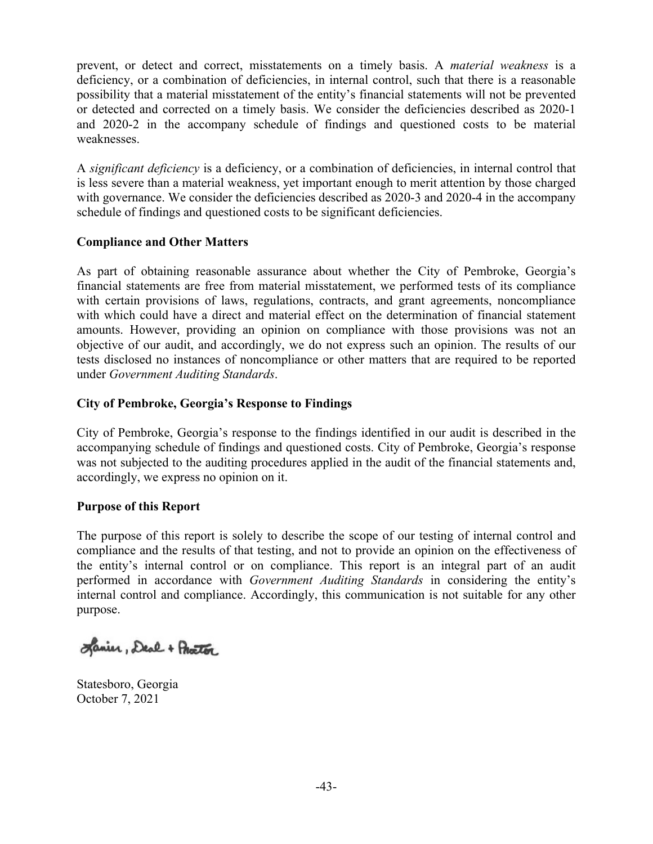prevent, or detect and correct, misstatements on a timely basis. A *material weakness* is a deficiency, or a combination of deficiencies, in internal control, such that there is a reasonable possibility that a material misstatement of the entity's financial statements will not be prevented or detected and corrected on a timely basis. We consider the deficiencies described as 2020-1 and 2020-2 in the accompany schedule of findings and questioned costs to be material weaknesses.

A *significant deficiency* is a deficiency, or a combination of deficiencies, in internal control that is less severe than a material weakness, yet important enough to merit attention by those charged with governance. We consider the deficiencies described as 2020-3 and 2020-4 in the accompany schedule of findings and questioned costs to be significant deficiencies.

#### **Compliance and Other Matters**

As part of obtaining reasonable assurance about whether the City of Pembroke, Georgia's financial statements are free from material misstatement, we performed tests of its compliance with certain provisions of laws, regulations, contracts, and grant agreements, noncompliance with which could have a direct and material effect on the determination of financial statement amounts. However, providing an opinion on compliance with those provisions was not an objective of our audit, and accordingly, we do not express such an opinion. The results of our tests disclosed no instances of noncompliance or other matters that are required to be reported under *Government Auditing Standards*.

#### **City of Pembroke, Georgia's Response to Findings**

City of Pembroke, Georgia's response to the findings identified in our audit is described in the accompanying schedule of findings and questioned costs. City of Pembroke, Georgia's response was not subjected to the auditing procedures applied in the audit of the financial statements and, accordingly, we express no opinion on it.

#### **Purpose of this Report**

The purpose of this report is solely to describe the scope of our testing of internal control and compliance and the results of that testing, and not to provide an opinion on the effectiveness of the entity's internal control or on compliance. This report is an integral part of an audit performed in accordance with *Government Auditing Standards* in considering the entity's internal control and compliance. Accordingly, this communication is not suitable for any other purpose.

Janier, Deal + Proton

Statesboro, Georgia October 7, 2021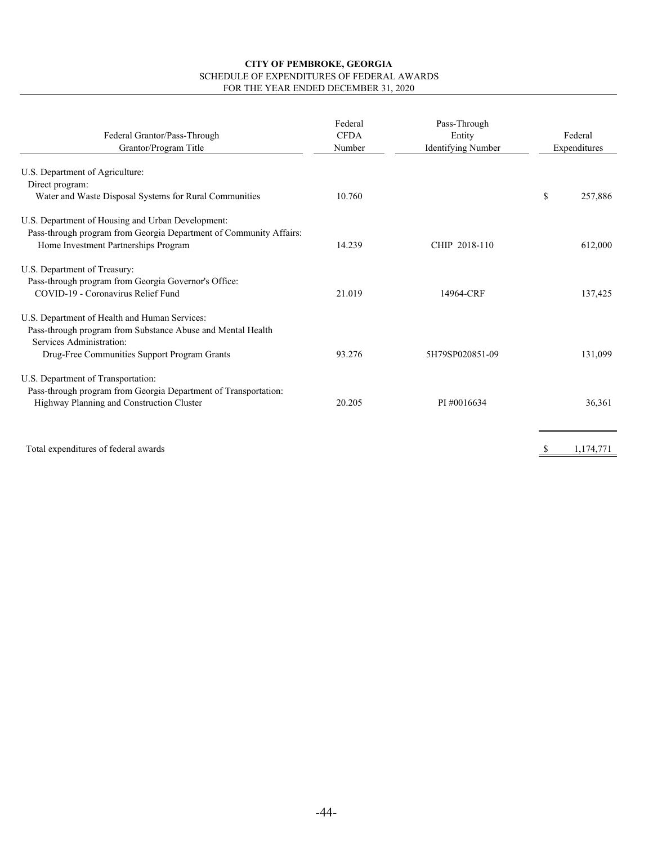#### **CITY OF PEMBROKE, GEORGIA** SCHEDULE OF EXPENDITURES OF FEDERAL AWARDS FOR THE YEAR ENDED DECEMBER 31, 2020

| Federal Grantor/Pass-Through<br>Grantor/Program Title                                                                                                                                    | Federal<br><b>CFDA</b><br>Number | Pass-Through<br>Entity<br><b>Identifying Number</b> | Federal<br>Expenditures |         |
|------------------------------------------------------------------------------------------------------------------------------------------------------------------------------------------|----------------------------------|-----------------------------------------------------|-------------------------|---------|
| U.S. Department of Agriculture:<br>Direct program:                                                                                                                                       |                                  |                                                     |                         |         |
| Water and Waste Disposal Systems for Rural Communities                                                                                                                                   | 10.760                           |                                                     | \$                      | 257,886 |
| U.S. Department of Housing and Urban Development:<br>Pass-through program from Georgia Department of Community Affairs:<br>Home Investment Partnerships Program                          | 14.239                           | CHIP 2018-110                                       |                         | 612,000 |
| U.S. Department of Treasury:<br>Pass-through program from Georgia Governor's Office:<br>COVID-19 - Coronavirus Relief Fund                                                               | 21.019                           | 14964-CRF                                           |                         | 137,425 |
| U.S. Department of Health and Human Services:<br>Pass-through program from Substance Abuse and Mental Health<br>Services Administration:<br>Drug-Free Communities Support Program Grants | 93.276                           | 5H79SP020851-09                                     |                         | 131,099 |
| U.S. Department of Transportation:<br>Pass-through program from Georgia Department of Transportation:<br>Highway Planning and Construction Cluster                                       | 20.205                           | PI#0016634                                          |                         | 36,361  |

Total expenditures of federal awards  $\frac{\$}{1,174,771}$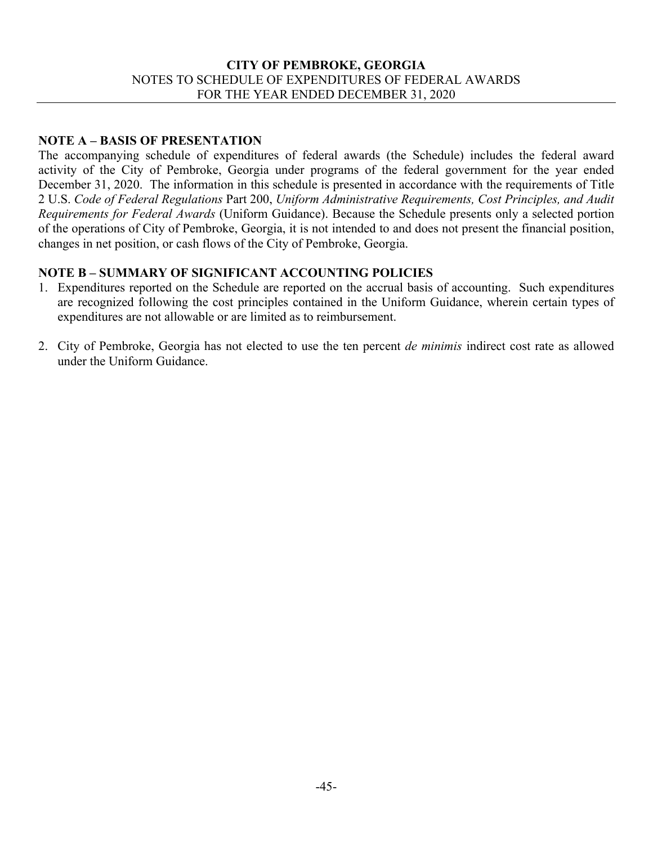#### **CITY OF PEMBROKE, GEORGIA**  NOTES TO SCHEDULE OF EXPENDITURES OF FEDERAL AWARDS FOR THE YEAR ENDED DECEMBER 31, 2020

### **NOTE A – BASIS OF PRESENTATION**

The accompanying schedule of expenditures of federal awards (the Schedule) includes the federal award activity of the City of Pembroke, Georgia under programs of the federal government for the year ended December 31, 2020. The information in this schedule is presented in accordance with the requirements of Title 2 U.S. *Code of Federal Regulations* Part 200, *Uniform Administrative Requirements, Cost Principles, and Audit Requirements for Federal Awards* (Uniform Guidance). Because the Schedule presents only a selected portion of the operations of City of Pembroke, Georgia, it is not intended to and does not present the financial position, changes in net position, or cash flows of the City of Pembroke, Georgia.

## **NOTE B – SUMMARY OF SIGNIFICANT ACCOUNTING POLICIES**

- 1. Expenditures reported on the Schedule are reported on the accrual basis of accounting. Such expenditures are recognized following the cost principles contained in the Uniform Guidance, wherein certain types of expenditures are not allowable or are limited as to reimbursement.
- 2. City of Pembroke, Georgia has not elected to use the ten percent *de minimis* indirect cost rate as allowed under the Uniform Guidance.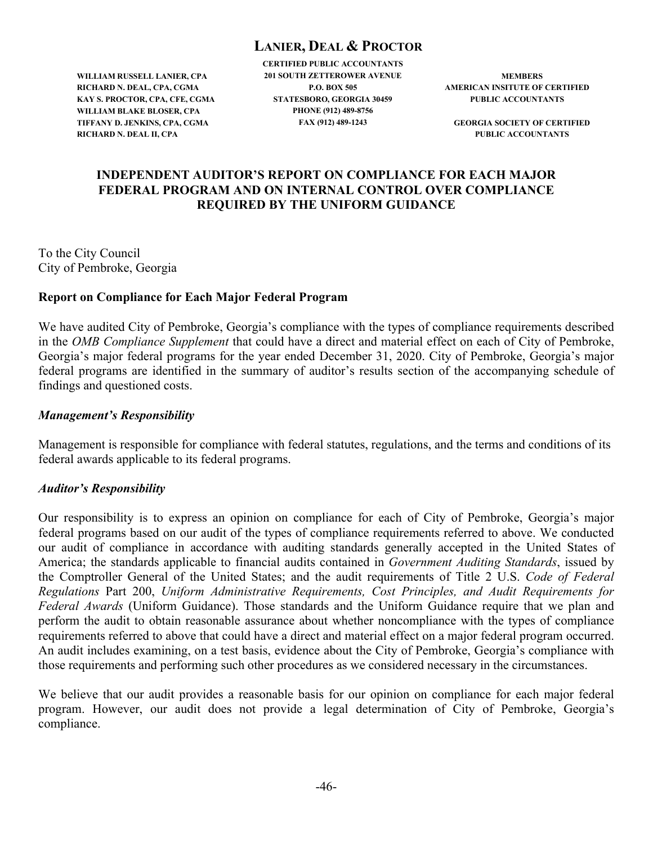**WILLIAM RUSSELL LANIER, CPA RICHARD N. DEAL, CPA, CGMA KAY S. PROCTOR, CPA, CFE, CGMA WILLIAM BLAKE BLOSER, CPA TIFFANY D. JENKINS, CPA, CGMA RICHARD N. DEAL II, CPA**

**CERTIFIED PUBLIC ACCOUNTANTS 201 SOUTH ZETTEROWER AVENUE P.O. BOX 505 STATESBORO, GEORGIA 30459 PHONE (912) 489-8756 FAX (912) 489-1243**

**MEMBERS AMERICAN INSITUTE OF CERTIFIED PUBLIC ACCOUNTANTS**

**GEORGIA SOCIETY OF CERTIFIED PUBLIC ACCOUNTANTS**

#### **INDEPENDENT AUDITOR'S REPORT ON COMPLIANCE FOR EACH MAJOR FEDERAL PROGRAM AND ON INTERNAL CONTROL OVER COMPLIANCE REQUIRED BY THE UNIFORM GUIDANCE**

To the City Council City of Pembroke, Georgia

#### **Report on Compliance for Each Major Federal Program**

We have audited City of Pembroke, Georgia's compliance with the types of compliance requirements described in the *OMB Compliance Supplement* that could have a direct and material effect on each of City of Pembroke, Georgia's major federal programs for the year ended December 31, 2020. City of Pembroke, Georgia's major federal programs are identified in the summary of auditor's results section of the accompanying schedule of findings and questioned costs.

#### *Management's Responsibility*

Management is responsible for compliance with federal statutes, regulations, and the terms and conditions of its federal awards applicable to its federal programs.

#### *Auditor's Responsibility*

Our responsibility is to express an opinion on compliance for each of City of Pembroke, Georgia's major federal programs based on our audit of the types of compliance requirements referred to above. We conducted our audit of compliance in accordance with auditing standards generally accepted in the United States of America; the standards applicable to financial audits contained in *Government Auditing Standards*, issued by the Comptroller General of the United States; and the audit requirements of Title 2 U.S. *Code of Federal Regulations* Part 200, *Uniform Administrative Requirements, Cost Principles, and Audit Requirements for Federal Awards* (Uniform Guidance). Those standards and the Uniform Guidance require that we plan and perform the audit to obtain reasonable assurance about whether noncompliance with the types of compliance requirements referred to above that could have a direct and material effect on a major federal program occurred. An audit includes examining, on a test basis, evidence about the City of Pembroke, Georgia's compliance with those requirements and performing such other procedures as we considered necessary in the circumstances. **EXAMIGRER DEAL AREAD CONTINUE AND ANDEX**<br> **CARINER, DEAL & CARDING PROCTOR**<br> **EXALUSE RECONSULTERING AND TRANSPARENT AND TRANSPARENT AND TRANSPARENT AND SURVALUSE NOW THAN HARD MULTIAN IN THE MULTIAN IN THE MULTIAN IN THE** 

We believe that our audit provides a reasonable basis for our opinion on compliance for each major federal program. However, our audit does not provide a legal determination of City of Pembroke, Georgia's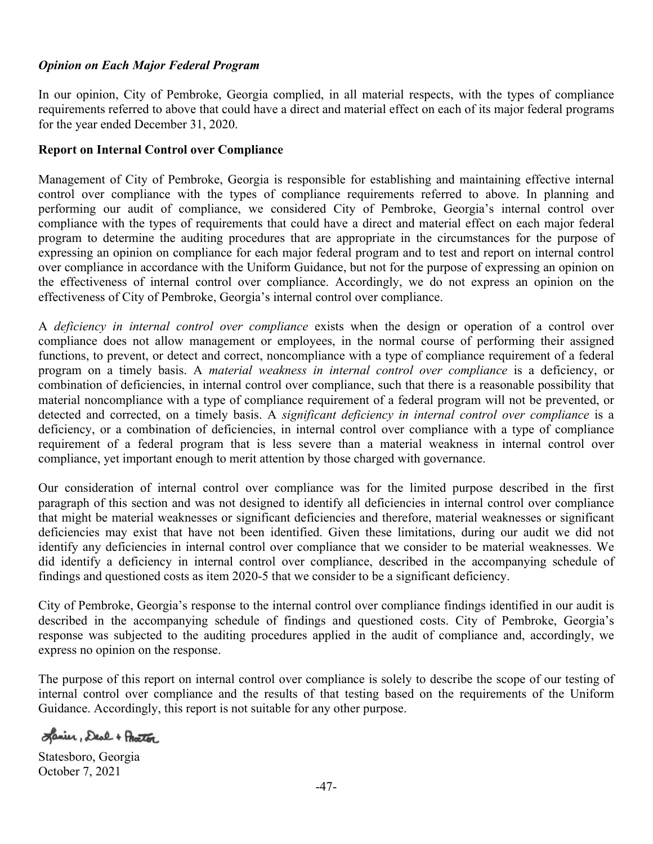### *Opinion on Each Major Federal Program*

In our opinion, City of Pembroke, Georgia complied, in all material respects, with the types of compliance requirements referred to above that could have a direct and material effect on each of its major federal programs for the year ended December 31, 2020.

#### **Report on Internal Control over Compliance**

Management of City of Pembroke, Georgia is responsible for establishing and maintaining effective internal control over compliance with the types of compliance requirements referred to above. In planning and performing our audit of compliance, we considered City of Pembroke, Georgia's internal control over compliance with the types of requirements that could have a direct and material effect on each major federal program to determine the auditing procedures that are appropriate in the circumstances for the purpose of expressing an opinion on compliance for each major federal program and to test and report on internal control over compliance in accordance with the Uniform Guidance, but not for the purpose of expressing an opinion on the effectiveness of internal control over compliance. Accordingly, we do not express an opinion on the effectiveness of City of Pembroke, Georgia's internal control over compliance.

A *deficiency in internal control over compliance* exists when the design or operation of a control over compliance does not allow management or employees, in the normal course of performing their assigned functions, to prevent, or detect and correct, noncompliance with a type of compliance requirement of a federal program on a timely basis. A *material weakness in internal control over compliance* is a deficiency, or combination of deficiencies, in internal control over compliance, such that there is a reasonable possibility that material noncompliance with a type of compliance requirement of a federal program will not be prevented, or detected and corrected, on a timely basis. A *significant deficiency in internal control over compliance* is a deficiency, or a combination of deficiencies, in internal control over compliance with a type of compliance requirement of a federal program that is less severe than a material weakness in internal control over compliance, yet important enough to merit attention by those charged with governance.

Our consideration of internal control over compliance was for the limited purpose described in the first paragraph of this section and was not designed to identify all deficiencies in internal control over compliance that might be material weaknesses or significant deficiencies and therefore, material weaknesses or significant deficiencies may exist that have not been identified. Given these limitations, during our audit we did not identify any deficiencies in internal control over compliance that we consider to be material weaknesses. We did identify a deficiency in internal control over compliance, described in the accompanying schedule of findings and questioned costs as item 2020-5 that we consider to be a significant deficiency.

City of Pembroke, Georgia's response to the internal control over compliance findings identified in our audit is described in the accompanying schedule of findings and questioned costs. City of Pembroke, Georgia's response was subjected to the auditing procedures applied in the audit of compliance and, accordingly, we express no opinion on the response.

The purpose of this report on internal control over compliance is solely to describe the scope of our testing of internal control over compliance and the results of that testing based on the requirements of the Uniform Guidance. Accordingly, this report is not suitable for any other purpose.

Lanier, Deal + Protton

Statesboro, Georgia October 7, 2021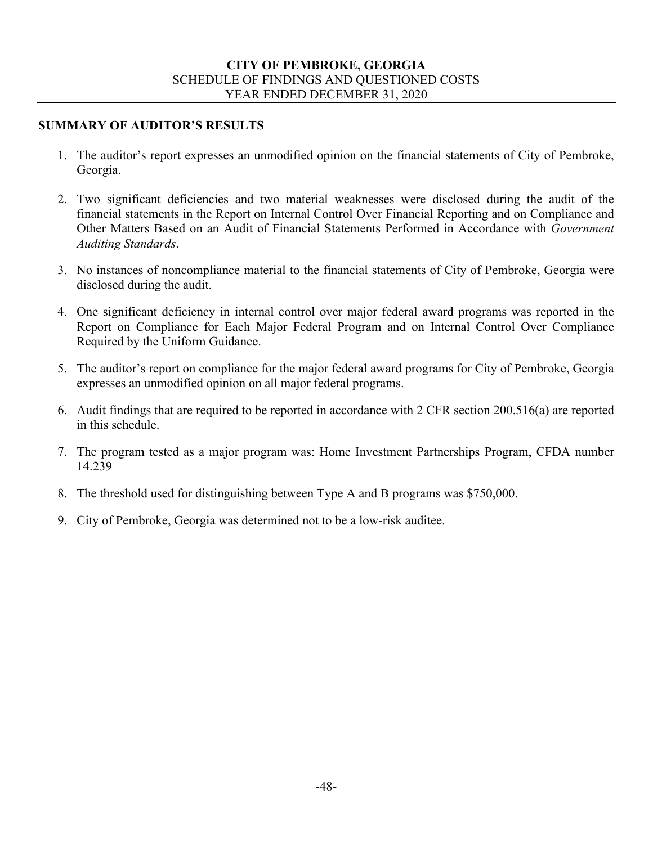#### **CITY OF PEMBROKE, GEORGIA** SCHEDULE OF FINDINGS AND QUESTIONED COSTS YEAR ENDED DECEMBER 31, 2020

#### **SUMMARY OF AUDITOR'S RESULTS**

- 1. The auditor's report expresses an unmodified opinion on the financial statements of City of Pembroke, Georgia.
- 2. Two significant deficiencies and two material weaknesses were disclosed during the audit of the financial statements in the Report on Internal Control Over Financial Reporting and on Compliance and Other Matters Based on an Audit of Financial Statements Performed in Accordance with *Government Auditing Standards*.
- 3. No instances of noncompliance material to the financial statements of City of Pembroke, Georgia were disclosed during the audit.
- 4. One significant deficiency in internal control over major federal award programs was reported in the Report on Compliance for Each Major Federal Program and on Internal Control Over Compliance Required by the Uniform Guidance.
- 5. The auditor's report on compliance for the major federal award programs for City of Pembroke, Georgia expresses an unmodified opinion on all major federal programs.
- 6. Audit findings that are required to be reported in accordance with 2 CFR section 200.516(a) are reported in this schedule.
- 7. The program tested as a major program was: Home Investment Partnerships Program, CFDA number 14.239
- 8. The threshold used for distinguishing between Type A and B programs was \$750,000.
- 9. City of Pembroke, Georgia was determined not to be a low-risk auditee.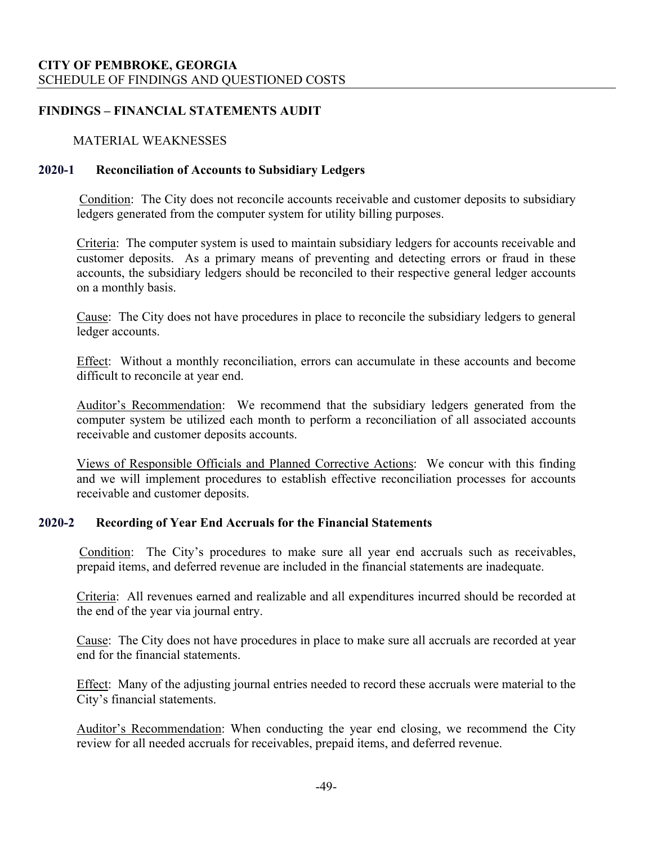### **FINDINGS – FINANCIAL STATEMENTS AUDIT**

#### MATERIAL WEAKNESSES

#### **2020-1 Reconciliation of Accounts to Subsidiary Ledgers**

Condition: The City does not reconcile accounts receivable and customer deposits to subsidiary ledgers generated from the computer system for utility billing purposes.

Criteria: The computer system is used to maintain subsidiary ledgers for accounts receivable and customer deposits. As a primary means of preventing and detecting errors or fraud in these accounts, the subsidiary ledgers should be reconciled to their respective general ledger accounts on a monthly basis.

Cause: The City does not have procedures in place to reconcile the subsidiary ledgers to general ledger accounts.

Effect: Without a monthly reconciliation, errors can accumulate in these accounts and become difficult to reconcile at year end.

Auditor's Recommendation: We recommend that the subsidiary ledgers generated from the computer system be utilized each month to perform a reconciliation of all associated accounts receivable and customer deposits accounts.

Views of Responsible Officials and Planned Corrective Actions: We concur with this finding and we will implement procedures to establish effective reconciliation processes for accounts receivable and customer deposits.

#### **2020-2 Recording of Year End Accruals for the Financial Statements**

Condition: The City's procedures to make sure all year end accruals such as receivables, prepaid items, and deferred revenue are included in the financial statements are inadequate.

Criteria: All revenues earned and realizable and all expenditures incurred should be recorded at the end of the year via journal entry.

Cause: The City does not have procedures in place to make sure all accruals are recorded at year end for the financial statements.

Effect: Many of the adjusting journal entries needed to record these accruals were material to the City's financial statements.

Auditor's Recommendation: When conducting the year end closing, we recommend the City review for all needed accruals for receivables, prepaid items, and deferred revenue.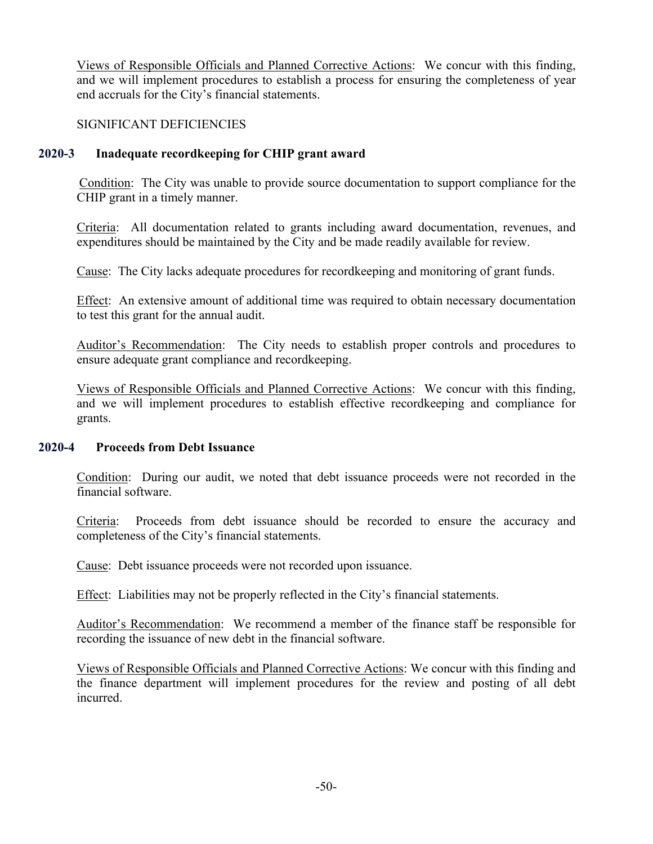Views of Responsible Officials and Planned Corrective Actions: We concur with this finding, and we will implement procedures to establish a process for ensuring the completeness of year end accruals for the City's financial statements.

#### SIGNIFICANT DEFICIENCIES

#### **2020-3 Inadequate recordkeeping for CHIP grant award**

Condition: The City was unable to provide source documentation to support compliance for the CHIP grant in a timely manner.

Criteria: All documentation related to grants including award documentation, revenues, and expenditures should be maintained by the City and be made readily available for review.

Cause: The City lacks adequate procedures for recordkeeping and monitoring of grant funds.

Effect: An extensive amount of additional time was required to obtain necessary documentation to test this grant for the annual audit.

Auditor's Recommendation: The City needs to establish proper controls and procedures to ensure adequate grant compliance and recordkeeping.

Views of Responsible Officials and Planned Corrective Actions: We concur with this finding, and we will implement procedures to establish effective recordkeeping and compliance for grants.

#### **2020-4 Proceeds from Debt Issuance**

Condition: During our audit, we noted that debt issuance proceeds were not recorded in the financial software.

Criteria: Proceeds from debt issuance should be recorded to ensure the accuracy and completeness of the City's financial statements.

Cause: Debt issuance proceeds were not recorded upon issuance.

Effect: Liabilities may not be properly reflected in the City's financial statements.

Auditor's Recommendation: We recommend a member of the finance staff be responsible for recording the issuance of new debt in the financial software.

Views of Responsible Officials and Planned Corrective Actions: We concur with this finding and the finance department will implement procedures for the review and posting of all debt incurred.